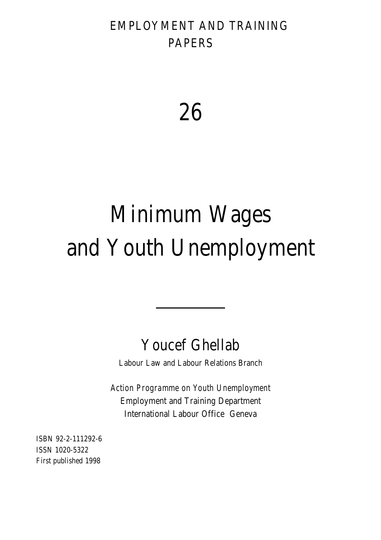# EMPLOYMENT AND TRAINING PAPERS

26

# Minimum Wages and Youth Unemployment

# Youcef Ghellab

Labour Law and Labour Relations Branch

*Action Programme on Youth Unemployment* Employment and Training Department International Labour Office Geneva

ISBN 92-2-111292-6 ISSN 1020-5322 First published 1998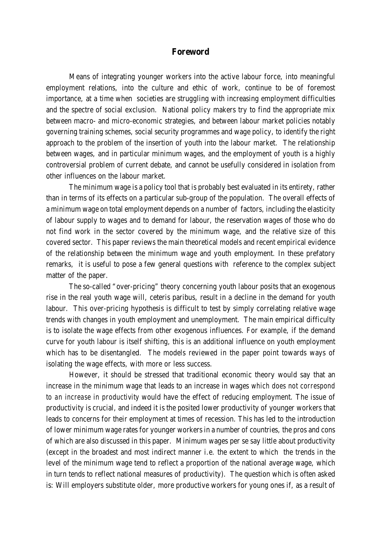# **Foreword**

Means of integrating younger workers into the active labour force, into meaningful employment relations, into the culture and ethic of work, continue to be of foremost importance, at a time when societies are struggling with increasing employment difficulties and the spectre of social exclusion. National policy makers try to find the appropriate mix between macro- and micro-economic strategies, and between labour market policies notably governing training schemes, social security programmes and wage policy, to identify the right approach to the problem of the insertion of youth into the labour market. The relationship between wages, and in particular minimum wages, and the employment of youth is a highly controversial problem of current debate, and cannot be usefully considered in isolation from other influences on the labour market.

The minimum wage is a policy tool that is probably best evaluated in its entirety, rather than in terms of its effects on a particular sub-group of the population. The overall effects of a minimum wage on total employment depends on a number of factors, including the elasticity of labour supply to wages and to demand for labour, the reservation wages of those who do not find work in the sector covered by the minimum wage, and the relative size of this covered sector. This paper reviews the main theoretical models and recent empirical evidence of the relationship between the minimum wage and youth employment. In these prefatory remarks, it is useful to pose a few general questions with reference to the complex subject matter of the paper.

The so-called "over-pricing" theory concerning youth labour posits that an exogenous rise in the real youth wage will, ceteris paribus, result in a decline in the demand for youth labour. This over-pricing hypothesis is difficult to test by simply correlating relative wage trends with changes in youth employment and unemployment. The main empirical difficulty is to isolate the wage effects from other exogenous influences. For example, if the demand curve for youth labour is itself shifting, this is an additional influence on youth employment which has to be disentangled. The models reviewed in the paper point towards ways of isolating the wage effects, with more or less success.

However, it should be stressed that traditional economic theory would say that an increase in the minimum wage that leads to an increase in wages *which does not correspond to an increase in productivity* would have the effect of reducing employment. The issue of productivity is crucial, and indeed it is the posited lower productivity of younger workers that leads to concerns for their employment at times of recession. This has led to the introduction of lower minimum wage rates for younger workers in a number of countries, the pros and cons of which are also discussed in this paper. Minimum wages per se say little about productivity (except in the broadest and most indirect manner i.e. the extent to which the trends in the level of the minimum wage tend to reflect a proportion of the national average wage, which in turn tends to reflect national measures of productivity). The question which is often asked is: Will employers substitute older, more productive workers for young ones if, as a result of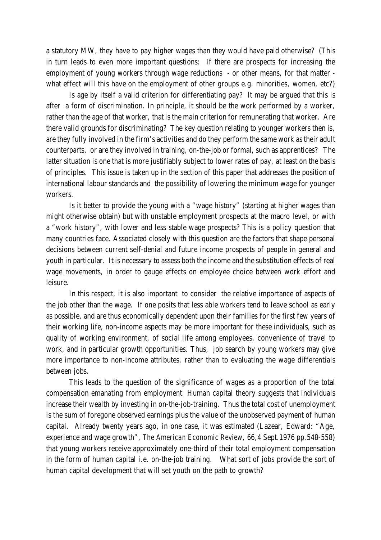a statutory MW, they have to pay higher wages than they would have paid otherwise? (This in turn leads to even more important questions: If there are prospects for increasing the employment of young workers through wage reductions - or other means, for that matter what effect will this have on the employment of other groups e.g. minorities, women, etc?)

Is age by itself a valid criterion for differentiating pay? It may be argued that this is after a form of discrimination. In principle, it should be the work performed by a worker, rather than the age of that worker, that is the main criterion for remunerating that worker. Are there valid grounds for discriminating? The key question relating to younger workers then is, are they fully involved in the firm's activities and do they perform the same work as their adult counterparts, or are they involved in training, on-the-job or formal, such as apprentices? The latter situation is one that is more justifiably subject to lower rates of pay, at least on the basis of principles. This issue is taken up in the section of this paper that addresses the position of international labour standards and the possibility of lowering the minimum wage for younger workers.

Is it better to provide the young with a "wage history" (starting at higher wages than might otherwise obtain) but with unstable employment prospects at the macro level, or with a "work history", with lower and less stable wage prospects? This is a policy question that many countries face. Associated closely with this question are the factors that shape personal decisions between current self-denial and future income prospects of people in general and youth in particular. It is necessary to assess both the income and the substitution effects of real wage movements, in order to gauge effects on employee choice between work effort and leisure.

In this respect, it is also important to consider the relative importance of aspects of the job other than the wage. If one posits that less able workers tend to leave school as early as possible, and are thus economically dependent upon their families for the first few years of their working life, non-income aspects may be more important for these individuals, such as quality of working environment, of social life among employees, convenience of travel to work, and in particular growth opportunities. Thus, job search by young workers may give more importance to non-income attributes, rather than to evaluating the wage differentials between jobs.

This leads to the question of the significance of wages as a proportion of the total compensation emanating from employment. Human capital theory suggests that individuals increase their wealth by investing in on-the-job-training. Thus the total cost of unemployment is the sum of foregone observed earnings plus the value of the unobserved payment of human capital. Already twenty years ago, in one case, it was estimated (Lazear, Edward: "Age, experience and wage growth", *The American Economic Review*, 66,4 Sept.1976 pp.548-558) that young workers receive approximately one-third of their total employment compensation in the form of human capital i.e. on-the-job training. What sort of jobs provide the sort of human capital development that will set youth on the path to growth?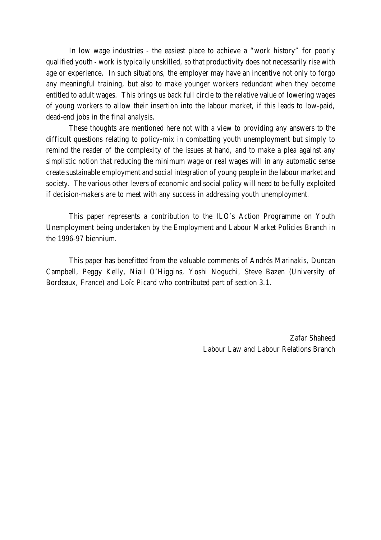In low wage industries - the easiest place to achieve a "work history" for poorly qualified youth - work is typically unskilled, so that productivity does not necessarily rise with age or experience. In such situations, the employer may have an incentive not only to forgo any meaningful training, but also to make younger workers redundant when they become entitled to adult wages. This brings us back full circle to the relative value of lowering wages of young workers to allow their insertion into the labour market, if this leads to low-paid, dead-end jobs in the final analysis.

These thoughts are mentioned here not with a view to providing any answers to the difficult questions relating to policy-mix in combatting youth unemployment but simply to remind the reader of the complexity of the issues at hand, and to make a plea against any simplistic notion that reducing the minimum wage or real wages will in any automatic sense create sustainable employment and social integration of young people in the labour market and society. The various other levers of economic and social policy will need to be fully exploited if decision-makers are to meet with any success in addressing youth unemployment.

This paper represents a contribution to the ILO's Action Programme on Youth Unemployment being undertaken by the Employment and Labour Market Policies Branch in the 1996-97 biennium.

This paper has benefitted from the valuable comments of Andrés Marinakis, Duncan Campbell, Peggy Kelly, Niall O'Higgins, Yoshi Noguchi, Steve Bazen (University of Bordeaux, France) and Loïc Picard who contributed part of section 3.1.

> Zafar Shaheed Labour Law and Labour Relations Branch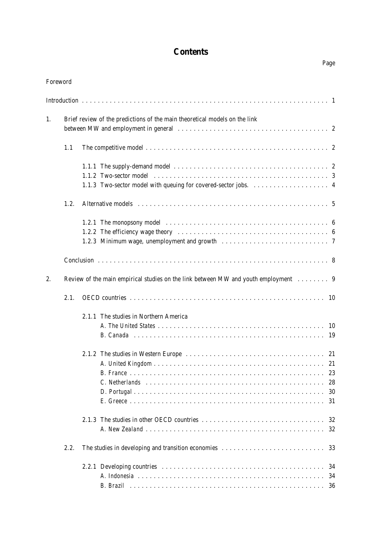# **Contents**

Page

| Foreword |      |                                                                                     |  |
|----------|------|-------------------------------------------------------------------------------------|--|
|          |      |                                                                                     |  |
| 1.       |      | Brief review of the predictions of the main theoretical models on the link          |  |
|          |      |                                                                                     |  |
|          | 1.1  |                                                                                     |  |
|          |      |                                                                                     |  |
|          |      |                                                                                     |  |
|          |      |                                                                                     |  |
|          | 1.2. |                                                                                     |  |
|          |      |                                                                                     |  |
|          |      |                                                                                     |  |
|          |      |                                                                                     |  |
|          |      |                                                                                     |  |
| 2.       |      | Review of the main empirical studies on the link between MW and youth employment  9 |  |
|          | 2.1. |                                                                                     |  |
|          |      | 2.1.1 The studies in Northern America                                               |  |
|          |      |                                                                                     |  |
|          |      |                                                                                     |  |
|          |      |                                                                                     |  |
|          |      |                                                                                     |  |
|          |      |                                                                                     |  |
|          |      |                                                                                     |  |
|          |      |                                                                                     |  |
|          |      |                                                                                     |  |
|          |      |                                                                                     |  |
|          |      |                                                                                     |  |
|          | 2.2. |                                                                                     |  |
|          |      |                                                                                     |  |
|          |      |                                                                                     |  |
|          |      |                                                                                     |  |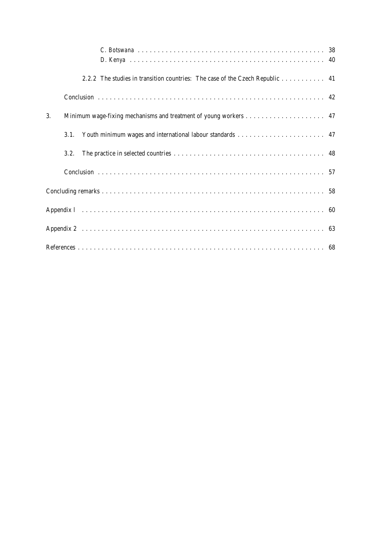|    |      | 2.2.2 The studies in transition countries: The case of the Czech Republic 41 |  |  |  |  |  |  |  |  |  |  |  |  |  |
|----|------|------------------------------------------------------------------------------|--|--|--|--|--|--|--|--|--|--|--|--|--|
|    |      |                                                                              |  |  |  |  |  |  |  |  |  |  |  |  |  |
| 3. |      |                                                                              |  |  |  |  |  |  |  |  |  |  |  |  |  |
|    | 3.1. |                                                                              |  |  |  |  |  |  |  |  |  |  |  |  |  |
|    | 3.2. |                                                                              |  |  |  |  |  |  |  |  |  |  |  |  |  |
|    |      |                                                                              |  |  |  |  |  |  |  |  |  |  |  |  |  |
|    |      |                                                                              |  |  |  |  |  |  |  |  |  |  |  |  |  |
|    |      |                                                                              |  |  |  |  |  |  |  |  |  |  |  |  |  |
|    |      |                                                                              |  |  |  |  |  |  |  |  |  |  |  |  |  |
|    |      |                                                                              |  |  |  |  |  |  |  |  |  |  |  |  |  |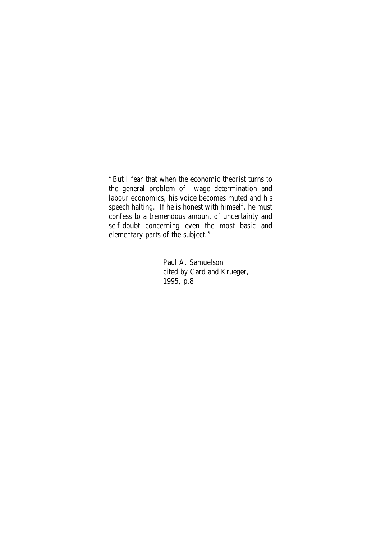"But I fear that when the economic theorist turns to the general problem of wage determination and labour economics, his voice becomes muted and his speech halting. If he is honest with himself, he must confess to a tremendous amount of uncertainty and self-doubt concerning even the most basic and elementary parts of the subject."

> Paul A. Samuelson cited by Card and Krueger, 1995, p.8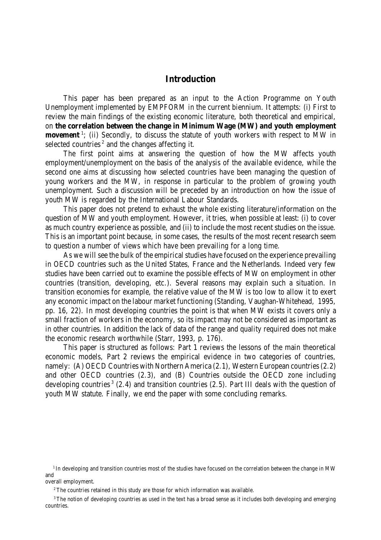# **Introduction**

This paper has been prepared as an input to the Action Programme on Youth Unemployment implemented by EMPFORM in the current biennium. It attempts: (i) First to review the main findings of the existing economic literature, both theoretical and empirical, on **the correlation between the change in Minimum Wage (MW) and youth employment movement**<sup>1</sup>; (ii) Secondly, to discuss the statute of youth workers with respect to MW in selected countries<sup>2</sup> and the changes affecting it.

The first point aims at answering the question of how the MW affects youth employment/unemployment on the basis of the analysis of the available evidence, while the second one aims at discussing how selected countries have been managing the question of young workers and the MW, in response in particular to the problem of growing youth unemployment. Such a discussion will be preceded by an introduction on how the issue of youth MW is regarded by the International Labour Standards.

This paper does not pretend to exhaust the whole existing literature/information on the question of MW and youth employment. However, it tries, when possible at least: (i) to cover as much country experience as possible, and (ii) to include the most recent studies on the issue. This is an important point because, in some cases, the results of the most recent research seem to question a number of views which have been prevailing for a long time.

As we will see the bulk of the empirical studies have focused on the experience prevailing in OECD countries such as the United States, France and the Netherlands. Indeed very few studies have been carried out to examine the possible effects of MW on employment in other countries (transition, developing, etc.). Several reasons may explain such a situation. In transition economies for example, the relative value of the MW is too low to allow it to exert any economic impact on the labour market functioning (Standing, Vaughan-Whitehead, 1995, pp. 16, 22). In most developing countries the point is that when MW exists it covers only a small fraction of workers in the economy, so its impact may not be considered as important as in other countries. In addition the lack of data of the range and quality required does not make the economic research worthwhile (Starr, 1993, p. 176).

This paper is structured as follows: Part 1 reviews the lessons of the main theoretical economic models, Part 2 reviews the empirical evidence in two categories of countries, namely: (A) OECD Countries with Northern America (2.1), Western European countries (2.2) and other OECD countries (2.3), and (B) Countries outside the OECD zone including developing countries<sup>3</sup> (2.4) and transition countries (2.5). Part III deals with the question of youth MW statute. Finally, we end the paper with some concluding remarks.

<sup>&</sup>lt;sup>1</sup> In developing and transition countries most of the studies have focused on the correlation between the change in MW and overall employment.

<sup>&</sup>lt;sup>2</sup> The countries retained in this study are those for which information was available.

<sup>&</sup>lt;sup>3</sup>The notion of developing countries as used in the text has a broad sense as it includes both developing and emerging countries.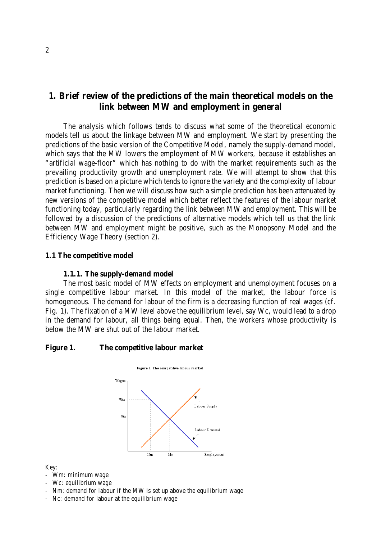# **1. Brief review of the predictions of the main theoretical models on the link between MW and employment in general**

The analysis which follows tends to discuss what some of the theoretical economic models tell us about the linkage between MW and employment. We start by presenting the predictions of the basic version of the Competitive Model, namely the supply-demand model, which says that the MW lowers the employment of MW workers, because it establishes an "artificial wage-floor" which has nothing to do with the market requirements such as the prevailing productivity growth and unemployment rate. We will attempt to show that this prediction is based on a picture which tends to ignore the variety and the complexity of labour market functioning. Then we will discuss how such a simple prediction has been attenuated by new versions of the competitive model which better reflect the features of the labour market functioning today, particularly regarding the link between MW and employment. This will be followed by a discussion of the predictions of alternative models which tell us that the link between MW and employment might be positive, such as the Monopsony Model and the Efficiency Wage Theory (section 2).

# **1.1 The competitive model**

#### **1.1.1. The supply-demand model**

The most basic model of MW effects on employment and unemployment focuses on a single competitive labour market. In this model of the market, the labour force is homogeneous. The demand for labour of the firm is a decreasing function of real wages (cf. Fig. 1). The fixation of a MW level above the equilibrium level, say Wc, would lead to a drop in the demand for labour, all things being equal. Then, the workers whose productivity is below the MW are shut out of the labour market.

#### **Figure 1. The competitive labour market**



Key:

- Wm: minimum wage
- Wc: equilibrium wage
- Nm: demand for labour if the MW is set up above the equilibrium wage
- Nc: demand for labour at the equilibrium wage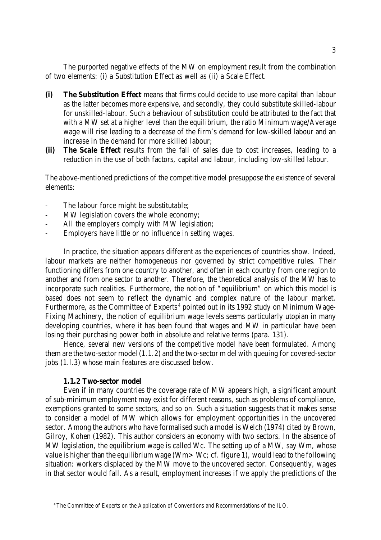The purported negative effects of the MW on employment result from the combination of two elements: (i) a Substitution Effect as well as (ii) a Scale Effect.

- **(i) The Substitution Effect** means that firms could decide to use more capital than labour as the latter becomes more expensive, and secondly, they could substitute skilled-labour for unskilled-labour. Such a behaviour of substitution could be attributed to the fact that with a MW set at a higher level than the equilibrium, the ratio Minimum wage/Average wage will rise leading to a decrease of the firm's demand for low-skilled labour and an increase in the demand for more skilled labour;
- **(ii) The Scale Effect** results from the fall of sales due to cost increases, leading to a reduction in the use of both factors, capital and labour, including low-skilled labour.

The above-mentioned predictions of the competitive model presuppose the existence of several elements:

- The labour force might be substitutable;
- MW legislation covers the whole economy:
- All the employers comply with MW legislation;
- Employers have little or no influence in setting wages.

In practice, the situation appears different as the experiences of countries show. Indeed, labour markets are neither homogeneous nor governed by strict competitive rules. Their functioning differs from one country to another, and often in each country from one region to another and from one sector to another. Therefore, the theoretical analysis of the MW has to incorporate such realities. Furthermore, the notion of "equilibrium" on which this model is based does not seem to reflect the dynamic and complex nature of the labour market. Furthermore, as the Committee of Experts<sup>4</sup> pointed out in its 1992 study on Minimum Wage-Fixing Machinery, the notion of equilibrium wage levels seems particularly utopian in many developing countries, where it has been found that wages and MW in particular have been losing their purchasing power both in absolute and relative terms (para. 131).

Hence, several new versions of the competitive model have been formulated. Among them are the two-sector model (1.1.2) and the two-sector m del with queuing for covered-sector jobs (1.l.3) whose main features are discussed below.

#### **1.1.2 Two-sector model**

Even if in many countries the coverage rate of MW appears high, a significant amount of sub-minimum employment may exist for different reasons, such as problems of compliance, exemptions granted to some sectors, and so on. Such a situation suggests that it makes sense to consider a model of MW which allows for employment opportunities in the uncovered sector. Among the authors who have formalised such a model is Welch (1974) cited by Brown, Gilroy, Kohen (1982). This author considers an economy with two sectors. In the absence of MW legislation, the equilibrium wage is called Wc. The setting up of a MW, say Wm, whose value is higher than the equilibrium wage (Wm>Wc; cf. figure 1), would lead to the following situation: workers displaced by the MW move to the uncovered sector. Consequently, wages in that sector would fall. As a result, employment increases if we apply the predictions of the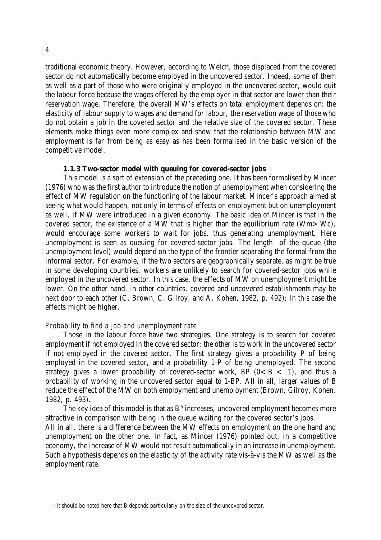traditional economic theory. However, according to Welch, those displaced from the covered sector do not automatically become employed in the uncovered sector. Indeed, some of them as well as a part of those who were originally employed in the uncovered sector, would quit the labour force because the wages offered by the employer in that sector are lower than their reservation wage. Therefore, the overall MW's effects on total employment depends on: the elasticity of labour supply to wages and demand for labour, the reservation wage of those who do not obtain a job in the covered sector and the relative size of the covered sector. These elements make things even more complex and show that the relationship between MW and employment is far from being as easy as has been formalised in the basic version of the competitive model.

#### **1.1.3 Two-sector model with queuing for covered-sector jobs**

This model is a sort of extension of the preceding one. It has been formalised by Mincer (1976) who was the first author to introduce the notion of unemployment when considering the effect of MW regulation on the functioning of the labour market. Mincer's approach aimed at seeing what would happen, not only in terms of effects on employment but on unemployment as well, if MW were introduced in a given economy. The basic idea of Mincer is that in the covered sector, the existence of a MW that is higher than the equilibrium rate (Wm>Wc), would encourage some workers to wait for jobs, thus generating unemployment. Here unemployment is seen as queuing for covered-sector jobs. The length of the queue (the unemployment level) would depend on the type of the frontier separating the formal from the informal sector. For example, if the two sectors are geographically separate, as might be true in some developing countries, workers are unlikely to search for covered-sector jobs while employed in the uncovered sector. In this case, the effects of MW on unemployment might be lower. On the other hand, in other countries, covered and uncovered establishments may be next door to each other (C. Brown, C. Gilroy, and A. Kohen, 1982, p. 492); In this case the effects might be higher.

#### *Probability to find a job and unemployment rate*

Those in the labour force have two strategies. One strategy is to search for covered employment if not employed in the covered sector; the other is to work in the uncovered sector if not employed in the covered sector. The first strategy gives a probability P of being employed in the covered sector, and a probability 1-P of being unemployed. The second strategy gives a lower probability of covered-sector work, BP  $(0 < B < 1)$ , and thus a probability of working in the uncovered sector equal to 1-BP. All in all, larger values of B reduce the effect of the MW on both employment and unemployment (Brown, Gilroy, Kohen, 1982, p. 493).

The key idea of this model is that as  $B<sup>5</sup>$  increases, uncovered employment becomes more attractive in comparison with being in the queue waiting for the covered sector's jobs. All in all, there is a difference between the MW effects on employment on the one hand and unemployment on the other one. In fact, as Mincer (1976) pointed out, in a competitive economy, the increase of MW would not result automatically in an increase in unemployment. Such a hypothesis depends on the elasticity of the activity rate vis-à-vis the MW as well as the employment rate.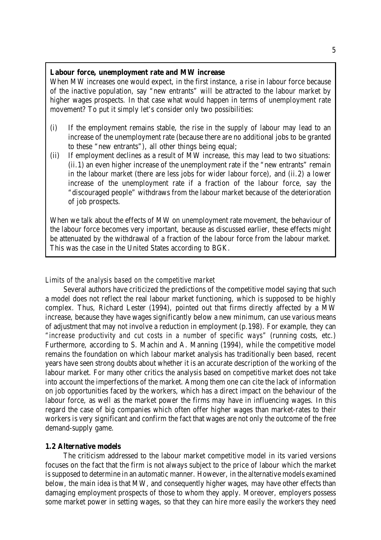#### **Labour force, unemployment rate and MW increase**

When MW increases one would expect, in the first instance, a rise in labour force because of the inactive population, say "new entrants" will be attracted to the labour market by higher wages prospects. In that case what would happen in terms of unemployment rate movement? To put it simply let's consider only two possibilities:

- (i) If the employment remains stable, the rise in the supply of labour may lead to an increase of the unemployment rate (because there are no additional jobs to be granted to these "new entrants"), all other things being equal;
- (ii) If employment declines as a result of MW increase, this may lead to two situations: (ii.1) an even higher increase of the unemployment rate if the "new entrants" remain in the labour market (there are less jobs for wider labour force), and (ii.2) a lower increase of the unemployment rate if a fraction of the labour force, say the "discouraged people" withdraws from the labour market because of the deterioration of job prospects.

When we talk about the effects of MW on unemployment rate movement, the behaviour of the labour force becomes very important, because as discussed earlier, these effects might be attenuated by the withdrawal of a fraction of the labour force from the labour market. This was the case in the United States according to BGK.

#### *Limits of the analysis based on the competitive market*

Several authors have criticized the predictions of the competitive model saying that such a model does not reflect the real labour market functioning, which is supposed to be highly complex. Thus, Richard Lester (1994), pointed out that firms directly affected by a MW increase, because they have wages significantly below a new minimum, can use various means of adjustment that may not involve a reduction in employment (p.198). For example, they can *"increase productivity and cut costs in a number of specific ways"* (running costs, etc.) Furthermore, according to S. Machin and A. Manning (1994), while the competitive model remains the foundation on which labour market analysis has traditionally been based, recent years have seen strong doubts about whether it is an accurate description of the working of the labour market. For many other critics the analysis based on competitive market does not take into account the imperfections of the market. Among them one can cite the lack of information on job opportunities faced by the workers, which has a direct impact on the behaviour of the labour force, as well as the market power the firms may have in influencing wages. In this regard the case of big companies which often offer higher wages than market-rates to their workers is very significant and confirm the fact that wages are not only the outcome of the free demand-supply game.

#### **1.2 Alternative models**

The criticism addressed to the labour market competitive model in its varied versions focuses on the fact that the firm is not always subject to the price of labour which the market issupposed to determine in an automatic manner. However, in the alternative models examined below, the main idea is that MW, and consequently higher wages, may have other effects than damaging employment prospects of those to whom they apply. Moreover, employers possess some market power in setting wages, so that they can hire more easily the workers they need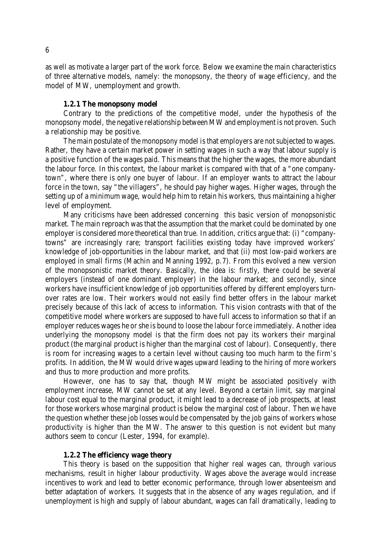as well as motivate a larger part of the work force. Below we examine the main characteristics of three alternative models, namely: the monopsony, the theory of wage efficiency, and the model of MW, unemployment and growth.

#### **1.2.1 The monopsony model**

Contrary to the predictions of the competitive model, under the hypothesis of the monopsony model, the negative relationship between MW and employment is not proven. Such a relationship may be positive.

The main postulate of the monopsony model is that employers are not subjected to wages. Rather, they have a certain market power in setting wages in such a way that labour supply is a positive function of the wages paid. This means that the higher the wages, the more abundant the labour force. In this context, the labour market is compared with that of a "one companytown", where there is only one buyer of labour. If an employer wants to attract the labour force in the town, say "the villagers", he should pay higher wages. Higher wages, through the setting up of a minimum wage, would help him to retain his workers, thus maintaining a higher level of employment.

Many criticisms have been addressed concerning this basic version of monopsonistic market. The main reproach was that the assumption that the market could be dominated by one employer is considered more theoretical than true. In addition, critics argue that: (i) "companytowns" are increasingly rare; transport facilities existing today have improved workers' knowledge of job-opportunities in the labour market, and that (ii) most low-paid workers are employed in small firms (Machin and Manning 1992, p.7). From this evolved a new version of the monopsonistic market theory. Basically, the idea is: *firstly*, there could be several employers (instead of one dominant employer) in the labour market; and *secondly,* since workers have insufficient knowledge of job opportunities offered by different employers turnover rates are low. Their workers would not easily find better offers in the labour market precisely because of this lack of access to information. This vision contrasts with that of the competitive model where workers are supposed to have full access to information so that if an employer reduces wages he orshe is bound to loose the labour force immediately. Another idea underlying the monopsony model is that the firm does not pay its workers their marginal product (the marginal product is higher than the marginal cost of labour). Consequently, there is room for increasing wages to a certain level without causing too much harm to the firm's profits. In addition, the MW would drive wages upward leading to the hiring of more workers and thus to more production and more profits.

However, one has to say that, though MW might be associated positively with employment increase, MW cannot be set at any level. Beyond a certain limit, say marginal labour cost equal to the marginal product, it might lead to a decrease of job prospects, at least for those workers whose marginal product is below the marginal cost of labour. Then we have the question whether these job losses would be compensated by the job gains of workers whose productivity is higher than the MW. The answer to this question is not evident but many authors seem to concur (Lester, 1994, for example).

#### **1.2.2 The efficiency wage theory**

This theory is based on the supposition that higher real wages can, through various mechanisms, result in higher labour productivity. Wages above the average would increase incentives to work and lead to better economic performance, through lower absenteeism and better adaptation of workers. It suggests that in the absence of any wages regulation, and if unemployment is high and supply of labour abundant, wages can fall dramatically, leading to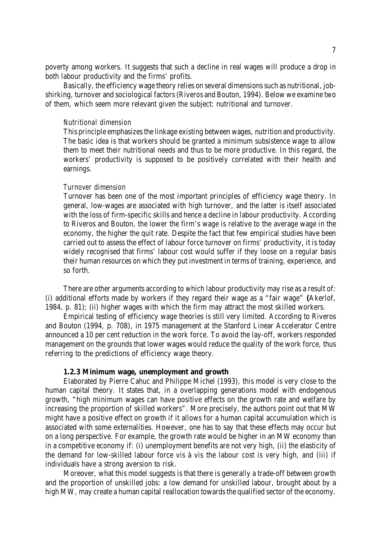poverty among workers. It suggests that such a decline in real wages will produce a drop in both labour productivity and the firms' profits.

Basically, the efficiency wage theory relies on several dimensions such as nutritional, jobshirking, turnover and sociological factors(Riveros and Bouton, 1994). Below we examine two of them, which seem more relevant given the subject: nutritional and turnover.

#### *Nutritional dimension*

This principle emphasizes the linkage existing between wages, nutrition and productivity. The basic idea is that workers should be granted a minimum subsistence wage to allow them to meet their nutritional needs and thus to be more productive. In this regard, the workers' productivity is supposed to be positively correlated with their health and earnings.

#### *Turnover dimension*

Turnover has been one of the most important principles of efficiency wage theory. In general, low-wages are associated with high turnover, and the latter is itself associated with the loss of firm-specific skills and hence a decline in labour productivity. According to Riveros and Bouton, the lower the firm's wage is relative to the average wage in the economy, the higher the quit rate. Despite the fact that few empirical studies have been carried out to assess the effect of labour force turnover on firms' productivity, it is today widely recognised that firms' labour cost would suffer if they loose on a regular basis their human resources on which they put investment in terms of training, experience, and so forth.

There are other arguments according to which labour productivity may rise as a result of: (i) additional efforts made by workers if they regard their wage as a "fair wage" **(**Akerlof, 1984, p. 81); (ii) higher wages with which the firm may attract the most skilled workers.

Empirical testing of efficiency wage theories is still very limited. According to Riveros and Bouton (1994, p. 708), in 1975 management at the Stanford Linear Accelerator Centre announced a 10 per cent reduction in the work force. To avoid the lay-off, workers responded management on the grounds that lower wages would reduce the quality of the work force, thus referring to the predictions of efficiency wage theory.

#### **1.2.3 Minimum wage, unemployment and growth**

Elaborated by Pierre Cahuc and Philippe Michel (1993), this model is very close to the human capital theory. It states that, in a overlapping generations model with endogenous growth, "high minimum wages can have positive effects on the growth rate and welfare by increasing the proportion of skilled workers". More precisely, the authors point out that MW might have a positive effect on growth if it allows for a human capital accumulation which is associated with some externalities. However, one has to say that these effects may occur but on a long perspective. For example, the growth rate would be higher in an MW economy than in a competitive economy if: (i) unemployment benefits are not very high, (ii) the elasticity of the demand for low-skilled labour force vis à vis the labour cost is very high, and (iii) if individuals have a strong aversion to risk.

Moreover, what this model suggests is that there is generally a trade-off between growth and the proportion of unskilled jobs: a low demand for unskilled labour, brought about by a high MW, may create a human capital reallocation towards the qualified sector of the economy.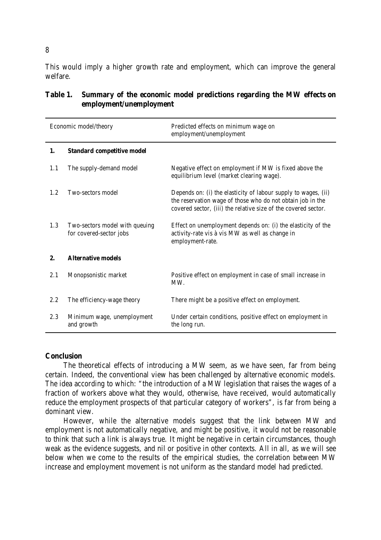This would imply a higher growth rate and employment, which can improve the general welfare.

| Economic model/theory |                                                           | Predicted effects on minimum wage on<br>employment/unemployment                                                                                                                                |  |  |  |  |  |
|-----------------------|-----------------------------------------------------------|------------------------------------------------------------------------------------------------------------------------------------------------------------------------------------------------|--|--|--|--|--|
| 1.                    | <b>Standard competitive model</b>                         |                                                                                                                                                                                                |  |  |  |  |  |
| 1.1                   | The supply-demand model                                   | Negative effect on employment if MW is fixed above the<br>equilibrium level (market clearing wage).                                                                                            |  |  |  |  |  |
| 1.2                   | Two-sectors model                                         | Depends on: (i) the elasticity of labour supply to wages, (ii)<br>the reservation wage of those who do not obtain job in the<br>covered sector, (iii) the relative size of the covered sector. |  |  |  |  |  |
| 1.3                   | Two-sectors model with queuing<br>for covered-sector jobs | Effect on unemployment depends on: (i) the elasticity of the<br>activity-rate vis à vis MW as well as change in<br>employment-rate.                                                            |  |  |  |  |  |
| 2.                    | <b>Alternative models</b>                                 |                                                                                                                                                                                                |  |  |  |  |  |
| 2.1                   | Monopsonistic market                                      | Positive effect on employment in case of small increase in<br>MW.                                                                                                                              |  |  |  |  |  |
| $2.2\,$               | The efficiency-wage theory                                | There might be a positive effect on employment.                                                                                                                                                |  |  |  |  |  |
| 2.3                   | Minimum wage, unemployment<br>and growth                  | Under certain conditions, positive effect on employment in<br>the long run.                                                                                                                    |  |  |  |  |  |

# **Table 1. Summary of the economic model predictions regarding the MW effects on employment/unemployment**

#### **Conclusion**

The theoretical effects of introducing a MW seem, as we have seen, far from being certain. Indeed, the conventional view has been challenged by alternative economic models. The idea according to which: "the introduction of a MW legislation that raises the wages of a fraction of workers above what they would, otherwise, have received, would automatically reduce the employment prospects of that particular category of workers", is far from being a dominant view.

However, while the alternative models suggest that the link between MW and employment is not automatically negative, and might be positive, it would not be reasonable to think that such a link is always true. It might be negative in certain circumstances, though weak as the evidence suggests, and nil or positive in other contexts. All in all, as we will see below when we come to the results of the empirical studies, the correlation between MW increase and employment movement is not uniform as the standard model had predicted.

8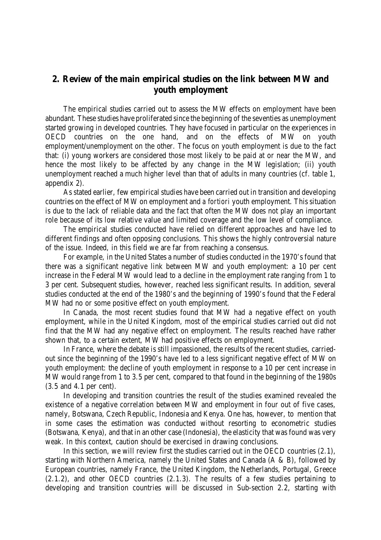# **2. Review of the main empirical studies on the link between MW and youth employment**

The empirical studies carried out to assess the MW effects on employment have been abundant. These studies have proliferated since the beginning of the seventies as unemployment started growing in developed countries. They have focused in particular on the experiences in OECD countries on the one hand, and on the effects of MW on youth employment/unemployment on the other. The focus on youth employment is due to the fact that: (i) young workers are considered those most likely to be paid at or near the MW, and hence the most likely to be affected by any change in the MW legislation; (ii) youth unemployment reached a much higher level than that of adults in many countries (cf. table 1, appendix 2).

As stated earlier, few empirical studies have been carried out in transition and developing countries on the effect of MW on employment and *a fortiori* youth employment. This situation is due to the lack of reliable data and the fact that often the MW does not play an important role because of its low relative value and limited coverage and the low level of compliance.

The empirical studies conducted have relied on different approaches and have led to different findings and often opposing conclusions. This shows the highly controversial nature of the issue. Indeed, in this field we are far from reaching a consensus.

For example, in the United States a number of studies conducted in the 1970's found that there was a significant negative link between MW and youth employment: a 10 per cent increase in the Federal MW would lead to a decline in the employment rate ranging from 1 to 3 per cent. Subsequent studies, however, reached less significant results. In addition, several studies conducted at the end of the 1980's and the beginning of 1990's found that the Federal MW had no or some positive effect on youth employment.

In Canada, the most recent studies found that MW had a negative effect on youth employment, while in the United Kingdom, most of the empirical studies carried out did not find that the MW had any negative effect on employment. The results reached have rather shown that, to a certain extent, MW had positive effects on employment.

In France, where the debate is still impassioned, the results of the recent studies, carriedout since the beginning of the 1990's have led to a less significant negative effect of MW on youth employment: the decline of youth employment in response to a 10 per cent increase in MW would range from 1 to 3.5 per cent, compared to that found in the beginning of the 1980s (3.5 and 4.1 per cent).

In developing and transition countries the result of the studies examined revealed the existence of a negative correlation between MW and employment in four out of five cases, namely, Botswana, Czech Republic, Indonesia and Kenya. One has, however, to mention that in some cases the estimation was conducted without resorting to econometric studies (Botswana, Kenya), and that in an other case (Indonesia), the elasticity that was found was very weak. In this context, caution should be exercised in drawing conclusions.

In this section, we will review first the studies carried out in the OECD countries (2.1), starting with Northern America, namely the United States and Canada (A & B), followed by European countries, namely France, the United Kingdom, the Netherlands, Portugal, Greece (2.1.2), and other OECD countries (2.1.3). The results of a few studies pertaining to developing and transition countries will be discussed in Sub-section 2.2, starting with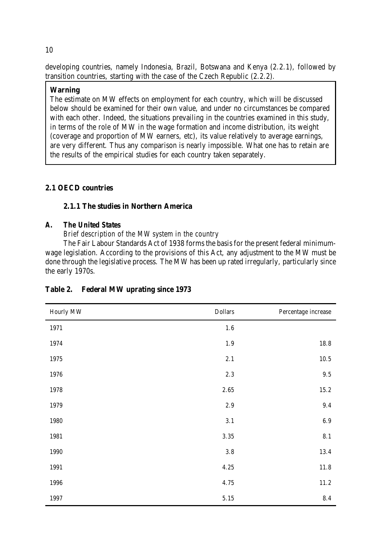developing countries, namely Indonesia, Brazil, Botswana and Kenya (2.2.1), followed by transition countries, starting with the case of the Czech Republic (2.2.2).

# **Warning**

The estimate on MW effects on employment for each country, which will be discussed below should be examined for their own value, and under no circumstances be compared with each other. Indeed, the situations prevailing in the countries examined in this study, in terms of the role of MW in the wage formation and income distribution, its weight (coverage and proportion of MW earners, etc), its value relatively to average earnings, are very different. Thus any comparison is nearly impossible. What one has to retain are the results of the empirical studies for each country taken separately.

# **2.1 OECD countries**

# **2.1.1 The studies in Northern America**

# *A. The United States*

*Brief description of the MW system in the country*

The Fair Labour Standards Act of 1938 forms the basis for the present federal minimumwage legislation. According to the provisions of this Act, any adjustment to the MW must be done through the legislative process. The MW has been up rated irregularly, particularly since the early 1970s.

| Hourly MW | <b>Dollars</b> | Percentage increase |
|-----------|----------------|---------------------|
| 1971      | $1.6\,$        |                     |
| 1974      | $1.9\,$        | 18.8                |
| 1975      | 2.1            | $10.5$              |
| 1976      | $2.3\,$        | $\,9.5$             |
| 1978      | $2.65\,$       | 15.2                |
| 1979      | $2.9\,$        | 9.4                 |
| 1980      | 3.1            | $6.9\,$             |
| 1981      | 3.35           | $8.1\,$             |
| 1990      | $3.8\,$        | 13.4                |
| 1991      | 4.25           | 11.8                |
| 1996      | 4.75           | $11.2\,$            |
| 1997      | $5.15\,$       | $\bf 8.4$           |

# **Table 2. Federal MW uprating since 1973**

#### 10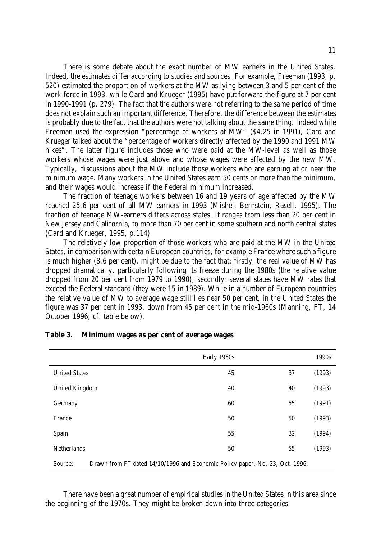There is some debate about the exact number of MW earners in the United States. Indeed, the estimates differ according to studies and sources. For example, Freeman (1993, p. 520) estimated the proportion of workers at the MW as lying between 3 and 5 per cent of the work force in 1993, while Card and Krueger (1995) have put forward the figure at 7 per cent in 1990-1991 (p. 279). The fact that the authors were not referring to the same period of time does not explain such an important difference. Therefore, the difference between the estimates is probably due to the fact that the authors were not talking about the same thing. Indeed while Freeman used the expression "percentage of workers at MW" (\$4.25 in 1991), Card and Krueger talked about the "percentage of workers directly affected by the 1990 and 1991 MW hikes". The latter figure includes those who were paid at the MW-level as well as those workers whose wages were just above and whose wages were affected by the new MW. Typically, discussions about the MW include those workers who are earning at or near the minimum wage. Many workers in the United States earn 50 cents or more than the minimum, and their wages would increase if the Federal minimum increased.

The fraction of teenage workers between 16 and 19 years of age affected by the MW reached 25.6 per cent of all MW earners in 1993 (Mishel, Bernstein, Rasell, 1995). The fraction of teenage MW-earners differs across states. It ranges from less than 20 per cent in New Jersey and California, to more than 70 per cent in some southern and north central states (Card and Krueger, 1995, p.114).

The relatively low proportion of those workers who are paid at the MW in the United States, in comparison with certain European countries, for example France where such a figure is much higher (8.6 per cent), might be due to the fact that: *firstly,* the real value of MW has dropped dramatically, particularly following its freeze during the 1980s (the relative value dropped from 20 per cent from 1979 to 1990); *secondly:* several states have MW rates that exceed the Federal standard (they were 15 in 1989). While in a number of European countries the relative value of MW to average wage still lies near 50 per cent, in the United States the figure was 37 per cent in 1993, down from 45 per cent in the mid-1960s (Manning, FT, 14 October 1996; cf. table below).

|                                                                                         | Early 1960s |    | 1990s  |  |  |  |
|-----------------------------------------------------------------------------------------|-------------|----|--------|--|--|--|
| <b>United States</b>                                                                    | 45          | 37 | (1993) |  |  |  |
| <b>United Kingdom</b>                                                                   | 40          | 40 | (1993) |  |  |  |
| Germany                                                                                 | 60          | 55 | (1991) |  |  |  |
| France                                                                                  | 50          | 50 | (1993) |  |  |  |
| Spain                                                                                   | 55          | 32 | (1994) |  |  |  |
| <b>Netherlands</b>                                                                      | 50          | 55 | (1993) |  |  |  |
| Drawn from FT dated 14/10/1996 and Economic Policy paper, No. 23, Oct. 1996.<br>Source: |             |    |        |  |  |  |

#### **Table 3. Minimum wages as per cent of average wages**

There have been a great number of empirical studies in the United States in this area since the beginning of the 1970s. They might be broken down into three categories: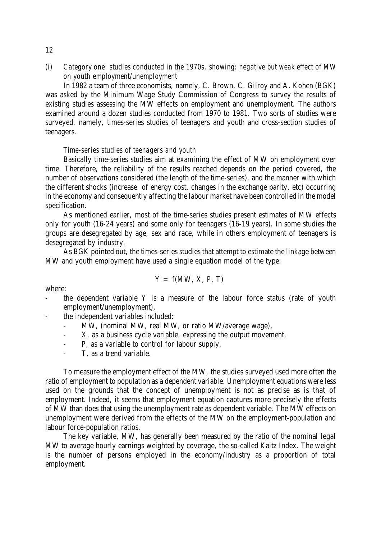*(i) Category one: studies conducted in the 1970s, showing: negative but weak effect of MW on youth employment/unemployment*

In 1982 a team of three economists, namely, C. Brown, C. Gilroy and A. Kohen (BGK) was asked by the Minimum Wage Study Commission of Congress to survey the results of existing studies assessing the MW effects on employment and unemployment. The authors examined around a dozen studies conducted from 1970 to 1981. Two sorts of studies were surveyed, namely, times-series studies of teenagers and youth and cross-section studies of teenagers.

#### *Time-series studies of teenagers and youth*

Basically time-series studies aim at examining the effect of MW on employment over time. Therefore, the reliability of the results reached depends on the period covered, the number of observations considered (the length of the time-series), and the manner with which the different shocks (increase of energy cost, changes in the exchange parity, etc) occurring in the economy and consequently affecting the labour market have been controlled in the model specification.

As mentioned earlier, most of the time-series studies present estimates of MW effects only for youth (16-24 years) and some only for teenagers (16-19 years). In some studies the groups are desegregated by age, sex and race, while in others employment of teenagers is desegregated by industry.

As BGK pointed out, the times-series studies that attempt to estimate the linkage between MW and youth employment have used a single equation model of the type:

$$
Y = f(MW, X, P, T)
$$

where:

- the dependent variable  $Y$  is a measure of the labour force status (rate of youth employment/unemployment),
- the independent variables included:
	- MW, (nominal MW, real MW, or ratio MW/average wage),
	- X, as a business cycle variable, expressing the output movement,
	- P, as a variable to control for labour supply,
	- T, as a trend variable.

To measure the employment effect of the MW, the studies surveyed used more often the ratio of employment to population as a dependent variable. Unemployment equations were less used on the grounds that the concept of unemployment is not as precise as is that of employment. Indeed, it seems that employment equation captures more precisely the effects of MW than does that using the unemployment rate as dependent variable. The MW effects on unemployment were derived from the effects of the MW on the employment-population and labour force-population ratios.

The key variable, MW, has generally been measured by the ratio of the nominal legal MW to average hourly earnings weighted by coverage, the so-called Kaitz Index. The weight is the number of persons employed in the economy/industry as a proportion of total employment.

#### 12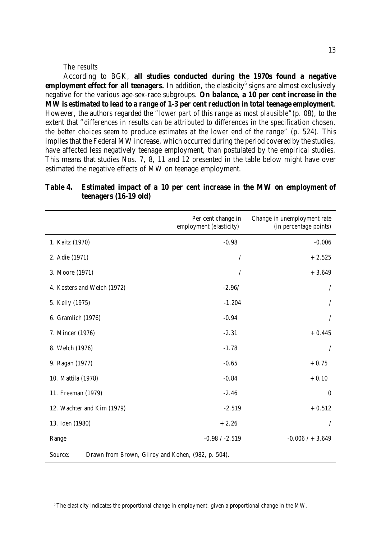#### *The results*

According to BGK, **all studies conducted during the 1970s found a negative employment effect for all teenagers.** In addition, the elasticity<sup>6</sup> signs are almost exclusively negative for the various age-sex-race subgroups. **On balance, a 10 per cent increase in the MW is estimated to lead to a range of 1-3 per cent reduction in total teenage employment**. However, the authors regarded the "*lower part of this range as most plausible*"(p. 08), to the extent that "*differences in results can be attributed to differences in the specification chosen, the better choices seem to produce estimates at the lower end of the range*" (p. 524). This implies that the Federal MW increase, which occurred during the period covered by the studies, have affected less negatively teenage employment, than postulated by the empirical studies. This means that studies Nos. 7, 8, 11 and 12 presented in the table below might have over estimated the negative effects of MW on teenage employment.

|                                                               | Per cent change in<br>employment (elasticity) | Change in unemployment rate<br>(in percentage points) |  |  |  |  |  |
|---------------------------------------------------------------|-----------------------------------------------|-------------------------------------------------------|--|--|--|--|--|
| 1. Kaitz (1970)                                               | $-0.98$                                       | $-0.006$                                              |  |  |  |  |  |
| 2. Adie (1971)                                                | $\sqrt{2}$                                    | $+2.525$                                              |  |  |  |  |  |
| 3. Moore (1971)                                               | 1                                             | $+3.649$                                              |  |  |  |  |  |
| 4. Kosters and Welch (1972)                                   | $-2.96/$                                      | Τ                                                     |  |  |  |  |  |
| 5. Kelly (1975)                                               | $-1.204$                                      |                                                       |  |  |  |  |  |
| 6. Gramlich (1976)                                            | $-0.94$                                       | $\prime$                                              |  |  |  |  |  |
| 7. Mincer (1976)                                              | $-2.31$                                       | $+0.445$                                              |  |  |  |  |  |
| 8. Welch (1976)                                               | $-1.78$                                       | $\prime$                                              |  |  |  |  |  |
| 9. Ragan (1977)                                               | $-0.65$                                       | $+0.75$                                               |  |  |  |  |  |
| 10. Mattila (1978)                                            | $-0.84$                                       | $+0.10$                                               |  |  |  |  |  |
| 11. Freeman (1979)                                            | $-2.46$                                       | $\boldsymbol{0}$                                      |  |  |  |  |  |
| 12. Wachter and Kim (1979)                                    | $-2.519$                                      | $+0.512$                                              |  |  |  |  |  |
| 13. Iden (1980)                                               | $+2.26$                                       | $\prime$                                              |  |  |  |  |  |
| Range                                                         | $-0.98 / -2.519$                              | $-0.006 / + 3.649$                                    |  |  |  |  |  |
| Drawn from Brown, Gilroy and Kohen, (982, p. 504).<br>Source: |                                               |                                                       |  |  |  |  |  |

# **Table 4. Estimated impact of a 10 per cent increase in the MW on employment of teenagers (16-19 old)**

<sup>6</sup> The elasticity indicates the proportional change in employment, given a proportional change in the MW.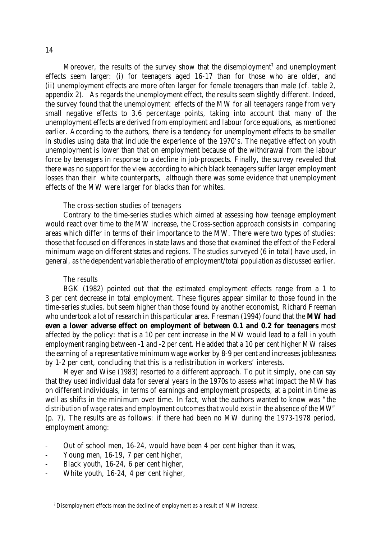Moreover, the results of the survey show that the disemployment<sup>7</sup> and unemployment effects seem larger: (i) for teenagers aged 16-17 than for those who are older, and (ii) unemployment effects are more often larger for female teenagers than male (cf. table 2, appendix 2). As regards the unemployment effect, the results seem slightly different. Indeed, the survey found that the unemployment effects of the MW for all teenagers range from very small negative effects to 3.6 percentage points, taking into account that many of the unemployment effects are derived from employment and labour force equations, as mentioned earlier. According to the authors, there is a tendency for unemployment effects to be smaller in studies using data that include the experience of the 1970's. The negative effect on youth unemployment is lower than that on employment because of the withdrawal from the labour force by teenagers in response to a decline in job-prospects. Finally, the survey revealed that there was no support for the view according to which black teenagers suffer larger employment losses than their white counterparts, although there was some evidence that unemployment effects of the MW were larger for blacks than for whites.

#### *The cross-section studies of teenagers*

Contrary to the time-series studies which aimed at assessing how teenage employment would react over time to the MW increase, the Cross-section approach consists in comparing areas which differ in terms of their importance to the MW. There were two types of studies: those that focused on differences in state laws and those that examined the effect of the Federal minimum wage on different states and regions. The studies surveyed (6 in total) have used, in general, as the dependent variable the ratio of employment/total population as discussed earlier.

#### *The results*

BGK (1982) pointed out that the estimated employment effects range from a 1 to 3 per cent decrease in total employment. These figures appear similar to those found in the time-series studies, but seem higher than those found by another economist, Richard Freeman who undertook a lot of research in this particular area. Freeman (1994) found that the **MW had even a lower adverse effect on employment of between 0.1 and 0.2 for teenagers** most affected by the policy: that is a 10 per cent increase in the MW would lead to a fall in youth employment ranging between -1 and -2 per cent. He added that a 10 per cent higher MW raises the earning of a representative minimum wage worker by 8-9 per cent and increases joblessness by 1-2 per cent, concluding that this is a redistribution in workers' interests.

Meyer and Wise (1983) resorted to a different approach. To put it simply, one can say that they used individual data for several years in the 1970s to assess what impact the MW has on different individuals, in terms of earnings and employment prospects, at a point in time as well as shifts in the minimum over time. In fact, what the authors wanted to know was *"the distribution of wage rates and employment outcomes that would exist in the absence of the MW"* (p. 7). The results are as follows: if there had been no MW during the 1973-1978 period, employment among:

- Out of school men, 16-24, would have been 4 per cent higher than it was,
- Young men, 16-19, 7 per cent higher,
- Black youth, 16-24, 6 per cent higher,
- White youth, 16-24, 4 per cent higher,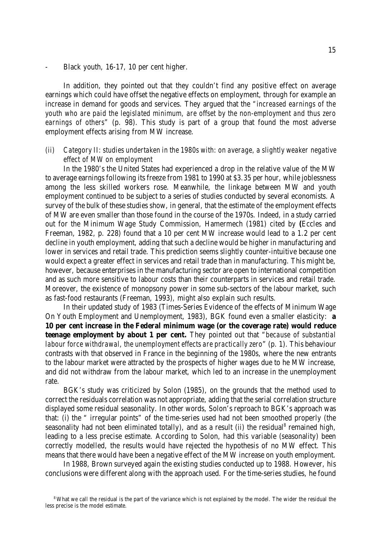Black youth, 16-17, 10 per cent higher.

In addition, they pointed out that they couldn't find any positive effect on average earnings which could have offset the negative effects on employment, through for example an increase in demand for goods and services. They argued that the *"increased earnings of the youth who are paid the legislated minimum, are offset by the non-employment and thus zero earnings of others*" (p. 98). This study is part of a group that found the most adverse employment effects arising from MW increase.

*(ii) Category II: studies undertaken in the 1980s with: on average, a slightly weaker negative effect of MW on employment*

In the 1980's the United States had experienced a drop in the relative value of the MW to average earnings following its freeze from 1981 to 1990 at \$3.35 per hour, while joblessness among the less skilled workers rose. Meanwhile, the linkage between MW and youth employment continued to be subject to a series of studies conducted by several economists. A survey of the bulk of these studies show, in general, that the estimate of the employment effects of MW are even smaller than those found in the course of the 1970s. Indeed, in a study carried out for the Minimum Wage Study Commission, Hamermech (1981) cited by **(**Eccles and Freeman, 1982, p. 228) found that a 10 per cent MW increase would lead to a 1.2 per cent decline in youth employment, adding that such a decline would be higher in manufacturing and lower in services and retail trade. This prediction seems slightly counter-intuitive because one would expect a greater effect in services and retail trade than in manufacturing. This might be, however, because enterprises in the manufacturing sector are open to international competition and as such more sensitive to labour costs than their counterparts in services and retail trade. Moreover, the existence of monopsony power in some sub-sectors of the labour market, such as fast-food restaurants (Freeman, 1993), might also explain such results.

In their updated study of 1983 (Times-Series Evidence of the effects of Minimum Wage On Youth Employment and Unemployment, 1983), BGK found even a smaller elasticity: **a 10 per cent increase in the Federal minimum wage (or the coverage rate) would reduce teenage employment by about 1 per cent.** They pointed out that "*because of substantial labour force withdrawal, the unemployment effects are practically zero*" (p. 1). This behaviour contrasts with that observed in France in the beginning of the 1980s, where the new entrants to the labour market were attracted by the prospects of higher wages due to he MW increase, and did not withdraw from the labour market, which led to an increase in the unemployment rate.

BGK's study was criticized by Solon (1985), on the grounds that the method used to correct the residuals correlation was not appropriate, adding that the serial correlation structure displayed some residual seasonality. In other words, Solon's reproach to BGK's approach was that: (i) the " irregular points" of the time-series used had not been smoothed properly (the seasonality had not been eliminated totally), and as a result (ii) the residual<sup>8</sup> remained high, leading to a less precise estimate. According to Solon, had this variable (seasonality) been correctly modelled, the results would have rejected the hypothesis of no MW effect. This means that there would have been a negative effect of the MW increase on youth employment.

In 1988, Brown surveyed again the existing studies conducted up to 1988. However, his conclusions were different along with the approach used. For the time-series studies, he found

<sup>8</sup> What we call the residual is the part of the variance which is not explained by the model. The wider the residual the less precise is the model estimate.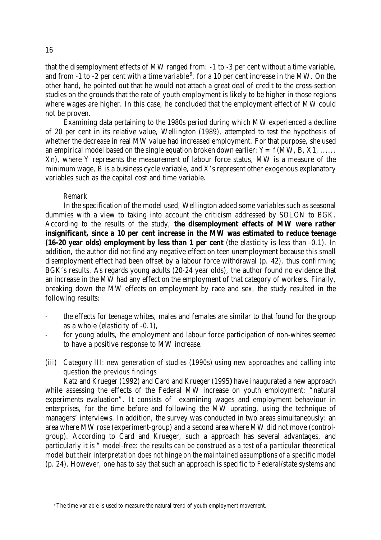that the disemployment effects of MW ranged from: -1 to -3 per cent without a time variable, and from -1 to -2 per cent with a time variable<sup>9</sup>, for a 10 per cent increase in the MW. On the other hand, he pointed out that he would not attach a great deal of credit to the cross-section studies on the grounds that the rate of youth employment is likely to be higher in those regions where wages are higher. In this case, he concluded that the employment effect of MW could not be proven.

Examining data pertaining to the 1980s period during which MW experienced a decline of 20 per cent in its relative value, Wellington (1989), attempted to test the hypothesis of whether the decrease in real MW value had increased employment. For that purpose, she used an empirical model based on the single equation broken down earlier:  $Y = f(MW, B, X1, \ldots)$ Xn), where Y represents the measurement of labour force status, MW is a measure of the minimum wage, B is a business cycle variable, and X's represent other exogenous explanatory variables such as the capital cost and time variable.

#### *Remark*

In the specification of the model used, Wellington added some variables such as seasonal dummies with a view to taking into account the criticism addressed by SOLON to BGK. According to the results of the study, **the disemployment effects of MW were rather insignificant, since a 10 per cent increase in the MW was estimated to reduce teenage (16-20 year olds) employment by less than 1 per cent** (the elasticity is less than -0.1). In addition, the author did not find any negative effect on teen unemployment because this small disemployment effect had been offset by a labour force withdrawal (p. 42), thus confirming BGK's results. As regards young adults (20-24 year olds), the author found no evidence that an increase in the MW had any effect on the employment of that category of workers. Finally, breaking down the MW effects on employment by race and sex, the study resulted in the following results:

- the effects for teenage whites, males and females are similar to that found for the group as a whole (elasticity of -0.1),
- for young adults, the employment and labour force participation of non-whites seemed to have a positive response to MW increase.
- *(iii) Category III: new generation of studies (1990s) using new approaches and calling into question the previous findings*

Katz and Krueger (1992) and Card and Krueger (1995**)** have inaugurated a new approach while assessing the effects of the Federal MW increase on youth employment: "natural experiments evaluation". It consists of examining wages and employment behaviour in enterprises, for the time before and following the MW uprating, using the technique of managers' interviews. In addition, the survey was conducted in two areas simultaneously: an area where MW rose (experiment-group) and a second area where MW did not move (controlgroup). According to Card and Krueger, such a approach has several advantages, and particularly it is " *model-free: the results can be construed as a test of a particular theoretical model but their interpretation does not hinge on the maintained assumptions of a specific model* (p. 24). However, one has to say that such an approach is specific to Federal/state systems and

<sup>&</sup>lt;sup>9</sup> The time variable is used to measure the natural trend of youth employment movement.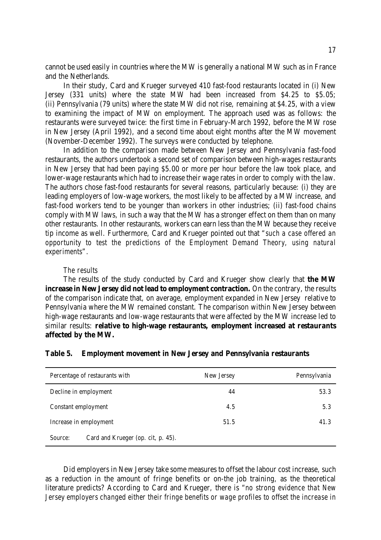cannot be used easily in countries where the MW is generally a national MW such as in France and the Netherlands.

In their study, Card and Krueger surveyed 410 fast-food restaurants located in (i) New Jersey (331 units) where the state MW had been increased from \$4.25 to \$5.05; (ii) Pennsylvania (79 units) where the state MW did not rise, remaining at \$4.25, with a view to examining the impact of MW on employment. The approach used was as follows: the restaurants were surveyed twice: the first time in February-March 1992, before the MW rose in New Jersey (April 1992), and a second time about eight months after the MW movement (November-December 1992). The surveys were conducted by telephone.

In addition to the comparison made between New Jersey and Pennsylvania fast-food restaurants, the authors undertook a second set of comparison between high-wages restaurants in New Jersey that had been paying \$5.00 or more per hour before the law took place, and lower-wage restaurants which had to increase their wage rates in order to comply with the law. The authors chose fast-food restaurants for several reasons, particularly because: (i) they are leading employers of low-wage workers, the most likely to be affected by a MW increase, and fast-food workers tend to be younger than workers in other industries; (ii) fast-food chains comply with MW laws, in such a way that the MW has a stronger effect on them than on many other restaurants. In other restaurants, workers can earn less than the MW because they receive tip income as well. Furthermore, Card and Krueger pointed out that "*such a case offered an opportunity to test the predictions of the Employment Demand Theory, using natural experiments*".

#### *The results*

The results of the study conducted by Card and Krueger show clearly that **the MW increase in New Jersey did not lead to employment contraction.** On the contrary, the results of the comparison indicate that, on average, employment expanded in New Jersey relative to Pennsylvania where the MW remained constant. The comparison within New Jersey between high-wage restaurants and low-wage restaurants that were affected by the MW increase led to similar results: **relative to high-wage restaurants, employment increased at restaurants affected by the MW.**

|                        | Percentage of restaurants with     | New Jersey | Pennsylvania |
|------------------------|------------------------------------|------------|--------------|
| Decline in employment  |                                    | 44         | 53.3         |
| Constant employment    |                                    | 4.5        | 5.3          |
| Increase in employment |                                    | 51.5       | 41.3         |
| Source:                | Card and Krueger (op. cit, p. 45). |            |              |

#### **Table 5. Employment movement in New Jersey and Pennsylvania restaurants**

Did employers in New Jersey take some measures to offset the labour cost increase, such as a reduction in the amount of fringe benefits or on-the job training, as the theoretical literature predicts? According to Card and Krueger, there is "*no strong evidence that New Jersey employers changed either their fringe benefits or wage profiles to offset the increase in*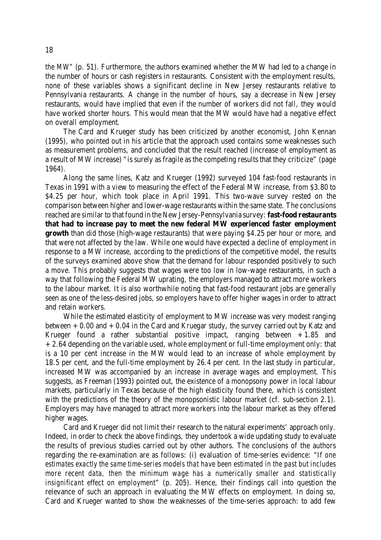*the MW*" (p. 51). Furthermore, the authors examined whether the MW had led to a change in the number of hours or cash registers in restaurants. Consistent with the employment results, none of these variables shows a significant decline in New Jersey restaurants relative to Pennsylvania restaurants. A change in the number of hours, say a decrease in New Jersey restaurants, would have implied that even if the number of workers did not fall, they would have worked shorter hours. This would mean that the MW would have had a negative effect on overall employment.

The Card and Krueger study has been criticized by another economist, John Kennan (1995), who pointed out in his article that the approach used contains some weaknesses such as measurement problems, and concluded that the result reached (increase of employment as a result of MW increase) "is surely as fragile as the competing results that they criticize" (page 1964).

Along the same lines, Katz and Krueger (1992) surveyed 104 fast-food restaurants in Texas in 1991 with a view to measuring the effect of the Federal MW increase, from \$3.80 to \$4.25 per hour, which took place in April 1991. This two-wave survey rested on the comparison between higher and lower-wage restaurants within the same state. The conclusions reached are similar to that found in the New Jersey-Pennsylvania survey: **fast-food restaurants that had to increase pay to meet the new federal MW experienced faster employment growth** than did those (high-wage restaurants) that were paying \$4.25 per hour or more, and that were not affected by the law. While one would have expected a decline of employment in response to a MW increase, according to the predictions of the competitive model, the results of the surveys examined above show that the demand for labour responded positively to such a move. This probably suggests that wages were too low in low-wage restaurants, in such a way that following the Federal MW uprating, the employers managed to attract more workers to the labour market. It is also worthwhile noting that fast-food restaurant jobs are generally seen as one of the less-desired jobs, so employers have to offer higher wages in order to attract and retain workers.

While the estimated elasticity of employment to MW increase was very modest ranging between  $+0.00$  and  $+0.04$  in the Card and Kruegar study, the survey carried out by Katz and Krueger found a rather substantial positive impact, ranging between  $+1.85$  and +2.64 depending on the variable used, whole employment or full-time employment only: that is a 10 per cent increase in the MW would lead to an increase of whole employment by 18.5 per cent, and the full-time employment by 26.4 per cent. In the last study in particular, increased MW was accompanied by an increase in average wages and employment. This suggests, as Freeman (1993) pointed out, the existence of a monopsony power in local labour markets, particularly in Texas because of the high elasticity found there, which is consistent with the predictions of the theory of the monopsonistic labour market (cf. sub-section 2.1). Employers may have managed to attract more workers into the labour market as they offered higher wages.

Card and Krueger did not limit their research to the natural experiments' approach only. Indeed, in order to check the above findings, they undertook a wide updating study to evaluate the results of previous studies carried out by other authors. The conclusions of the authors regarding the re-examination are as follows: (i) evaluation of time-series evidence: "*If one estimates exactly the same time-series models that have been estimated in the past but includes more recent data, then the minimum wage has a numerically smaller and statistically insignificant effect on employment*" (p. 205). Hence, their findings call into question the relevance of such an approach in evaluating the MW effects on employment. In doing so, Card and Krueger wanted to show the weaknesses of the time-series approach: to add few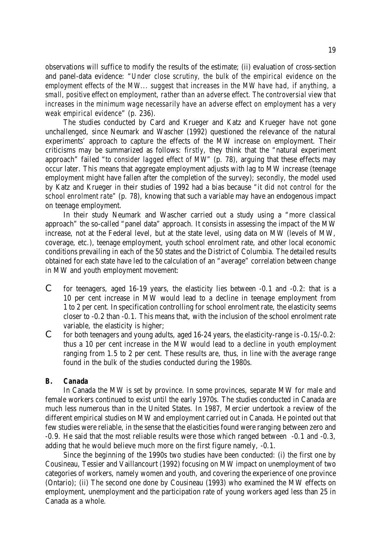observations will suffice to modify the results of the estimate; (ii) evaluation of cross-section and panel-data evidence: "*Under close scrutiny, the bulk of the empirical evidence on the employment effects of the MW... suggest that increases in the MW have had, if anything, a small, positive effect on employment, rather than an adverse effect. The controversial view that increases in the minimum wage necessarily have an adverse effect on employment has a very weak empirical evidence*" (p. 236).

The studies conducted by Card and Krueger and Katz and Krueger have not gone unchallenged, since Neumark and Wascher (1992) questioned the relevance of the natural experiments' approach to capture the effects of the MW increase on employment. Their criticisms may be summarized as follows: *firstly*, they think that the "natural experiment approach" failed "*to consider lagged effect of MW*" (p. 78), arguing that these effects may occur later. This means that aggregate employment adjusts with lag to MW increase (teenage employment might have fallen after the completion of the survey)*; secondly,* the model used by Katz and Krueger in their studies of 1992 had a bias because *"it did not control for the school enrolment rate"* (p. 78), knowing that such a variable may have an endogenous impact on teenage employment.

In their study Neumark and Wascher carried out a study using a "more classical approach" the so-called "panel data" approach. It consists in assessing the impact of the MW increase, not at the Federal level, but at the state level, using data on MW (levels of MW, coverage, etc.), teenage employment, youth school enrolment rate, and other local economic conditions prevailing in each of the 50 states and the District of Columbia. The detailed results obtained for each state have led to the calculation of an "average" correlation between change in MW and youth employment movement:

- C for teenagers, aged 16-19 years, the elasticity lies between -0.1 and -0.2: that is a 10 per cent increase in MW would lead to a decline in teenage employment from 1 to 2 per cent. In specification controlling for school enrolment rate, the elasticity seems closer to -0.2 than -0.1. This means that, with the inclusion of the school enrolment rate variable, the elasticity is higher;
- C for both teenagers and young adults, aged  $16-24$  years, the elasticity-range is  $-0.15/-0.2$ : thus a 10 per cent increase in the MW would lead to a decline in youth employment ranging from 1.5 to 2 per cent. These results are, thus, in line with the average range found in the bulk of the studies conducted during the 1980s.

#### *B. Canada*

In Canada the MW is set by province. In some provinces, separate MW for male and female workers continued to exist until the early 1970s. The studies conducted in Canada are much less numerous than in the United States. In 1987, Mercier undertook a review of the different empirical studies on MW and employment carried out in Canada. He pointed out that few studies were reliable, in the sense that the elasticities found were ranging between zero and -0.9. He said that the most reliable results were those which ranged between -0.1 and -0.3, adding that he would believe much more on the first figure namely, -0.1.

Since the beginning of the 1990s two studies have been conducted: (i) the first one by Cousineau, Tessier and Vaillancourt (1992) focusing on MW impact on unemployment of two categories of workers, namely women and youth, and covering the experience of one province (Ontario); (ii) The second one done by Cousineau (1993) who examined the MW effects on employment, unemployment and the participation rate of young workers aged less than 25 in Canada as a whole.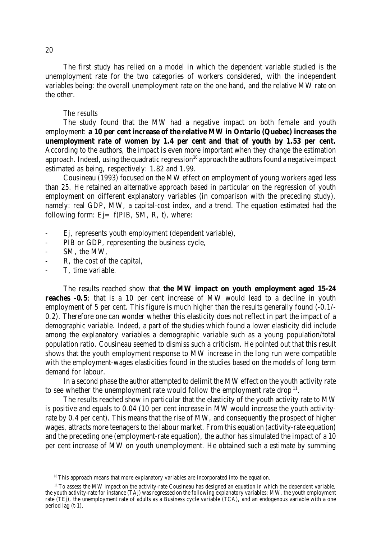The first study has relied on a model in which the dependent variable studied is the unemployment rate for the two categories of workers considered, with the independent variables being: the overall unemployment rate on the one hand, and the relative MW rate on the other.

#### *The results*

The study found that the MW had a negative impact on both female and youth employment: **a 10 per cent increase of the relative MW in Ontario (Quebec) increases the unemployment rate of women by 1.4 per cent and that of youth by 1.53 per cent.** According to the authors, the impact is even more important when they change the estimation approach. Indeed, using the quadratic regression<sup>10</sup> approach the authors found a negative impact estimated as being, respectively: 1.82 and 1.99.

Cousineau (1993) focused on the MW effect on employment of young workers aged less than 25. He retained an alternative approach based in particular on the regression of youth employment on different explanatory variables (in comparison with the preceding study), namely: real GDP, MW, a capital-cost index, and a trend. The equation estimated had the following form:  $Ej = f(PIB, SM, R, t)$ , where:

- Ej, represents youth employment (dependent variable),
- PIB or GDP, representing the business cycle,
- SM, the MW,
- R, the cost of the capital,
- T, time variable.

The results reached show that **the MW impact on youth employment aged 15-24 reaches**  $-0.5$ : that is a 10 per cent increase of MW would lead to a decline in youth employment of 5 per cent. This figure is much higher than the results generally found (-0.1/- 0.2). Therefore one can wonder whether this elasticity does not reflect in part the impact of a demographic variable. Indeed, a part of the studies which found a lower elasticity did include among the explanatory variables a demographic variable such as a young population/total population ratio. Cousineau seemed to dismiss such a criticism. He pointed out that this result shows that the youth employment response to MW increase in the long run were compatible with the employment-wages elasticities found in the studies based on the models of long term demand for labour.

In a second phase the author attempted to delimit the MW effect on the youth activity rate to see whether the unemployment rate would follow the employment rate drop<sup>11</sup>.

The results reached show in particular that the elasticity of the youth activity rate to MW is positive and equals to 0.04 (10 per cent increase in MW would increase the youth activityrate by 0.4 per cent). This means that the rise of MW, and consequently the prospect of higher wages, attracts more teenagers to the labour market. From this equation (activity-rate equation) and the preceding one (employment-rate equation), the author has simulated the impact of a 10 per cent increase of MW on youth unemployment. He obtained such a estimate by summing

<sup>&</sup>lt;sup>10</sup> This approach means that more explanatory variables are incorporated into the equation.

<sup>&</sup>lt;sup>11</sup> To assess the MW impact on the activity-rate Cousineau has designed an equation in which the dependent variable, the youth activity-rate for instance (TAj) wasregressed on the following explanatory variables: MW, the youth employment rate (TEj), the unemployment rate of adults as a Business cycle variable (TCA), and an endogenous variable with a one period lag (t-1).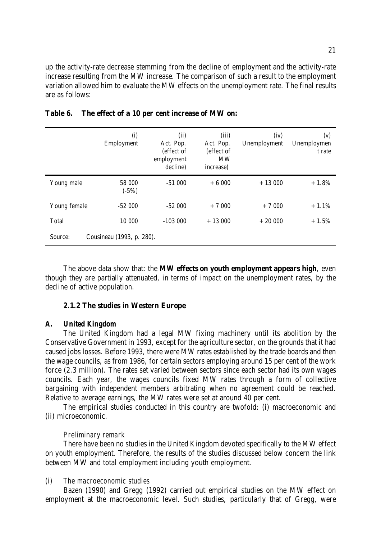up the activity-rate decrease stemming from the decline of employment and the activity-rate increase resulting from the MW increase. The comparison of such a result to the employment variation allowed him to evaluate the MW effects on the unemployment rate. The final results are as follows:

|              | (i)<br>Employment         | (ii)<br>Act. Pop.<br>(effect of<br>employment<br>decline) | (iii)<br>Act. Pop.<br>(effect of<br><b>MW</b><br>increase) | (iv)<br>Unemployment | (v)<br>Unemploymen<br>t rate |
|--------------|---------------------------|-----------------------------------------------------------|------------------------------------------------------------|----------------------|------------------------------|
| Young male   | 58 000<br>$(-5%)$         | $-51000$                                                  | $+6000$                                                    | $+13000$             | $+1.8%$                      |
| Young female | $-52000$                  | $-52000$                                                  | $+7000$                                                    | $+7000$              | $+1.1%$                      |
| Total        | 10 000                    | $-103000$                                                 | $+13000$                                                   | $+20000$             | $+1.5%$                      |
| Source:      | Cousineau (1993, p. 280). |                                                           |                                                            |                      |                              |

|  | Table 6. The effect of a 10 per cent increase of MW on: |  |  |  |  |  |
|--|---------------------------------------------------------|--|--|--|--|--|
|--|---------------------------------------------------------|--|--|--|--|--|

The above data show that: the **MW effects on youth employment appears high**, even though they are partially attenuated, in terms of impact on the unemployment rates, by the decline of active population.

#### **2.1.2 The studies in Western Europe**

#### *A. United Kingdom*

The United Kingdom had a legal MW fixing machinery until its abolition by the Conservative Government in 1993, except for the agriculture sector, on the grounds that it had caused jobs losses. Before 1993, there were MW rates established by the trade boards and then the wage councils, as from 1986, for certain sectors employing around 15 per cent of the work force (2.3 million). The rates set varied between sectors since each sector had its own wages councils. Each year, the wages councils fixed MW rates through a form of collective bargaining with independent members arbitrating when no agreement could be reached. Relative to average earnings, the MW rates were set at around 40 per cent.

The empirical studies conducted in this country are twofold: (i) macroeconomic and (ii) microeconomic.

#### *Preliminary remark*

There have been no studies in the United Kingdom devoted specifically to the MW effect on youth employment. Therefore, the results of the studies discussed below concern the link between MW and total employment including youth employment.

#### *(i) The macroeconomic studies*

Bazen (1990) and Gregg (1992) carried out empirical studies on the MW effect on employment at the macroeconomic level. Such studies, particularly that of Gregg, were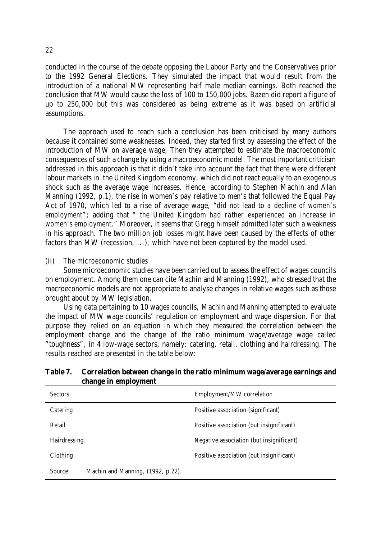conducted in the course of the debate opposing the Labour Party and the Conservatives prior to the 1992 General Elections. They simulated the impact that would result from the introduction of a national MW representing half male median earnings. Both reached the conclusion that MW would cause the loss of 100 to 150,000 jobs. Bazen did report a figure of up to 250,000 but this was considered as being extreme as it was based on artificial assumptions.

The approach used to reach such a conclusion has been criticised by many authors because it contained some weaknesses. Indeed, they started first by assessing the effect of the introduction of MW on average wage; Then they attempted to estimate the macroeconomic consequences of such a change by using a macroeconomic model. The most important criticism addressed in this approach is that it didn't take into account the fact that there were different labour markets in the United Kingdom economy, which did not react equally to an exogenous shock such as the average wage increases. Hence, according to Stephen Machin and Alan Manning (1992, p.1), the rise in women's pay relative to men's that followed the Equal Pay Act of 1970, which led to a rise of average wage, "*did not lead to a decline of women's employment*"; adding that " *the United Kingdom had rather experienced an increase in women's employment.*" Moreover, it seems that Gregg himself admitted later such a weakness in his approach. The two million job losses might have been caused by the effects of other factors than MW (recession, ...), which have not been captured by the model used.

#### *(ii) The microeconomic studies*

Some microeconomic studies have been carried out to assess the effect of wages councils on employment. Among them one can cite Machin and Manning (1992), who stressed that the macroeconomic models are not appropriate to analyse changes in relative wages such as those brought about by MW legislation.

Using data pertaining to 10 wages councils, Machin and Manning attempted to evaluate the impact of MW wage councils' regulation on employment and wage dispersion. For that purpose they relied on an equation in which they measured the correlation between the employment change and the change of the ratio minimum wage/average wage called "toughness", in 4 low-wage sectors, namely: catering, retail, clothing and hairdressing. The results reached are presented in the table below:

| Table 7. Correlation between change in the ratio minimum wage/average earnings and |  |
|------------------------------------------------------------------------------------|--|
| change in employment                                                               |  |

| <b>Sectors</b>                               | Employment/MW correlation                |  |  |  |  |  |
|----------------------------------------------|------------------------------------------|--|--|--|--|--|
| Catering                                     | Positive association (significant)       |  |  |  |  |  |
| Retail                                       | Positive association (but insignificant) |  |  |  |  |  |
| Hairdressing                                 | Negative association (but insignificant) |  |  |  |  |  |
| Clothing                                     | Positive association (but insignificant) |  |  |  |  |  |
| Machin and Manning, (1992, p.22).<br>Source: |                                          |  |  |  |  |  |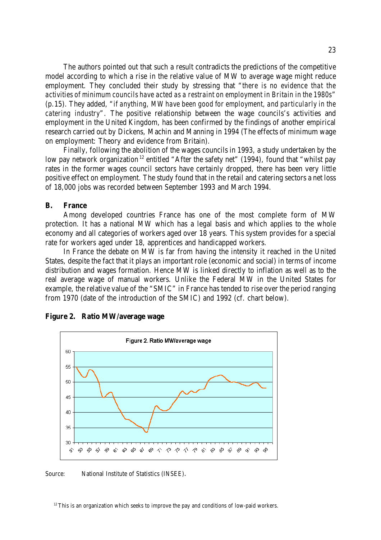The authors pointed out that such a result contradicts the predictions of the competitive model according to which a rise in the relative value of MW to average wage might reduce employment. They concluded their study by stressing that "*there is no evidence that the activities of minimum councils have acted as a restraint on employment in Britain in the 1980s*" (p.15). They added, "*if anything, MW have been good for employment, and particularly in the catering industry*". The positive relationship between the wage councils's activities and employment in the United Kingdom, has been confirmed by the findings of another empirical research carried out by Dickens, Machin and Manning in 1994 (The effects of minimum wage on employment: Theory and evidence from Britain).

Finally, following the abolition of the wages councils in 1993, a study undertaken by the low pay network organization <sup>12</sup> entitled "After the safety net" (1994), found that "whilst pay rates in the former wages council sectors have certainly dropped, there has been very little positive effect on employment. The study found that in the retail and catering sectors a net loss of 18,000 jobs was recorded between September 1993 and March 1994.

#### **B. France**

Among developed countries France has one of the most complete form of MW protection. It has a national MW which has a legal basis and which applies to the whole economy and all categories of workers aged over 18 years. This system provides for a special rate for workers aged under 18, apprentices and handicapped workers.

In France the debate on MW is far from having the intensity it reached in the United States, despite the fact that it plays an important role (economic and social) in terms of income distribution and wages formation. Hence MW is linked directly to inflation as well as to the real average wage of manual workers. Unlike the Federal MW in the United States for example, the relative value of the "SMIC" in France has tended to rise over the period ranging from 1970 (date of the introduction of the SMIC) and 1992 (cf. chart below).



#### **Figure 2. Ratio MW/average wage**

Source: National Institute of Statistics (INSEE).

 $12$  This is an organization which seeks to improve the pay and conditions of low-paid workers.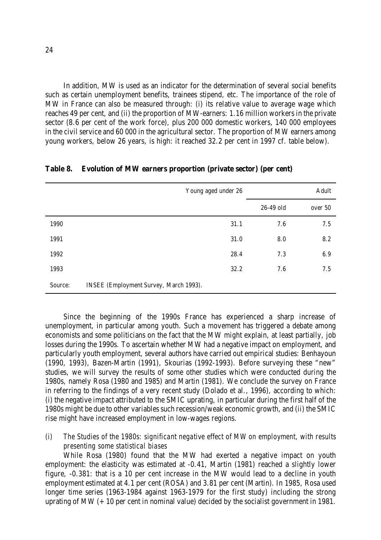In addition, MW is used as an indicator for the determination of several social benefits such as certain unemployment benefits, trainees stipend, etc. The importance of the role of MW in France can also be measured through: (i) its relative value to average wage which reaches 49 per cent, and (ii) the proportion of MW-earners: 1.16 million workers in the private sector (8.6 per cent of the work force), plus 200 000 domestic workers, 140 000 employees in the civil service and 60 000 in the agricultural sector. The proportion of MW earners among young workers, below 26 years, is high: it reached 32.2 per cent in 1997 cf. table below).

|         | Young aged under 26                    |      |           | Adult   |
|---------|----------------------------------------|------|-----------|---------|
|         |                                        |      | 26-49 old | over 50 |
| 1990    | 31.1                                   |      | 7.6       | 7.5     |
| 1991    |                                        | 31.0 | 8.0       | 8.2     |
| 1992    | 28.4                                   |      | 7.3       | 6.9     |
| 1993    | 32.2                                   |      | 7.6       | 7.5     |
| Source: | INSEE (Employment Survey, March 1993). |      |           |         |

**Table 8. Evolution of MW earners proportion (private sector) (per cent)**

Since the beginning of the 1990s France has experienced a sharp increase of unemployment, in particular among youth. Such a movement has triggered a debate among economists and some politicians on the fact that the MW might explain, at least partially, job losses during the 1990s. To ascertain whether MW had a negative impact on employment, and particularly youth employment, several authors have carried out empirical studies: Benhayoun (1990, 1993), Bazen-Martin (1991), Skourias (1992-1993). Before surveying these "new" studies, we will survey the results of some other studies which were conducted during the 1980s, namely Rosa (1980 and 1985) and Martin (1981). We conclude the survey on France in referring to the findings of a very recent study (Dolado et al., 1996), according to which: (i) the negative impact attributed to the SMIC uprating, in particular during the first half of the 1980s might be due to other variables such recession/weak economic growth, and (ii) the SMIC rise might have increased employment in low-wages regions.

#### *(i) The Studies of the 1980s: significant negative effect of MW on employment, with results presenting some statistical biases*

While Rosa (1980) found that the MW had exerted a negative impact on youth employment: the elasticity was estimated at -0.41, Martin (1981) reached a slightly lower figure, -0.381: that is a 10 per cent increase in the MW would lead to a decline in youth employment estimated at 4.1 per cent (ROSA) and 3.81 per cent (Martin). In 1985, Rosa used longer time series (1963-1984 against 1963-1979 for the first study) including the strong uprating of MW  $(+10$  per cent in nominal value) decided by the socialist government in 1981.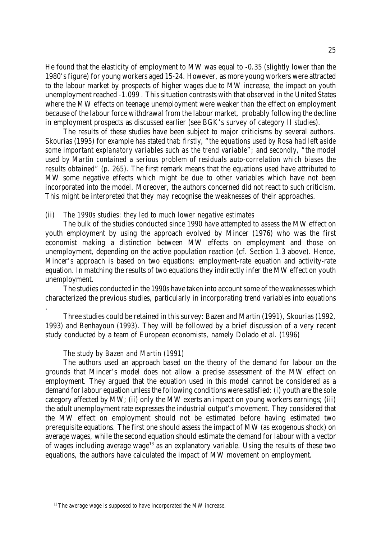He found that the elasticity of employment to MW was equal to -0.35 (slightly lower than the 1980's figure) for young workers aged 15-24. However, as more young workers were attracted to the labour market by prospects of higher wages due to MW increase, the impact on youth unemployment reached -1.099 . This situation contrasts with that observed in the United States where the MW effects on teenage unemployment were weaker than the effect on employment because of the labour force withdrawal from the labour market, probably following the decline in employment prospects as discussed earlier (see BGK's survey of category II studies).

The results of these studies have been subject to major criticisms by several authors. Skourias (1995) for example has stated that: *firstly*, "*the equations used by Rosa had left aside some important explanatory variables such as the trend variable*"; and *secondly*, "*the model used by Martin contained a serious problem of residuals auto-correlation which biases the results obtained*" (p. 265). The first remark means that the equations used have attributed to MW some negative effects which might be due to other variables which have not been incorporated into the model. Moreover, the authors concerned did not react to such criticism. This might be interpreted that they may recognise the weaknesses of their approaches.

#### *(ii) The 1990s studies: they led to much lower negative estimates*

The bulk of the studies conducted since 1990 have attempted to assess the MW effect on youth employment by using the approach evolved by Mincer (1976) who was the first economist making a distinction between MW effects on employment and those on unemployment, depending on the active population reaction (cf. Section 1.3 above). Hence, Mincer's approach is based on two equations: employment-rate equation and activity-rate equation. In matching the results of two equations they indirectly infer the MW effect on youth unemployment.

The studies conducted in the 1990s have taken into account some of the weaknesses which characterized the previous studies, particularly in incorporating trend variables into equations

Three studies could be retained in this survey: Bazen and Martin (1991), Skourias (1992, 1993) and Benhayoun (1993). They will be followed by a brief discussion of a very recent study conducted by a team of European economists, namely Dolado et al. (1996)

#### *The study by Bazen and Martin (1991)*

.

The authors used an approach based on the theory of the demand for labour on the grounds that Mincer's model does not allow a precise assessment of the MW effect on employment. They argued that the equation used in this model cannot be considered as a demand for labour equation unless the following conditions were satisfied: (i) youth are the sole category affected by MW; (ii) only the MW exerts an impact on young workers earnings; (iii) the adult unemployment rate expresses the industrial output's movement. They considered that the MW effect on employment should not be estimated before having estimated two prerequisite equations. The first one should assess the impact of MW (as exogenous shock) on average wages, while the second equation should estimate the demand for labour with a vector of wages including average wage<sup>13</sup> as an explanatory variable. Using the results of these two equations, the authors have calculated the impact of MW movement on employment.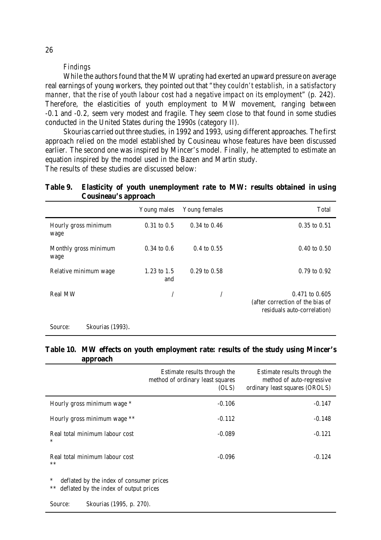#### *Findings*

While the authors found that the MW uprating had exerted an upward pressure on average real earnings of young workers, they pointed out that "*they couldn't establish, in a satisfactory manner, that the rise of youth labour cost had a negative impact on its employment*" (p. 242). Therefore, the elasticities of youth employment to MW movement, ranging between -0.1 and -0.2, seem very modest and fragile. They seem close to that found in some studies conducted in the United States during the 1990s (category II).

Skourias carried out three studies, in 1992 and 1993, using different approaches. The first approach relied on the model established by Cousineau whose features have been discussed earlier. The second one was inspired by Mincer's model. Finally, he attempted to estimate an equation inspired by the model used in the Bazen and Martin study.

The results of these studies are discussed below:

#### **Table 9. Elasticity of youth unemployment rate to MW: results obtained in using Cousineau's approach**

|                               | Young males        | Young females    | Total                                                                                 |
|-------------------------------|--------------------|------------------|---------------------------------------------------------------------------------------|
| Hourly gross minimum<br>wage  | $0.31$ to $0.5$    | $0.34$ to $0.46$ | $0.35$ to $0.51$                                                                      |
| Monthly gross minimum<br>wage | $0.34$ to $0.6$    | $0.4$ to $0.55$  | $0.40$ to $0.50$                                                                      |
| Relative minimum wage         | 1.23 to 1.5<br>and | $0.29$ to $0.58$ | $0.79$ to $0.92$                                                                      |
| <b>Real MW</b>                |                    |                  | $0.471$ to $0.605$<br>(after correction of the bias of<br>residuals auto-correlation) |

Source: Skourias (1993).

#### **Table 10. MW effects on youth employment rate: results of the study using Mincer's approach**

|                                          | Estimate results through the<br>method of ordinary least squares<br>(OLS) | Estimate results through the<br>method of auto-regressive<br>ordinary least squares (OROLS) |
|------------------------------------------|---------------------------------------------------------------------------|---------------------------------------------------------------------------------------------|
| Hourly gross minimum wage *              | $-0.106$                                                                  | $-0.147$                                                                                    |
| Hourly gross minimum wage **             | $-0.112$                                                                  | $-0.148$                                                                                    |
| Real total minimum labour cost<br>$\ast$ | $-0.089$                                                                  | $-0.121$                                                                                    |
| Real total minimum labour cost<br>$**$   | $-0.096$                                                                  | $-0.124$                                                                                    |

deflated by the index of consumer prices

\*\* deflated by the index of output prices

Source: Skourias (1995, p. 270).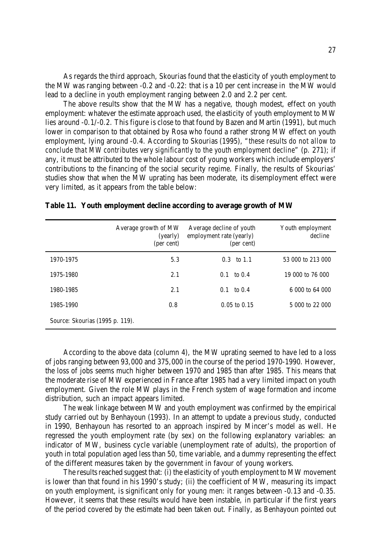As regards the third approach, Skourias found that the elasticity of youth employment to the MW was ranging between -0.2 and -0.22: that is a 10 per cent increase in the MW would lead to a decline in youth employment ranging between 2.0 and 2.2 per cent.

The above results show that the MW has a negative, though modest, effect on youth employment: whatever the estimate approach used, the elasticity of youth employment to MW lies around -0.1/-0.2. This figure is close to that found by Bazen and Martin (1991), but much lower in comparison to that obtained by Rosa who found a rather strong MW effect on youth employment, lying around -0.4. According to Skourias (1995), "*these results do not allow to conclude that MW contributes very significantly to the youth employment decline*" (p. 271); if any, it must be attributed to the whole labour cost of young workers which include employers' contributions to the financing of the social security regime. Finally, the results of Skourias' studies show that when the MW uprating has been moderate, its disemployment effect were very limited, as it appears from the table below:

|                                 | Average growth of MW<br>(yearly)<br>(per cent) | Average decline of youth<br>employment rate (yearly)<br>(per cent) | Youth employment<br>decline |
|---------------------------------|------------------------------------------------|--------------------------------------------------------------------|-----------------------------|
| 1970-1975                       | 5.3                                            | $0.3 \text{ to } 1.1$                                              | 53 000 to 213 000           |
| 1975-1980                       | 2.1                                            | $0.1 \quad \text{to} \; 0.4$                                       | 19 000 to 76 000            |
| 1980-1985                       | 2.1                                            | $0.1 \quad \text{to } 0.4$                                         | 6 000 to 64 000             |
| 1985-1990                       | 0.8                                            | $0.05$ to $0.15$                                                   | 5 000 to 22 000             |
| Source: Skourias (1995 p. 119). |                                                |                                                                    |                             |

|  |  |  |  | Table 11. Youth employment decline according to average growth of MW |  |  |  |
|--|--|--|--|----------------------------------------------------------------------|--|--|--|
|--|--|--|--|----------------------------------------------------------------------|--|--|--|

According to the above data (column 4), the MW uprating seemed to have led to a loss of jobs ranging between 93,000 and 375,000 in the course of the period 1970-1990. However, the loss of jobs seems much higher between 1970 and 1985 than after 1985. This means that the moderate rise of MW experienced in France after 1985 had a very limited impact on youth employment. Given the role MW plays in the French system of wage formation and income distribution, such an impact appears limited.

 The weak linkage between MW and youth employment was confirmed by the empirical study carried out by Benhayoun (1993). In an attempt to update a previous study, conducted in 1990, Benhayoun has resorted to an approach inspired by Mincer's model as well. He regressed the youth employment rate (by sex) on the following explanatory variables: an indicator of MW, business cycle variable (unemployment rate of adults), the proportion of youth in total population aged less than 50, time variable, and a dummy representing the effect of the different measures taken by the government in favour of young workers.

The results reached suggest that: (i) the elasticity of youth employment to MW movement is lower than that found in his 1990's study; (ii) the coefficient of MW, measuring its impact on youth employment, is significant only for young men: it ranges between -0.13 and -0.35. However, it seems that these results would have been instable, in particular if the first years of the period covered by the estimate had been taken out. Finally, as Benhayoun pointed out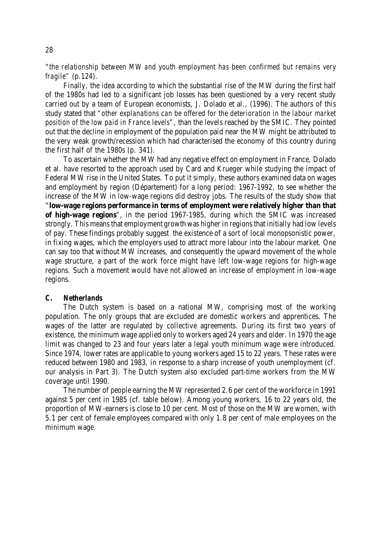"*the relationship between MW and youth employment has been confirmed but remains very fragile*" (p.124).

Finally, the idea according to which the substantial rise of the MW during the first half of the 1980s had led to a significant job losses has been questioned by a very recent study carried out by a team of European economists, J. Dolado et al., (1996). The authors of this study stated that "*other explanations can be offered for the deterioration in the labour market position of the low paid in France levels*", than the levels reached by the SMIC. They pointed out that the decline in employment of the population paid near the MW might be attributed to the very weak growth/recession which had characterised the economy of this country during the first half of the 1980s (p. 341).

To ascertain whether the MW had any negative effect on employment in France, Dolado et al. have resorted to the approach used by Card and Krueger while studying the impact of Federal MW rise in the United States. To put it simply, these authors examined data on wages and employment by region (Département) for a long period: 1967-1992, to see whether the increase of the MW in low-wage regions did destroy jobs. The results of the study show that "**low-wage regions performance in terms of employment were relatively higher than that of high-wage regions**", in the period 1967-1985, during which the SMIC was increased strongly. This means that employment growth was higher in regions that initially had low levels of pay. These findings probably suggest the existence of a sort of local monopsonistic power, in fixing wages, which the employers used to attract more labour into the labour market. One can say too that without MW increases, and consequently the upward movement of the whole wage structure, a part of the work force might have left low-wage regions for high-wage regions. Such a movement would have not allowed an increase of employment in low-wage regions.

#### *C. Netherlands*

The Dutch system is based on a national MW, comprising most of the working population. The only groups that are excluded are domestic workers and apprentices. The wages of the latter are regulated by collective agreements. During its first two years of existence, the minimum wage applied only to workers aged 24 years and older. In 1970 the age limit was changed to 23 and four years later a legal youth minimum wage were introduced. Since 1974, lower rates are applicable to young workers aged 15 to 22 years. These rates were reduced between 1980 and 1983, in response to a sharp increase of youth unemployment (cf. our analysis in Part 3). The Dutch system also excluded part-time workers from the MW coverage until 1990.

The number of people earning the MW represented 2.6 per cent of the workforce in 1991 against 5 per cent in 1985 (cf. table below). Among young workers, 16 to 22 years old, the proportion of MW-earners is close to 10 per cent. Most of those on the MW are women, with 5.1 per cent of female employees compared with only 1.8 per cent of male employees on the minimum wage.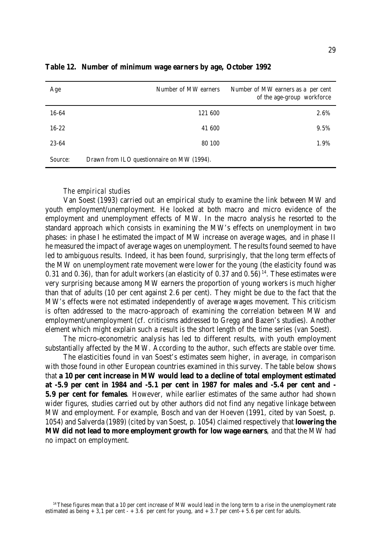| Age       | Number of MW earners                       | Number of MW earners as a per cent<br>of the age-group workforce |  |  |
|-----------|--------------------------------------------|------------------------------------------------------------------|--|--|
| 16-64     | 121 600                                    | 2.6%                                                             |  |  |
| $16 - 22$ | 41 600                                     | 9.5%                                                             |  |  |
| 23-64     | 80 100                                     | 1.9%                                                             |  |  |
| Source:   | Drawn from ILO questionnaire on MW (1994). |                                                                  |  |  |

**Table 12. Number of minimum wage earners by age, October 1992**

#### *The empirical studies*

Van Soest (1993) carried out an empirical study to examine the link between MW and youth employment/unemployment. He looked at both macro and micro evidence of the employment and unemployment effects of MW. In the macro analysis he resorted to the standard approach which consists in examining the MW's effects on unemployment in two phases: in phase I he estimated the impact of MW increase on average wages, and in phase II he measured the impact of average wages on unemployment. The results found seemed to have led to ambiguous results. Indeed, it has been found, surprisingly, that the long term effects of the MW on unemployment rate movement were lower for the young (the elasticity found was 0.31 and 0.36), than for adult workers (an elasticity of 0.37 and 0.56)<sup>14</sup>. These estimates were very surprising because among MW earners the proportion of young workers is much higher than that of adults (10 per cent against 2.6 per cent). They might be due to the fact that the MW's effects were not estimated independently of average wages movement. This criticism is often addressed to the macro-approach of examining the correlation between MW and employment/unemployment (cf. criticisms addressed to Gregg and Bazen's studies). Another element which might explain such a result is the short length of the time series (van Soest).

The micro-econometric analysis has led to different results, with youth employment substantially affected by the MW. According to the author, such effects are stable over time.

The elasticities found in van Soest's estimates seem higher, in average, in comparison with those found in other European countries examined in this survey. The table below shows that **a 10 per cent increase in MW would lead to a decline of total employment estimated at -5.9 per cent in 1984 and -5.1 per cent in 1987 for males and -5.4 per cent and - 5.9 per cent for females**. However, while earlier estimates of the same author had shown wider figures, studies carried out by other authors did not find any negative linkage between MW and employment. For example, Bosch and van der Hoeven (1991, cited by van Soest, p. 1054) and Salverda (1989) (cited by van Soest, p. 1054) claimed respectively that **lowering the MW did not lead to more employment growth for low wage earners**, and that the MW had no impact on employment.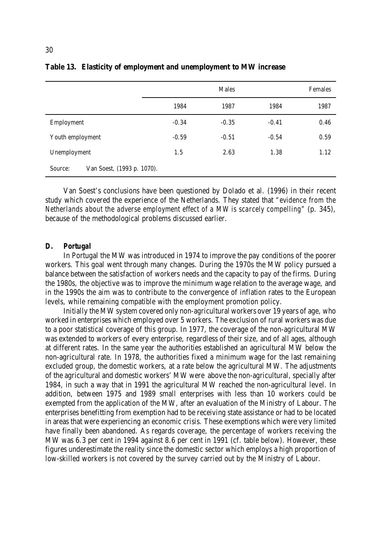|                                       |         | Females |         |      |
|---------------------------------------|---------|---------|---------|------|
|                                       | 1984    | 1987    | 1984    | 1987 |
| Employment                            | $-0.34$ | $-0.35$ | $-0.41$ | 0.46 |
| Youth employment                      | $-0.59$ | $-0.51$ | $-0.54$ | 0.59 |
| Unemployment                          | 1.5     | 2.63    | 1.38    | 1.12 |
| Van Soest, (1993 p. 1070).<br>Source: |         |         |         |      |

# **Table 13. Elasticity of employment and unemployment to MW increase**

Van Soest's conclusions have been questioned by Dolado et al. (1996) in their recent study which covered the experience of the Netherlands. They stated that *"evidence from the Netherlands about the adverse employment effect of a MW is scarcely compelling"* (p. 345), because of the methodological problems discussed earlier.

#### *D. Portugal*

In Portugal the MW was introduced in 1974 to improve the pay conditions of the poorer workers. This goal went through many changes. During the 1970s the MW policy pursued a balance between the satisfaction of workers needs and the capacity to pay of the firms. During the 1980s, the objective was to improve the minimum wage relation to the average wage, and in the 1990s the aim was to contribute to the convergence of inflation rates to the European levels, while remaining compatible with the employment promotion policy.

Initially the MW system covered only non-agricultural workers over 19 years of age, who worked in enterprises which employed over 5 workers. The exclusion of rural workers was due to a poor statistical coverage of this group. In 1977, the coverage of the non-agricultural MW was extended to workers of every enterprise, regardless of their size, and of all ages, although at different rates. In the same year the authorities established an agricultural MW below the non-agricultural rate. In 1978, the authorities fixed a minimum wage for the last remaining excluded group, the domestic workers, at a rate below the agricultural MW. The adjustments of the agricultural and domestic workers' MW were above the non-agricultural, specially after 1984, in such a way that in 1991 the agricultural MW reached the non-agricultural level. In addition, between 1975 and 1989 small enterprises with less than 10 workers could be exempted from the application of the MW, after an evaluation of the Ministry of Labour. The enterprises benefitting from exemption had to be receiving state assistance or had to be located in areas that were experiencing an economic crisis. These exemptions which were very limited have finally been abandoned. As regards coverage, the percentage of workers receiving the MW was 6.3 per cent in 1994 against 8.6 per cent in 1991 (cf. table below). However, these figures underestimate the reality since the domestic sector which employs a high proportion of low-skilled workers is not covered by the survey carried out by the Ministry of Labour.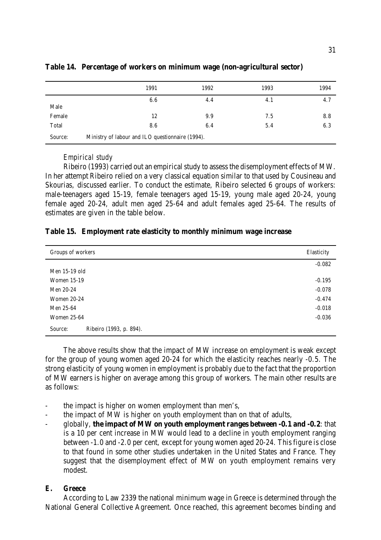|         | 1991                                             | 1992 | 1993 | 1994 |
|---------|--------------------------------------------------|------|------|------|
| Male    | 6.6                                              | 4.4  | 4.1  | 4.7  |
| Female  | 12                                               | 9.9  | 7.5  | 8.8  |
| Total   | 8.6                                              | 6.4  | 5.4  | 6.3  |
| Source: | Ministry of labour and ILO questionnaire (1994). |      |      |      |

### **Table 14. Percentage of workers on minimum wage (non-agricultural sector)**

#### *Empirical study*

Ribeiro (1993) carried out an empirical study to assess the disemployment effects of MW. In her attempt Ribeiro relied on a very classical equation similar to that used by Cousineau and Skourias, discussed earlier. To conduct the estimate, Ribeiro selected 6 groups of workers: male-teenagers aged 15-19, female teenagers aged 15-19, young male aged 20-24, young female aged 20-24, adult men aged 25-64 and adult females aged 25-64. The results of estimates are given in the table below.

# **Table 15. Employment rate elasticity to monthly minimum wage increase**

| Groups of workers                  | Elasticity |
|------------------------------------|------------|
|                                    | $-0.082$   |
| Men 15-19 old                      |            |
| <b>Women 15-19</b>                 | $-0.195$   |
| Men 20-24                          | $-0.078$   |
| <b>Women 20-24</b>                 | $-0.474$   |
| Men 25-64                          | $-0.018$   |
| <b>Women 25-64</b>                 | $-0.036$   |
| Ribeiro (1993, p. 894).<br>Source: |            |

The above results show that the impact of MW increase on employment is weak except for the group of young women aged 20-24 for which the elasticity reaches nearly -0.5. The strong elasticity of young women in employment is probably due to the fact that the proportion of MW earners is higher on average among this group of workers. The main other results are as follows:

- the impact is higher on women employment than men's,
- the impact of MW is higher on youth employment than on that of adults,
- globally, **the impact of MW on youth employment ranges between -0.1 and -0.2**: that is a 10 per cent increase in MW would lead to a decline in youth employment ranging between -1.0 and -2.0 per cent, except for young women aged 20-24. This figure is close to that found in some other studies undertaken in the United States and France. They suggest that the disemployment effect of MW on youth employment remains very modest.

# *E. Greece*

According to Law 2339 the national minimum wage in Greece is determined through the National General Collective Agreement. Once reached, this agreement becomes binding and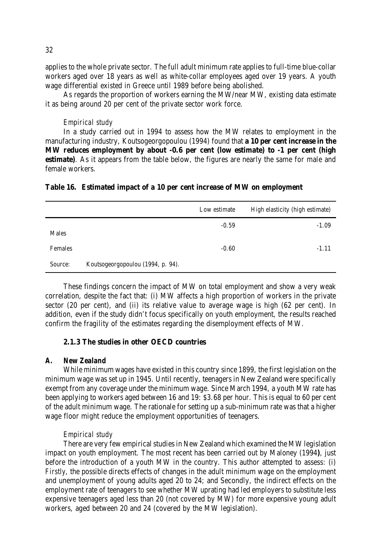applies to the whole private sector. The full adult minimum rate applies to full-time blue-collar workers aged over 18 years as well as white-collar employees aged over 19 years. A youth wage differential existed in Greece until 1989 before being abolished.

As regards the proportion of workers earning the MW/near MW, existing data estimate it as being around 20 per cent of the private sector work force.

### *Empirical study*

In a study carried out in 1994 to assess how the MW relates to employment in the manufacturing industry, Koutsogeorgopoulou (1994) found that **a 10 per cent increase in the MW reduces employment by about -0.6 per cent (low estimate) to -1 per cent (high estimate**). As it appears from the table below, the figures are nearly the same for male and female workers.

| Table 16. Estimated impact of a 10 per cent increase of MW on employment |  |  |  |
|--------------------------------------------------------------------------|--|--|--|
|--------------------------------------------------------------------------|--|--|--|

|         |                                   | Low estimate | High elasticity (high estimate) |
|---------|-----------------------------------|--------------|---------------------------------|
| Males   |                                   | $-0.59$      | $-1.09$                         |
| Females |                                   | $-0.60$      | $-1.11$                         |
| Source: | Koutsogeorgopoulou (1994, p. 94). |              |                                 |

These findings concern the impact of MW on total employment and show a very weak correlation, despite the fact that: (i) MW affects a high proportion of workers in the private sector (20 per cent), and (ii) its relative value to average wage is high (62 per cent). In addition, even if the study didn't focus specifically on youth employment, the results reached confirm the fragility of the estimates regarding the disemployment effects of MW.

#### **2.1.3 The studies in other OECD countries**

#### *A. New Zealand*

While minimum wages have existed in this country since 1899, the first legislation on the minimum wage was set up in 1945. Until recently, teenagers in New Zealand were specifically exempt from any coverage under the minimum wage. Since March 1994, a youth MW rate has been applying to workers aged between 16 and 19: \$3.68 per hour. This is equal to 60 per cent of the adult minimum wage. The rationale for setting up a sub-minimum rate was that a higher wage floor might reduce the employment opportunities of teenagers.

#### *Empirical study*

There are very few empirical studies in New Zealand which examined the MW legislation impact on youth employment. The most recent has been carried out by Maloney (1994**)**, just before the introduction of a youth MW in the country. This author attempted to assess: (i) *Firstly*, the possible directs effects of changes in the adult minimum wage on the employment and unemployment of young adults aged 20 to 24; and Secondly, the indirect effects on the employment rate of teenagers to see whether MW uprating had led employers to substitute less expensive teenagers aged less than 20 (not covered by MW) for more expensive young adult workers, aged between 20 and 24 (covered by the MW legislation).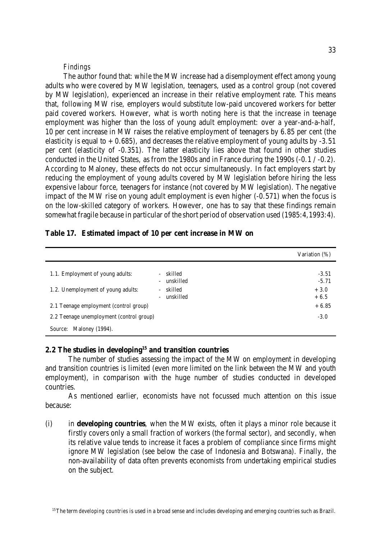#### *Findings*

The author found that: while the MW increase had a disemployment effect among young adults who were covered by MW legislation, teenagers, used as a control group (not covered by MW legislation), experienced an increase in their relative employment rate. This means that, following MW rise, employers would substitute low-paid uncovered workers for better paid covered workers. However, what is worth noting here is that the increase in teenage employment was higher than the loss of young adult employment: over a year-and-a-half, 10 per cent increase in MW raises the relative employment of teenagers by 6.85 per cent (the elasticity is equal to  $+0.685$ ), and decreases the relative employment of young adults by -3.51 per cent (elasticity of -0.351). The latter elasticity lies above that found in other studies conducted in the United States, as from the 1980s and in France during the 1990s (-0.1 / -0.2). According to Maloney, these effects do not occur simultaneously. In fact employers start by reducing the employment of young adults covered by MW legislation before hiring the less expensive labour force, teenagers for instance (not covered by MW legislation). The negative impact of the MW rise on young adult employment is even higher (-0.571) when the focus is on the low-skilled category of workers. However, one has to say that these findings remain somewhat fragile because in particular of the short period of observation used (1985:4,1993:4).

|  | Table 17. Estimated impact of 10 per cent increase in MW on |  |  |  |  |  |  |  |  |
|--|-------------------------------------------------------------|--|--|--|--|--|--|--|--|
|--|-------------------------------------------------------------|--|--|--|--|--|--|--|--|

|                                          |                                                                              | Variation (%)      |
|------------------------------------------|------------------------------------------------------------------------------|--------------------|
| 1.1. Employment of young adults:         | skilled<br>$\overline{\phantom{a}}$<br>unskilled<br>$\overline{\phantom{a}}$ | $-3.51$<br>$-5.71$ |
| 1.2. Unemployment of young adults:       | skilled<br>$\overline{\phantom{a}}$<br>unskilled<br>÷.                       | $+3.0$<br>$+6.5$   |
| 2.1 Teenage employment (control group)   |                                                                              | $+6.85$            |
| 2.2 Teenage unemployment (control group) |                                                                              | $-3.0$             |
| Source: Maloney (1994).                  |                                                                              |                    |

# **2.2 The studies in developing<sup>15</sup> and transition countries**

The number of studies assessing the impact of the MW on employment in developing and transition countries is limited (even more limited on the link between the MW and youth employment), in comparison with the huge number of studies conducted in developed countries.

As mentioned earlier, economists have not focussed much attention on this issue because:

(i) in **developing countries**, when the MW exists, often it plays a minor role because it firstly covers only a small fraction of workers (the formal sector), and secondly, when its relative value tends to increase it faces a problem of compliance since firms might ignore MW legislation (see below the case of Indonesia and Botswana). Finally, the non-availability of data often prevents economists from undertaking empirical studies on the subject.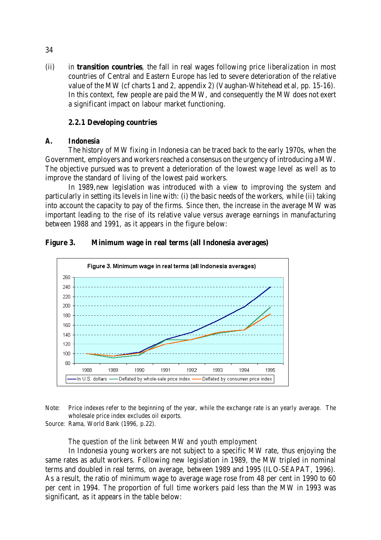(ii) in **transition countries**, the fall in real wages following price liberalization in most countries of Central and Eastern Europe has led to severe deterioration of the relative value of the MW (cf charts 1 and 2, appendix 2) (Vaughan-Whitehead et al, pp. 15-16). In this context, few people are paid the MW, and consequently the MW does not exert a significant impact on labour market functioning.

# **2.2.1 Developing countries**

#### *A. Indonesia*

The history of MW fixing in Indonesia can be traced back to the early 1970s, when the Government, employers and workers reached a consensus on the urgency of introducing a MW. The objective pursued was to prevent a deterioration of the lowest wage level as well as to improve the standard of living of the lowest paid workers.

In 1989,new legislation was introduced with a view to improving the system and particularly in setting its levels in line with: (i) the basic needs of the workers, while (ii) taking into account the capacity to pay of the firms. Since then, the increase in the average MW was important leading to the rise of its relative value versus average earnings in manufacturing between 1988 and 1991, as it appears in the figure below:

# **Figure 3. Minimum wage in real terms (all Indonesia averages)**



Note: Price indexes refer to the beginning of the year, while the exchange rate is an yearly average. The wholesale price index excludes oil exports.

Source: Rama, World Bank (1996, p.22).

### *The question of the link between MW and youth employment*

In Indonesia young workers are not subject to a specific MW rate, thus enjoying the same rates as adult workers. Following new legislation in 1989, the MW tripled in nominal terms and doubled in real terms, on average, between 1989 and 1995 (ILO-SEAPAT, 1996). As a result, the ratio of minimum wage to average wage rose from 48 per cent in 1990 to 60 per cent in 1994. The proportion of full time workers paid less than the MW in 1993 was significant, as it appears in the table below:

34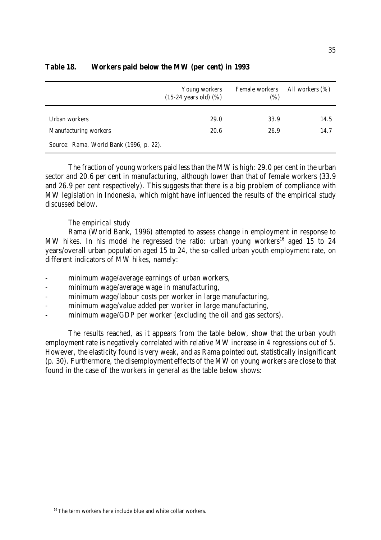|                                                                  | Young workers<br>$(15-24 \text{ years old})$ $(\%)$ | Female workers<br>(%) | All workers (%) |  |
|------------------------------------------------------------------|-----------------------------------------------------|-----------------------|-----------------|--|
| Urban workers                                                    | 29.0                                                | 33.9                  | 14.5            |  |
| Manufacturing workers<br>Source: Rama, World Bank (1996, p. 22). | 20.6                                                | 26.9                  | 14.7            |  |

# **Table 18. Workers paid below the MW (per cent) in 1993**

The fraction of young workers paid less than the MW is high: 29.0 per cent in the urban sector and 20.6 per cent in manufacturing, although lower than that of female workers (33.9 and 26.9 per cent respectively). This suggests that there is a big problem of compliance with MW legislation in Indonesia, which might have influenced the results of the empirical study discussed below.

# *The empirical study*

Rama (World Bank, 1996) attempted to assess change in employment in response to MW hikes. In his model he regressed the ratio: urban young workers<sup>16</sup> aged 15 to 24 years/overall urban population aged 15 to 24, the so-called urban youth employment rate, on different indicators of MW hikes, namely:

- minimum wage/average earnings of urban workers,
- minimum wage/average wage in manufacturing,
- minimum wage/labour costs per worker in large manufacturing,
- minimum wage/value added per worker in large manufacturing,
- minimum wage/GDP per worker (excluding the oil and gas sectors).

The results reached, as it appears from the table below, show that the urban youth employment rate is negatively correlated with relative MW increase in 4 regressions out of 5. However, the elasticity found is very weak, and as Rama pointed out, statistically insignificant (p. 30). Furthermore, the disemployment effects of the MW on young workers are close to that found in the case of the workers in general as the table below shows: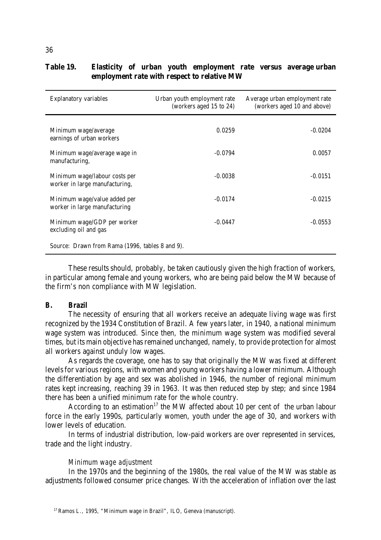| <b>Explanatory variables</b>                                    | Urban youth employment rate<br>(workers aged 15 to 24) | Average urban employment rate<br>(workers aged 10 and above) |
|-----------------------------------------------------------------|--------------------------------------------------------|--------------------------------------------------------------|
| Minimum wage/average<br>earnings of urban workers               | 0.0259                                                 | $-0.0204$                                                    |
| Minimum wage/average wage in<br>manufacturing,                  | $-0.0794$                                              | 0.0057                                                       |
| Minimum wage/labour costs per<br>worker in large manufacturing, | $-0.0038$                                              | $-0.0151$                                                    |
| Minimum wage/value added per<br>worker in large manufacturing   | $-0.0174$                                              | $-0.0215$                                                    |
| Minimum wage/GDP per worker<br>excluding oil and gas            | $-0.0447$                                              | $-0.0553$                                                    |
| Source: Drawn from Rama (1996, tables 8 and 9).                 |                                                        |                                                              |

# **Table 19. Elasticity of urban youth employment rate versus average urban employment rate with respect to relative MW**

These results should, probably, be taken cautiously given the high fraction of workers, in particular among female and young workers, who are being paid below the MW because of the firm's non compliance with MW legislation.

#### *B. Brazil*

The necessity of ensuring that all workers receive an adequate living wage was first recognized by the 1934 Constitution of Brazil. A few years later, in 1940, a national minimum wage system was introduced. Since then, the minimum wage system was modified several times, but its main objective has remained unchanged, namely, to provide protection for almost all workers against unduly low wages.

As regards the coverage, one has to say that originally the MW was fixed at different levels for various regions, with women and young workers having a lower minimum. Although the differentiation by age and sex was abolished in 1946, the number of regional minimum rates kept increasing, reaching 39 in 1963. It was then reduced step by step; and since 1984 there has been a unified minimum rate for the whole country.

According to an estimation<sup>17</sup> the MW affected about 10 per cent of the urban labour force in the early 1990s, particularly women, youth under the age of 30, and workers with lower levels of education.

In terms of industrial distribution, low-paid workers are over represented in services, trade and the light industry.

#### *Minimum wage adjustment*

In the 1970s and the beginning of the 1980s, the real value of the MW was stable as adjustments followed consumer price changes. With the acceleration of inflation over the last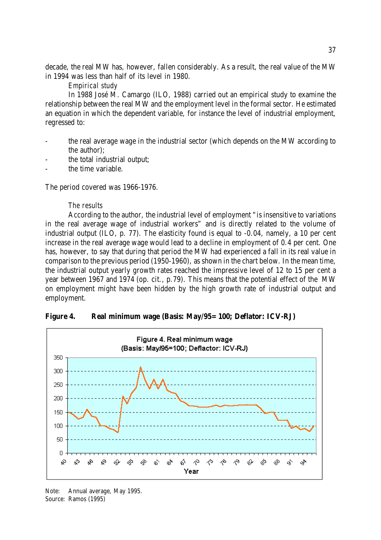decade, the real MW has, however, fallen considerably. As a result, the real value of the MW in 1994 was less than half of its level in 1980.

#### *Empirical study*

In 1988 José M. Camargo (ILO, 1988) carried out an empirical study to examine the relationship between the real MW and the employment level in the formal sector. He estimated an equation in which the dependent variable, for instance the level of industrial employment, regressed to:

- the real average wage in the industrial sector (which depends on the MW according to the author);
- the total industrial output:
- the time variable.

The period covered was 1966-1976.

#### *The results*

According to the author, the industrial level of employment "is insensitive to variations in the real average wage of industrial workers" and is directly related to the volume of industrial output (ILO, p. 77). The elasticity found is equal to -0.04, namely, a 10 per cent increase in the real average wage would lead to a decline in employment of 0.4 per cent. One has, however, to say that during that period the MW had experienced a fall in its real value in comparison to the previous period (1950-1960), as shown in the chart below. In the mean time, the industrial output yearly growth rates reached the impressive level of 12 to 15 per cent a year between 1967 and 1974 (op. cit., p.79). This means that the potential effect of the MW on employment might have been hidden by the high growth rate of industrial output and employment.



**Figure 4. Real minimum wage (Basis: May/95=100; Deflator: ICV-RJ)**

Note: Annual average, May 1995. Source: Ramos (1995)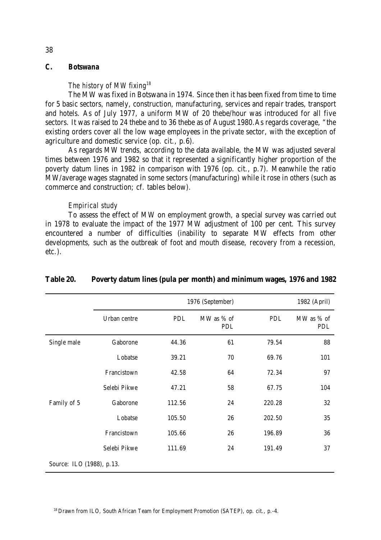# *C. Botswana*

### *The history of MW fixing<sup>18</sup>*

The MW was fixed in Botswana in 1974. Since then it has been fixed from time to time for 5 basic sectors, namely, construction, manufacturing, services and repair trades, transport and hotels. As of July 1977, a uniform MW of 20 thebe/hour was introduced for all five sectors. It was raised to 24 thebe and to 36 thebe as of August 1980.As regards coverage, "the existing orders cover all the low wage employees in the private sector, with the exception of agriculture and domestic service (op. cit., p.6).

As regards MW trends, according to the data available, the MW was adjusted several times between 1976 and 1982 so that it represented a significantly higher proportion of the poverty datum lines in 1982 in comparison with 1976 (op. cit., p.7). Meanwhile the ratio MW/average wages stagnated in some sectors (manufacturing) while it rose in others (such as commerce and construction; cf. tables below).

#### *Empirical study*

To assess the effect of MW on employment growth, a special survey was carried out in 1978 to evaluate the impact of the 1977 MW adjustment of 100 per cent. This survey encountered a number of difficulties (inability to separate MW effects from other developments, such as the outbreak of foot and mouth disease, recovery from a recession, etc.).

|                           |              |            | 1976 (September)  |            |                   |  |
|---------------------------|--------------|------------|-------------------|------------|-------------------|--|
|                           | Urban centre | <b>PDL</b> | MW as % of<br>PDL | <b>PDL</b> | MW as % of<br>PDL |  |
| Single male               | Gaborone     | 44.36      | 61                | 79.54      | 88                |  |
|                           | Lobatse      | 39.21      | 70                | 69.76      | 101               |  |
|                           | Francistown  | 42.58      | 64                | 72.34      | 97                |  |
|                           | Selebi Pikwe | 47.21      | 58                | 67.75      | 104               |  |
| Family of 5               | Gaborone     | 112.56     | 24                | 220.28     | 32                |  |
|                           | Lobatse      | 105.50     | 26                | 202.50     | 35                |  |
|                           | Francistown  | 105.66     | 26                | 196.89     | 36                |  |
|                           | Selebi Pikwe | 111.69     | 24                | 191.49     | 37                |  |
| Source: ILO (1988), p.13. |              |            |                   |            |                   |  |

#### **Table 20. Poverty datum lines (pula per month) and minimum wages, 1976 and 1982**

#### 38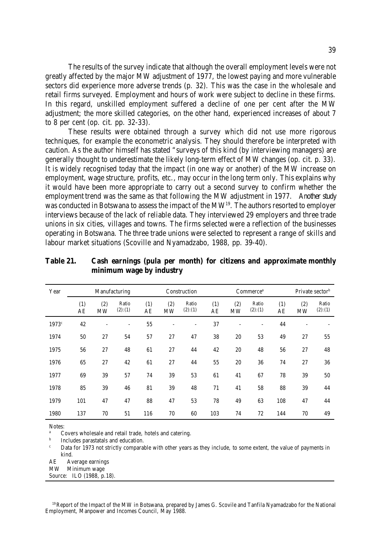The results of the survey indicate that although the overall employment levels were not greatly affected by the major MW adjustment of 1977, the lowest paying and more vulnerable sectors did experience more adverse trends (p. 32). This was the case in the wholesale and retail firms surveyed. Employment and hours of work were subject to decline in these firms. In this regard, unskilled employment suffered a decline of one per cent after the MW adjustment; the more skilled categories, on the other hand, experienced increases of about 7 to 8 per cent (op. cit. pp. 32-33).

These results were obtained through a survey which did not use more rigorous techniques, for example the econometric analysis. They should therefore be interpreted with caution. As the author himself has stated "surveys of this kind (by interviewing managers) are generally thought to underestimate the likely long-term effect of MW changes (op. cit. p. 33). It is widely recognised today that the impact (in one way or another) of the MW increase on employment, wage structure, profits, etc., may occur in the long term only. This explains why it would have been more appropriate to carry out a second survey to confirm whether the employment trend was the same as that following the MW adjustment in 1977. Another study was conducted in Botswana to assess the impact of the MW<sup>19</sup>. The authors resorted to employer interviews because of the lack of reliable data. They interviewed 29 employers and three trade unions in six cities, villages and towns. The firms selected were a reflection of the businesses operating in Botswana. The three trade unions were selected to represent a range of skills and labour market situations (Scoville and Nyamadzabo, 1988, pp. 39-40).

| Year  |           |                  | Manufacturing            |           | Construction<br>Commerce <sup>a</sup> |                  |           |                  | Private sector <sup>b</sup> |           |                  |                  |
|-------|-----------|------------------|--------------------------|-----------|---------------------------------------|------------------|-----------|------------------|-----------------------------|-----------|------------------|------------------|
|       | (1)<br>AE | (2)<br><b>MW</b> | Ratio<br>(2):(1)         | (1)<br>AE | (2)<br><b>MW</b>                      | Ratio<br>(2):(1) | (1)<br>AE | (2)<br><b>MW</b> | Ratio<br>(2):(1)            | (1)<br>AE | (2)<br><b>MW</b> | Ratio<br>(2):(1) |
| 1973c | 42        |                  | $\overline{\phantom{0}}$ | 55        |                                       |                  | 37        |                  | ٠                           | 44        |                  |                  |
| 1974  | 50        | 27               | 54                       | 57        | 27                                    | 47               | 38        | 20               | 53                          | 49        | 27               | 55               |
| 1975  | 56        | 27               | 48                       | 61        | 27                                    | 44               | 42        | 20               | 48                          | 56        | 27               | 48               |
| 1976  | 65        | 27               | 42                       | 61        | 27                                    | 44               | 55        | 20               | 36                          | 74        | 27               | 36               |
| 1977  | 69        | 39               | 57                       | 74        | 39                                    | 53               | 61        | 41               | 67                          | 78        | 39               | 50               |
| 1978  | 85        | 39               | 46                       | 81        | 39                                    | 48               | 71        | 41               | 58                          | 88        | 39               | 44               |
| 1979  | 101       | 47               | 47                       | 88        | 47                                    | 53               | 78        | 49               | 63                          | 108       | 47               | 44               |
| 1980  | 137       | 70               | 51                       | 116       | 70                                    | 60               | 103       | 74               | 72                          | 144       | 70               | 49               |

**Table 21. Cash earnings (pula per month) for citizens and approximate monthly minimum wage by industry**

Notes:

Covers wholesale and retail trade, hotels and catering.

b Includes parastatals and education.

Data for 1973 not strictly comparable with other years as they include, to some extent, the value of payments in kind.

AE Average earnings

MW Minimum wage

Source: ILO (1988, p.18).

<sup>19</sup> Report of the Impact of the MW in Botswana, prepared by James G. Scovile and Tanfila Nyamadzabo for the National Employment, Manpower and Incomes Council, May 1988.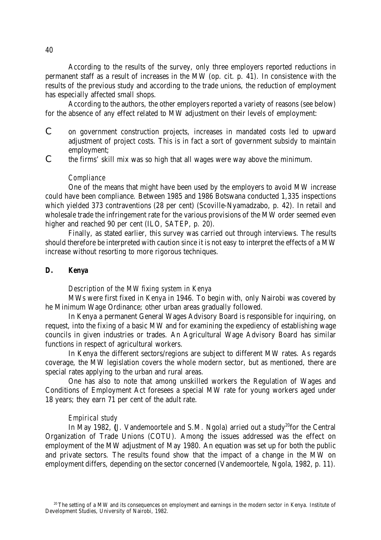According to the results of the survey, only three employers reported reductions in permanent staff as a result of increases in the MW (op. cit. p. 41). In consistence with the results of the previous study and according to the trade unions, the reduction of employment has especially affected small shops.

According to the authors, the other employers reported a variety of reasons (see below) for the absence of any effect related to MW adjustment on their levels of employment:

- C on government construction projects, increases in mandated costs led to upward adjustment of project costs. This is in fact a sort of government subsidy to maintain employment;
- C the firms' skill mix was so high that all wages were way above the minimum.

#### *Compliance*

One of the means that might have been used by the employers to avoid MW increase could have been compliance. Between 1985 and 1986 Botswana conducted 1,335 inspections which yielded 373 contraventions (28 per cent) (Scoville-Nyamadzabo, p. 42). In retail and wholesale trade the infringement rate for the various provisions of the MW order seemed even higher and reached 90 per cent (ILO, SATEP, p. 20).

Finally, as stated earlier, this survey was carried out through interviews. The results should therefore be interpreted with caution since it is not easy to interpret the effects of a MW increase without resorting to more rigorous techniques.

# *D. Kenya*

#### *Description of the MW fixing system in Kenya*

MWs were first fixed in Kenya in 1946. To begin with, only Nairobi was covered by he Minimum Wage Ordinance; other urban areas gradually followed.

In Kenya a permanent General Wages Advisory Board is responsible for inquiring, on request, into the fixing of a basic MW and for examining the expediency of establishing wage councils in given industries or trades. An Agricultural Wage Advisory Board has similar functions in respect of agricultural workers.

In Kenya the different sectors/regions are subject to different MW rates. As regards coverage, the MW legislation covers the whole modern sector, but as mentioned, there are special rates applying to the urban and rural areas.

One has also to note that among unskilled workers the Regulation of Wages and Conditions of Employment Act foresees a special MW rate for young workers aged under 18 years; they earn 71 per cent of the adult rate.

#### *Empirical study*

In May 1982, (J. Vandemoortele and S.M. Ngola) arried out a study<sup>20</sup>for the Central Organization of Trade Unions (COTU). Among the issues addressed was the effect on employment of the MW adjustment of May 1980. An equation was set up for both the public and private sectors. The results found show that the impact of a change in the MW on employment differs, depending on the sector concerned (Vandemoortele, Ngola, 1982, p. 11).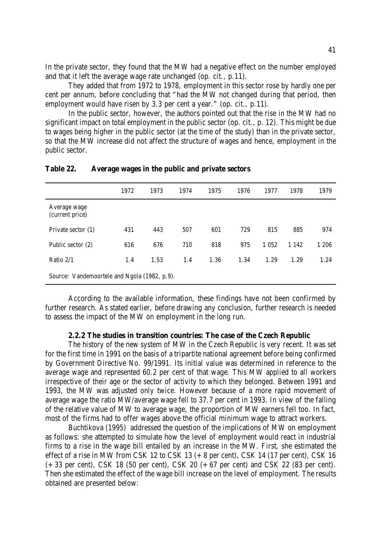In the private sector, they found that the MW had a negative effect on the number employed and that it left the average wage rate unchanged (op. cit., p.11).

They added that from 1972 to 1978, employment in this sector rose by hardly one per cent per annum, before concluding that "had the MW not changed during that period, then employment would have risen by 3.3 per cent a year." (op. cit., p.11).

In the public sector, however, the authors pointed out that the rise in the MW had no significant impact on total employment in the public sector (op. cit., p. 12). This might be due to wages being higher in the public sector (at the time of the study) than in the private sector, so that the MW increase did not affect the structure of wages and hence, employment in the public sector.

|                                              | 1972 | 1973 | 1974 | 1975 | 1976 | 1977    | 1978    | 1979  |  |
|----------------------------------------------|------|------|------|------|------|---------|---------|-------|--|
| Average wage<br>(current price)              |      |      |      |      |      |         |         |       |  |
| Private sector (1)                           | 431  | 443  | 507  | 601  | 729  | 815     | 885     | 974   |  |
| Public sector (2)                            | 616  | 676  | 710  | 818  | 975  | 1 0 5 2 | 1 1 4 2 | 1 206 |  |
| Ratio $2/1$                                  | 1.4  | 1.53 | 1.4  | 1.36 | 1.34 | 1.29    | 1.29    | 1.24  |  |
| Source: Vandemoortele and Ngola (1982, p.9). |      |      |      |      |      |         |         |       |  |

**Table 22. Average wages in the public and private sectors**

According to the available information, these findings have not been confirmed by further research. As stated earlier, before drawing any conclusion, further research is needed to assess the impact of the MW on employment in the long run.

#### **2.2.2 The studies in transition countries: The case of the Czech Republic**

The history of the new system of MW in the Czech Republic is very recent. It was set for the first time in 1991 on the basis of a tripartite national agreement before being confirmed by Government Directive No. 99/1991. Its initial value was determined in reference to the average wage and represented 60.2 per cent of that wage. This MW applied to all workers irrespective of their age or the sector of activity to which they belonged. Between 1991 and 1993, the MW was adjusted only twice. However because of a more rapid movement of average wage the ratio MW/average wage fell to 37.7 per cent in 1993. In view of the falling of the relative value of MW to average wage, the proportion of MW earners fell too. In fact, most of the firms had to offer wages above the official minimum wage to attract workers.

Buchtikova (1995) addressed the question of the implications of MW on employment as follows: she attempted to simulate how the level of employment would react in industrial firms to a rise in the wage bill entailed by an increase in the MW. First, she estimated the effect of a rise in MW from CSK 12 to CSK 13  $(+ 8$  per cent), CSK 14 (17 per cent), CSK 16 (+33 per cent), CSK 18 (50 per cent), CSK 20 (+67 per cent) and CSK 22 (83 per cent). Then she estimated the effect of the wage bill increase on the level of employment. The results obtained are presented below: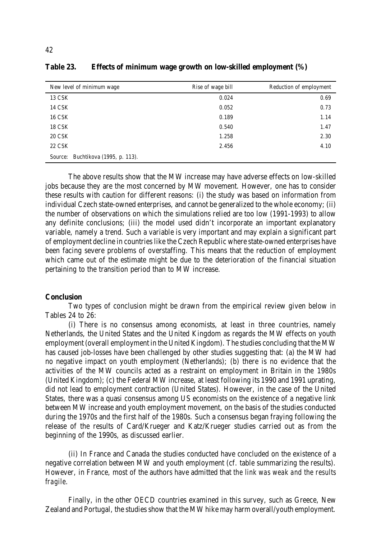| New level of minimum wage          | Rise of wage bill | Reduction of employment |
|------------------------------------|-------------------|-------------------------|
| 13 CSK                             | 0.024             | 0.69                    |
| 14 CSK                             | 0.052             | 0.73                    |
| <b>16 CSK</b>                      | 0.189             | 1.14                    |
| <b>18 CSK</b>                      | 0.540             | 1.47                    |
| <b>20 CSK</b>                      | 1.258             | 2.30                    |
| 22 CSK                             | 2.456             | 4.10                    |
| Source: Buchtikova (1995, p. 113). |                   |                         |

**Table 23. Effects of minimum wage growth on low-skilled employment (%)**

The above results show that the MW increase may have adverse effects on low-skilled jobs because they are the most concerned by MW movement. However, one has to consider these results with caution for different reasons: (i) the study was based on information from individual Czech state-owned enterprises, and cannot be generalized to the whole economy; (ii) the number of observations on which the simulations relied are too low (1991-1993) to allow any definite conclusions; (iii) the model used didn't incorporate an important explanatory variable, namely a trend. Such a variable is very important and may explain a significant part of employment decline in countries like the Czech Republic where state-owned enterprises have been facing severe problems of overstaffing. This means that the reduction of employment which came out of the estimate might be due to the deterioration of the financial situation pertaining to the transition period than to MW increase.

#### **Conclusion**

Two types of conclusion might be drawn from the empirical review given below in Tables 24 to 26:

(i) There is no consensus among economists, at least in three countries, namely Netherlands, the United States and the United Kingdom as regards the MW effects on youth employment (overall employment in the United Kingdom). The studies concluding that the MW has caused job-losses have been challenged by other studies suggesting that: (a) the MW had no negative impact on youth employment (Netherlands); (b) there is no evidence that the activities of the MW councils acted as a restraint on employment in Britain in the 1980s (United Kingdom); (c) the Federal MW increase, at least following its 1990 and 1991 uprating, did not lead to employment contraction (United States). However, in the case of the United States, there was a quasi consensus among US economists on the existence of a negative link between MW increase and youth employment movement, on the basis of the studies conducted during the 1970s and the first half of the 1980s. Such a consensus began fraying following the release of the results of Card/Krueger and Katz/Krueger studies carried out as from the beginning of the 1990s, as discussed earlier.

(ii) In France and Canada the studies conducted have concluded on the existence of a negative correlation between MW and youth employment (cf. table summarizing the results). However, in France, most of the authors have admitted that *the link was weak and the results fragile*.

Finally, in the other OECD countries examined in this survey, such as Greece, New Zealand and Portugal, the studies show that the MW hike may harm overall/youth employment.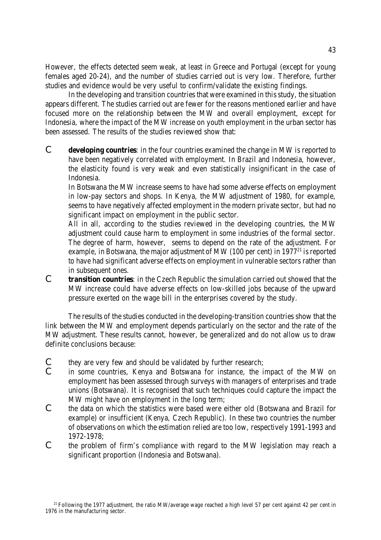However, the effects detected seem weak, at least in Greece and Portugal (except for young females aged 20-24), and the number of studies carried out is very low. Therefore, further studies and evidence would be very useful to confirm/validate the existing findings.

In the developing and transition countries that were examined in thisstudy, the situation appears different. The studies carried out are fewer for the reasons mentioned earlier and have focused more on the relationship between the MW and overall employment, except for Indonesia, where the impact of the MW increase on youth employment in the urban sector has been assessed. The results of the studies reviewed show that:

C **developing countries**: in the four countries examined the change in MW is reported to have been negatively correlated with employment. In Brazil and Indonesia, however, the elasticity found is very weak and even statistically insignificant in the case of Indonesia.

In Botswana the MW increase seems to have had some adverse effects on employment in low-pay sectors and shops. In Kenya, the MW adjustment of 1980, for example, seems to have negatively affected employment in the modern private sector, but had no significant impact on employment in the public sector.

All in all, according to the studies reviewed in the developing countries, the MW adjustment could cause harm to employment in some industries of the formal sector. The degree of harm, however, seems to depend on the rate of the adjustment. For example, in Botswana, the major adjustment of MW (100 per cent) in  $1977<sup>21</sup>$  is reported to have had significant adverse effects on employment in vulnerable sectors rather than in subsequent ones.

C **transition countries**: in the Czech Republic the simulation carried out showed that the MW increase could have adverse effects on low-skilled jobs because of the upward pressure exerted on the wage bill in the enterprises covered by the study.

The results of the studies conducted in the developing-transition countries show that the link between the MW and employment depends particularly on the sector and the rate of the MW adjustment. These results cannot, however, be generalized and do not allow us to draw definite conclusions because:

- C they are very few and should be validated by further research;<br>C in some countries. Kenya and Botswana for instance, the in
- in some countries, Kenya and Botswana for instance, the impact of the MW on employment has been assessed through surveys with managers of enterprises and trade unions (Botswana). It is recognised that such techniques could capture the impact the MW might have on employment in the long term;
- C the data on which the statistics were based were either old (Botswana and Brazil for example) or insufficient (Kenya, Czech Republic). In these two countries the number of observations on which the estimation relied are too low, respectively 1991-1993 and 1972-1978;
- C the problem of firm's compliance with regard to the MW legislation may reach a significant proportion (Indonesia and Botswana).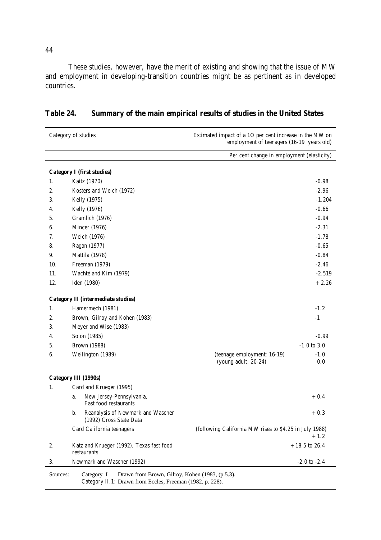These studies, however, have the merit of existing and showing that the issue of MW and employment in developing-transition countries might be as pertinent as in developed countries.

| Category of studies<br>Estimated impact of a 1O per cent increase in the MW on<br>employment of teenagers (16-19 years old) |                                                                                                                            |                                                        |                   |
|-----------------------------------------------------------------------------------------------------------------------------|----------------------------------------------------------------------------------------------------------------------------|--------------------------------------------------------|-------------------|
|                                                                                                                             |                                                                                                                            | Per cent change in employment (elasticity)             |                   |
|                                                                                                                             | <b>Category I (first studies)</b>                                                                                          |                                                        |                   |
| 1.                                                                                                                          | Kaitz (1970)                                                                                                               |                                                        | $-0.98$           |
| 2.                                                                                                                          | Kosters and Welch (1972)                                                                                                   |                                                        | $-2.96$           |
| 3.                                                                                                                          | Kelly (1975)                                                                                                               |                                                        | $-1.204$          |
| 4.                                                                                                                          | Kelly (1976)                                                                                                               |                                                        | $-0.66$           |
| 5.                                                                                                                          | Gramlich (1976)                                                                                                            |                                                        | $-0.94$           |
| 6.                                                                                                                          | <b>Mincer</b> (1976)                                                                                                       |                                                        | $-2.31$           |
| 7.                                                                                                                          | Welch (1976)                                                                                                               |                                                        | $-1.78$           |
| 8.                                                                                                                          | Ragan (1977)                                                                                                               |                                                        | $-0.65$           |
| 9.                                                                                                                          | Mattila (1978)                                                                                                             |                                                        | $-0.84$           |
| 10.                                                                                                                         | Freeman (1979)                                                                                                             |                                                        | $-2.46$           |
| 11.                                                                                                                         | Wachté and Kim (1979)                                                                                                      |                                                        | $-2.519$          |
| 12.                                                                                                                         | Iden (1980)                                                                                                                |                                                        | $+2.26$           |
|                                                                                                                             | <b>Category II (intermediate studies)</b>                                                                                  |                                                        |                   |
| 1.                                                                                                                          | Hamermech (1981)                                                                                                           |                                                        | $-1.2$            |
| 2.                                                                                                                          | Brown, Gilroy and Kohen (1983)                                                                                             |                                                        | $-1$              |
| 3.                                                                                                                          | Meyer and Wise (1983)                                                                                                      |                                                        |                   |
| 4.                                                                                                                          | Solon (1985)                                                                                                               |                                                        | $-0.99$           |
| 5.                                                                                                                          | Brown (1988)                                                                                                               |                                                        | $-1.0$ to $3.0\,$ |
| 6.                                                                                                                          | Wellington (1989)                                                                                                          | (teenage employment: 16-19)<br>(young adult: 20-24)    | $-1.0$<br>0.0     |
|                                                                                                                             | Category III (1990s)                                                                                                       |                                                        |                   |
| 1.                                                                                                                          | Card and Krueger (1995)                                                                                                    |                                                        |                   |
|                                                                                                                             | New Jersey-Pennsylvania,<br>a.<br>Fast food restaurants                                                                    |                                                        | $+0.4$            |
|                                                                                                                             | Reanalysis of Newmark and Wascher<br>b.<br>(1992) Cross State Data                                                         |                                                        | $+0.3$            |
|                                                                                                                             | Card California teenagers                                                                                                  | (following California MW rises to \$4.25 in July 1988) | $+1.2$            |
| 2.                                                                                                                          | Katz and Krueger (1992), Texas fast food<br>restaurants                                                                    |                                                        | $+18.5$ to 26.4   |
| 3.                                                                                                                          | Newmark and Wascher (1992)                                                                                                 |                                                        | $-2.0$ to $-2.4$  |
| Sources:                                                                                                                    | Drawn from Brown, Gilroy, Kohen (1983, (p.5.3).<br>Category I<br>Category II.1: Drawn from Eccles, Freeman (1982, p. 228). |                                                        |                   |

**Table 24. Summary of the main empirical results of studies in the United States**

44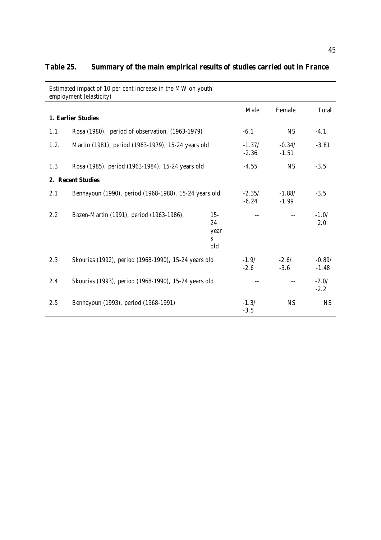|      | Estimated impact of 10 per cent increase in the MW on youth<br>employment (elasticity) |                                  |                     |                     |                     |
|------|----------------------------------------------------------------------------------------|----------------------------------|---------------------|---------------------|---------------------|
|      | 1. Earlier Studies                                                                     |                                  | Male                | Female              | Total               |
| 1.1  | Rosa (1980), period of observation, (1963-1979)                                        |                                  | $-6.1$              | <b>NS</b>           | $-4.1$              |
| 1.2. | Martin (1981), period (1963-1979), 15-24 years old                                     |                                  | $-1.37/$<br>$-2.36$ | $-0.34/$<br>$-1.51$ | $-3.81$             |
| 1.3  | Rosa (1985), period (1963-1984), 15-24 years old                                       |                                  | $-4.55$             | <b>NS</b>           | $-3.5$              |
|      | 2. Recent Studies                                                                      |                                  |                     |                     |                     |
| 2.1  | Benhayoun (1990), period (1968-1988), 15-24 years old                                  |                                  | $-2.35/$<br>$-6.24$ | $-1.88/$<br>$-1.99$ | $-3.5$              |
| 2.2  | Bazen-Martin (1991), period (1963-1986),                                               | $15 -$<br>24<br>year<br>S<br>old |                     |                     | $-1.0/$<br>2.0      |
| 2.3  | Skourias (1992), period (1968-1990), 15-24 years old                                   |                                  | $-1.9/$<br>$-2.6$   | $-2.6/$<br>$-3.6$   | $-0.89/$<br>$-1.48$ |
| 2.4  | Skourias (1993), period (1968-1990), 15-24 years old                                   |                                  |                     |                     | $-2.0/$<br>$-2.2$   |
| 2.5  | Benhayoun (1993), period (1968-1991)                                                   |                                  | $-1.3/$<br>$-3.5$   | <b>NS</b>           | <b>NS</b>           |

# **Table 25. Summary of the main empirical results of studies carried out in France**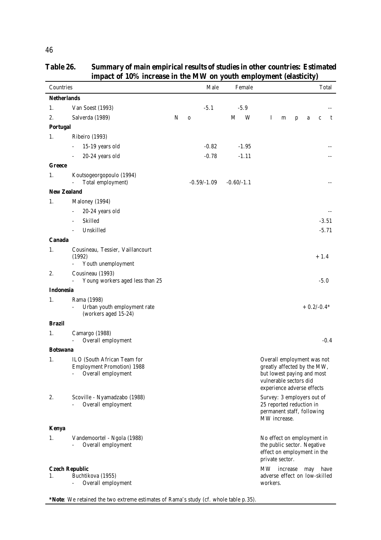|                  | impact of 10% increase in the MW on youth employment (elasticity)                      |   |               |              |                                                                                                                                                 |
|------------------|----------------------------------------------------------------------------------------|---|---------------|--------------|-------------------------------------------------------------------------------------------------------------------------------------------------|
| Countries        |                                                                                        |   | Male          | Female       | Total                                                                                                                                           |
|                  | <b>Netherlands</b>                                                                     |   |               |              |                                                                                                                                                 |
| 1.               | Van Soest (1993)                                                                       |   | $-5.1$        | $-5.9$       |                                                                                                                                                 |
| 2.               | Salverda (1989)                                                                        | N | $\bf{0}$      | M<br>W       | $\bf{I}$<br>m<br>t<br>$\mathbf{p}$<br>a<br>$\mathbf c$                                                                                          |
| <b>Portugal</b>  |                                                                                        |   |               |              |                                                                                                                                                 |
| 1.               | Ribeiro (1993)                                                                         |   |               |              |                                                                                                                                                 |
|                  | 15-19 years old<br>$\overline{\phantom{0}}$                                            |   | $-0.82$       | $-1.95$      |                                                                                                                                                 |
|                  | 20-24 years old                                                                        |   | $-0.78$       | $-1.11$      |                                                                                                                                                 |
| <b>Greece</b>    |                                                                                        |   |               |              |                                                                                                                                                 |
| 1.               | Koutsogeorgopoulo (1994)<br>Total employment)                                          |   | $-0.59/-1.09$ | $-0.60/-1.1$ |                                                                                                                                                 |
|                  | <b>New Zealand</b>                                                                     |   |               |              |                                                                                                                                                 |
| 1.               | Maloney (1994)                                                                         |   |               |              |                                                                                                                                                 |
|                  | 20-24 years old<br>$\overline{\phantom{0}}$                                            |   |               |              |                                                                                                                                                 |
|                  | Skilled<br>$\overline{\phantom{a}}$                                                    |   |               |              | $-3.51$                                                                                                                                         |
|                  | Unskilled<br>÷,                                                                        |   |               |              | $-5.71$                                                                                                                                         |
| Canada           |                                                                                        |   |               |              |                                                                                                                                                 |
| 1.               | Cousineau, Tessier, Vaillancourt<br>(1992)<br>Youth unemployment                       |   |               |              | $+1.4$                                                                                                                                          |
| 2.               | Cousineau (1993)<br>Young workers aged less than 25                                    |   |               |              | $-5.0$                                                                                                                                          |
| <b>Indonesia</b> |                                                                                        |   |               |              |                                                                                                                                                 |
| 1.               | Rama (1998)<br>Urban youth employment rate<br>(workers aged 15-24)                     |   |               |              | $+0.2/-0.4*$                                                                                                                                    |
| <b>Brazil</b>    |                                                                                        |   |               |              |                                                                                                                                                 |
| 1.               | Camargo (1988)<br>Overall employment                                                   |   |               |              | $-0.4$                                                                                                                                          |
| <b>Botswana</b>  |                                                                                        |   |               |              |                                                                                                                                                 |
| 1.               | ILO (South African Team for<br><b>Employment Promotion) 1988</b><br>Overall employment |   |               |              | Overall employment was not<br>greatly affected by the MW,<br>but lowest paying and most<br>vulnerable sectors did<br>experience adverse effects |
| 2.               | Scoville - Nyamadzabo (1988)<br>Overall employment                                     |   |               |              | Survey: 3 employers out of<br>25 reported reduction in<br>permanent staff, following<br>MW increase.                                            |
| <b>Kenya</b>     |                                                                                        |   |               |              |                                                                                                                                                 |
| 1.               | Vandemoortel - Ngola (1988)<br>Overall employment                                      |   |               |              | No effect on employment in<br>the public sector. Negative<br>effect on employment in the<br>private sector.                                     |
|                  | <b>Czech Republic</b>                                                                  |   |               |              | MW -<br>increase<br>have<br>may                                                                                                                 |
| 1.               | Buchtikova (1955)<br>Overall employment                                                |   |               |              | adverse effect on low-skilled<br>workers.                                                                                                       |

**Table 26. Summary of main empirical results of studies in other countries: Estimated impact of 10% increase in the MW on youth employment (elasticity)**  $\overline{a}$ 

**\*Note**: We retained the two extreme estimates of Rama's study (cf. whole table p.35).

46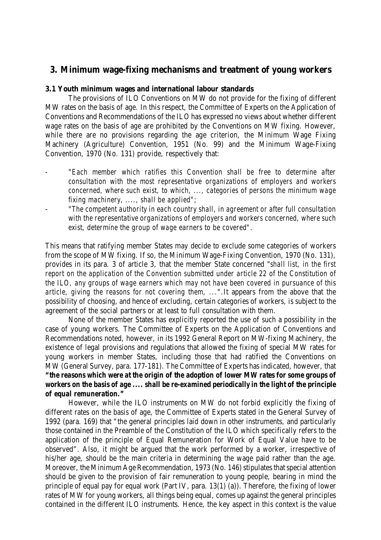# **3. Minimum wage-fixing mechanisms and treatment of young workers**

# **3.1 Youth minimum wages and international labour standards**

The provisions of ILO Conventions on MW do not provide for the fixing of different MW rates on the basis of age. In this respect, the Committee of Experts on the Application of Conventions and Recommendations of the ILO has expressed no views about whether different wage rates on the basis of age are prohibited by the Conventions on MW fixing. However, while there are no provisions regarding the age criterion, the Minimum Wage Fixing Machinery (Agriculture) Convention, 1951 (No. 99) and the Minimum Wage-Fixing Convention, 1970 (No. 131) provide, respectively that:

- "*Each member which ratifies this Convention shall be free to determine after consultation with the most representative organizations of employers and workers concerned, where such exist, to which, ..., categories of persons the minimum wage fixing machinery, ...., shall be applied*";
- "*The competent authority in each country shall, in agreement or after full consultation with the representative organizations of employers and workers concerned, where such exist, determine the group of wage earners to be covered"*.

This means that ratifying member States may decide to exclude some categories of workers from the scope of MW fixing. If so, the Minimum Wage-Fixing Convention, 1970 (No. 131), provides in its para. 3 of article 3, that the member State concerned "*shall list, in the first report on the application of the Convention submitted under article 22 of the Constitution of the ILO, any groups of wage earners which may not have been covered in pursuance of this article, giving the reasons for not covering them, ...*".It appears from the above that the possibility of choosing, and hence of excluding, certain categories of workers, is subject to the agreement of the social partners or at least to full consultation with them.

None of the member States has explicitly reported the use of such a possibility in the case of young workers. The Committee of Experts on the Application of Conventions and Recommendations noted, however, in its 1992 General Report on MW-fixing Machinery, the existence of legal provisions and regulations that allowed the fixing of special MW rates for young workers in member States, including those that had ratified the Conventions on MW (General Survey, para. 177-181). The Committee of Experts has indicated, however, that *"the reasons which were at the origin of the adoption of lower MW rates for some groups of workers on the basis of age .... shall be re-examined periodically in the light of the principle of equal remuneration."*

However, while the ILO instruments on MW do not forbid explicitly the fixing of different rates on the basis of age, the Committee of Experts stated in the General Survey of 1992 (para. 169) that "the general principles laid down in other instruments, and particularly those contained in the Preamble of the Constitution of the ILO which specifically refers to the application of the principle of Equal Remuneration for Work of Equal Value have to be observed". Also, it might be argued that the work performed by a worker, irrespective of his/her age, should be the main criteria in determining the wage paid rather than the age. Moreover, the Minimum Age Recommendation, 1973 (No. 146) stipulates that special attention should be given to the provision of fair remuneration to young people, bearing in mind the principle of equal pay for equal work (Part IV, para. 13(1) (a)). Therefore, the fixing of lower rates of MW for young workers, all things being equal, comes up against the general principles contained in the different ILO instruments. Hence, the key aspect in this context is the value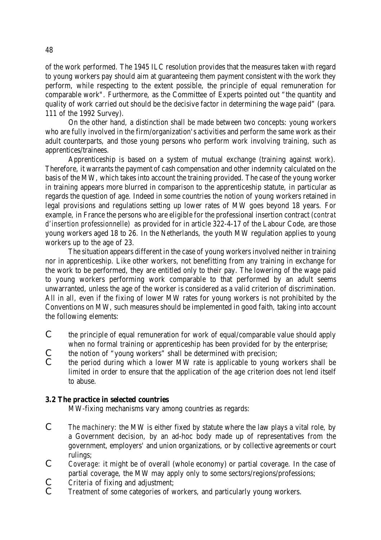of the work performed. The 1945 ILC resolution provides that the measures taken with regard to young workers pay should aim at guaranteeing them payment consistent with the work they perform, while respecting to the extent possible, the principle of equal remuneration for comparable work". Furthermore, as the Committee of Experts pointed out "the quantity and quality of work carried out should be the decisive factor in determining the wage paid" (para. 111 of the 1992 Survey).

On the other hand, a distinction shall be made between two concepts: young workers who are fully involved in the firm/organization's activities and perform the same work as their adult counterparts, and those young persons who perform work involving training, such as apprentices/trainees.

Apprenticeship is based on a system of mutual exchange (training against work). Therefore, it warrants the payment of cash compensation and other indemnity calculated on the basis of the MW, which takes into account the training provided. The case of the young worker in training appears more blurred in comparison to the apprenticeship statute, in particular as regards the question of age. Indeed in some countries the notion of young workers retained in legal provisions and regulations setting up lower rates of MW goes beyond 18 years. For example, in France the persons who are eligible for the professional insertion contract *(contrat d'insertion professionnelle)* as provided for in article 322-4-17 of the Labour Code, are those young workers aged 18 to 26. In the Netherlands, the youth MW regulation applies to young workers up to the age of 23.

The situation appears different in the case of young workers involved neither in training nor in apprenticeship. Like other workers, not benefitting from any training in exchange for the work to be performed, they are entitled only to their pay. The lowering of the wage paid to young workers performing work comparable to that performed by an adult seems unwarranted, unless the age of the worker is considered as a valid criterion of discrimination. All in all, even if the fixing of lower MW rates for young workers is not prohibited by the Conventions on MW, such measures should be implemented in good faith, taking into account the following elements:

- C the principle of equal remuneration for work of equal/comparable value should apply when no formal training or apprenticeship has been provided for by the enterprise;
- C the notion of "young workers" shall be determined with precision;<br>C the period during which a lower MW rate is applicable to young
- the period during which a lower MW rate is applicable to young workers shall be limited in order to ensure that the application of the age criterion does not lend itself to abuse.

# **3.2 The practice in selected countries**

MW-fixing mechanisms vary among countries as regards:

- *C The machinery*: the MW is either fixed by statute where the law plays a vital role, by a Government decision, by an ad-hoc body made up of representatives from the government, employers' and union organizations, or by collective agreements or court rulings;
- *C Coverage:* it might be of overall (whole economy) or partial coverage. In the case of partial coverage, the MW may apply only to some sectors/regions/professions;
- *C Criteria* of fixing and adjustment;
- *C Treatment* of some categories of workers, and particularly young workers.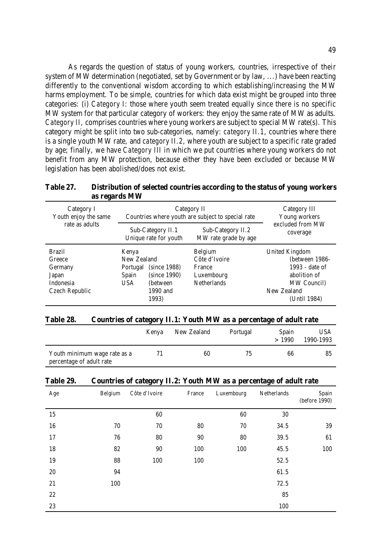As regards the question of status of young workers, countries, irrespective of their system of MW determination (negotiated, set by Government or by law, ...) have been reacting differently to the conventional wisdom according to which establishing/increasing the MW harms employment. To be simple, countries for which data exist might be grouped into three categories: (i) *Category I*: those where youth seem treated equally since there is no specific MW system for that particular category of workers: they enjoy the same rate of MW as adults. *Category II*, comprises countries where young workers are subject to special MW rate(s). This category might be split into two sub-categories, namely: *category II.1*, countries where there is a single youth MW rate, and *category II.2*, where youth are subject to a specific rate graded by age; finally, we have *Category III* in which we put countries where young workers do not benefit from any MW protection, because either they have been excluded or because MW legislation has been abolished/does not exist.

#### **Table 27. Distribution of selected countries according to the status of young workers as regards MW**

| Category I<br>Youth enjoy the same<br>rate as adults                       | Category II<br>Countries where youth are subject to special rate                                                          | Category III<br>Young workers                                                 |                                                                                                                  |
|----------------------------------------------------------------------------|---------------------------------------------------------------------------------------------------------------------------|-------------------------------------------------------------------------------|------------------------------------------------------------------------------------------------------------------|
|                                                                            | Sub-Category II.1<br>Unique rate for youth                                                                                | Sub-Category II.2<br>MW rate grade by age                                     | excluded from MW<br>coverage                                                                                     |
| <b>Brazil</b><br>Greece<br>Germany<br>Japan<br>Indonesia<br>Czech Republic | Kenya<br>New Zealand<br>(since 1988)<br>Portugal<br>(since 1990)<br>Spain<br><b>USA</b><br>(between)<br>1990 and<br>1993) | <b>Belgium</b><br>Côte d'Ivoire<br>France<br>Luxembourg<br><b>Netherlands</b> | United Kingdom<br>(between 1986-<br>1993 - date of<br>abolition of<br>MW Council)<br>New Zealand<br>(Until 1984) |

#### **Table 28. Countries of category II.1: Youth MW as a percentage of adult rate**

|                                                          | Kenya | New Zealand | Portugal | Spain<br>>1990 | <b>USA</b><br>1990-1993 |
|----------------------------------------------------------|-------|-------------|----------|----------------|-------------------------|
| Youth minimum wage rate as a<br>percentage of adult rate | 71    | 60          | 75       | 66             | 85                      |

#### **Table 29. Countries of category II.2: Youth MW as a percentage of adult rate**

| Age    | Belgium | Côte d'Ivoire | France | Luxembourg | Netherlands | Spain<br>(before 1990) |
|--------|---------|---------------|--------|------------|-------------|------------------------|
| 15     |         | 60            |        | 60         | 30          |                        |
| 16     | 70      | 70            | 80     | 70         | 34.5        | 39                     |
| 17     | 76      | 80            | 90     | 80         | 39.5        | 61                     |
| 18     | 82      | 90            | 100    | 100        | 45.5        | 100                    |
| 19     | 88      | 100           | 100    |            | 52.5        |                        |
| $20\,$ | 94      |               |        |            | 61.5        |                        |
| 21     | 100     |               |        |            | 72.5        |                        |
| $22\,$ |         |               |        |            | 85          |                        |
| 23     |         |               |        |            | 100         |                        |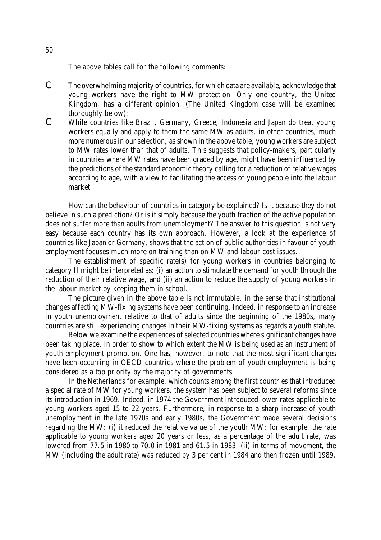The above tables call for the following comments:

- C The overwhelming majority of countries, for which data are available, acknowledge that young workers have the right to MW protection. Only one country, the United Kingdom, has a different opinion. (The United Kingdom case will be examined thoroughly below);
- C While countries like Brazil, Germany, Greece, Indonesia and Japan do treat young workers equally and apply to them the same MW as adults, in other countries, much more numerous in our selection, as shown in the above table, young workers are subject to MW rates lower than that of adults. This suggests that policy-makers, particularly in countries where MW rates have been graded by age, might have been influenced by the predictions of the standard economic theory calling for a reduction of relative wages according to age, with a view to facilitating the access of young people into the labour market.

How can the behaviour of countries in category be explained? Is it because they do not believe in such a prediction? Or is it simply because the youth fraction of the active population does not suffer more than adults from unemployment? The answer to this question is not very easy because each country has its own approach. However, a look at the experience of countries like Japan or Germany, shows that the action of public authorities in favour of youth employment focuses much more on training than on MW and labour cost issues.

The establishment of specific rate(s) for young workers in countries belonging to category II might be interpreted as: (i) an action to stimulate the demand for youth through the reduction of their relative wage, and (ii) an action to reduce the supply of young workers in the labour market by keeping them in school.

The picture given in the above table is not immutable, in the sense that institutional changes affecting MW-fixing systems have been continuing. Indeed, in response to an increase in youth unemployment relative to that of adults since the beginning of the 1980s, many countries are still experiencing changes in their MW-fixing systems as regards a youth statute.

Below we examine the experiences of selected countries where significant changes have been taking place, in order to show to which extent the MW is being used as an instrument of youth employment promotion. One has, however, to note that the most significant changes have been occurring in OECD countries where the problem of youth employment is being considered as a top priority by the majority of governments.

In *the Netherlands* for example, which counts among the first countries that introduced a special rate of MW for young workers, the system has been subject to several reforms since its introduction in 1969. Indeed, in 1974 the Government introduced lower rates applicable to young workers aged 15 to 22 years. Furthermore, in response to a sharp increase of youth unemployment in the late 1970s and early 1980s, the Government made several decisions regarding the MW: (i) it reduced the relative value of the youth MW; for example, the rate applicable to young workers aged 20 years or less, as a percentage of the adult rate, was lowered from 77.5 in 1980 to 70.0 in 1981 and 61.5 in 1983; (ii) in terms of movement, the MW (including the adult rate) was reduced by 3 per cent in 1984 and then frozen until 1989.

50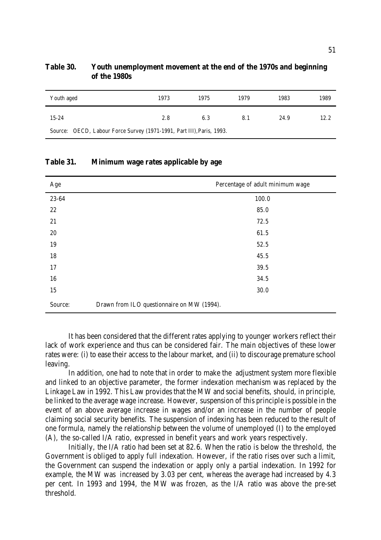| Youth aged                                                            | 1973 | 1975 | 1979 | 1983 | 1989 |
|-----------------------------------------------------------------------|------|------|------|------|------|
| $15 - 24$                                                             | 2.8  | 6.3  | 8.1  | 24.9 | 12.2 |
| Source: OECD, Labour Force Survey (1971-1991, Part III), Paris, 1993. |      |      |      |      |      |

# **Table 30. Youth unemployment movement at the end of the 1970s and beginning of the 1980s**

### **Table 31. Minimum wage rates applicable by age**

| Age     | Percentage of adult minimum wage           |
|---------|--------------------------------------------|
| 23-64   | 100.0                                      |
| 22      | 85.0                                       |
| 21      | 72.5                                       |
| $20\,$  | 61.5                                       |
| 19      | 52.5                                       |
| 18      | 45.5                                       |
| 17      | 39.5                                       |
| 16      | 34.5                                       |
| 15      | 30.0                                       |
| Source: | Drawn from ILO questionnaire on MW (1994). |

It has been considered that the different rates applying to younger workers reflect their lack of work experience and thus can be considered fair. The main objectives of these lower rates were: (i) to ease their access to the labour market, and (ii) to discourage premature school leaving.

In addition, one had to note that in order to make the adjustment system more flexible and linked to an objective parameter, the former indexation mechanism was replaced by the Linkage Law in 1992. This Law provides that the MW and social benefits, should, in principle, be linked to the average wage increase. However, suspension of this principle is possible in the event of an above average increase in wages and/or an increase in the number of people claiming social security benefits. The suspension of indexing has been reduced to the result of one formula, namely the relationship between the volume of unemployed (I) to the employed (A), the so-called I/A ratio, expressed in benefit years and work years respectively.

Initially, the I/A ratio had been set at 82.6. When the ratio is below the threshold, the Government is obliged to apply full indexation. However, if the ratio rises over such a limit, the Government can suspend the indexation or apply only a partial indexation. In 1992 for example, the MW was increased by 3.03 per cent, whereas the average had increased by 4.3 per cent. In 1993 and 1994, the MW was frozen, as the I/A ratio was above the pre-set threshold.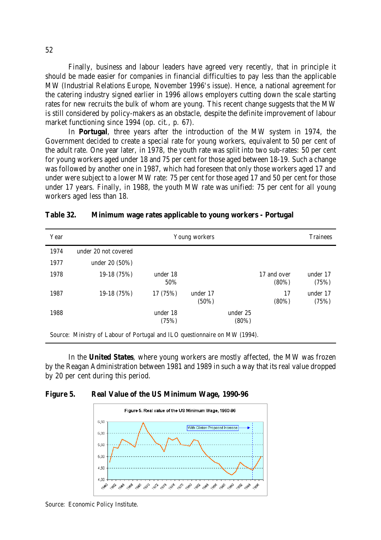Finally, business and labour leaders have agreed very recently, that in principle it should be made easier for companies in financial difficulties to pay less than the applicable MW (Industrial Relations Europe, November 1996's issue). Hence, a national agreement for the catering industry signed earlier in 1996 allows employers cutting down the scale starting rates for new recruits the bulk of whom are young. This recent change suggests that the MW is still considered by policy-makers as an obstacle, despite the definite improvement of labour market functioning since 1994 (op. cit., p. 67).

In **Portugal**, three years after the introduction of the MW system in 1974, the Government decided to create a special rate for young workers, equivalent to 50 per cent of the adult rate. One year later, in 1978, the youth rate was split into two sub-rates: 50 per cent for young workers aged under 18 and 75 per cent for those aged between 18-19. Such a change was followed by another one in 1987, which had foreseen that only those workers aged 17 and under were subject to a lower MW rate: 75 per cent for those aged 17 and 50 per cent for those under 17 years. Finally, in 1988, the youth MW rate was unified: 75 per cent for all young workers aged less than 18.

| Year | Young workers                                                              |                   |                      |                      |                         | <b>Trainees</b>   |
|------|----------------------------------------------------------------------------|-------------------|----------------------|----------------------|-------------------------|-------------------|
| 1974 | under 20 not covered                                                       |                   |                      |                      |                         |                   |
| 1977 | under $20(50%)$                                                            |                   |                      |                      |                         |                   |
| 1978 | 19-18 (75%)                                                                | under 18<br>50%   |                      |                      | 17 and over<br>$(80\%)$ | under 17<br>(75%) |
| 1987 | $19-18(75%)$                                                               | 17 (75%)          | under 17<br>$(50\%)$ |                      | 17<br>$(80\%)$          | under 17<br>(75%) |
| 1988 |                                                                            | under 18<br>(75%) |                      | under 25<br>$(80\%)$ |                         |                   |
|      | Source: Ministry of Labour of Portugal and ILO questionnaire on MW (1994). |                   |                      |                      |                         |                   |

#### **Table 32. Minimum wage rates applicable to young workers - Portugal**

In the **United States**, where young workers are mostly affected, the MW was frozen by the Reagan Administration between 1981 and 1989 in such a way that its real value dropped by 20 per cent during this period.





Source: Economic Policy Institute.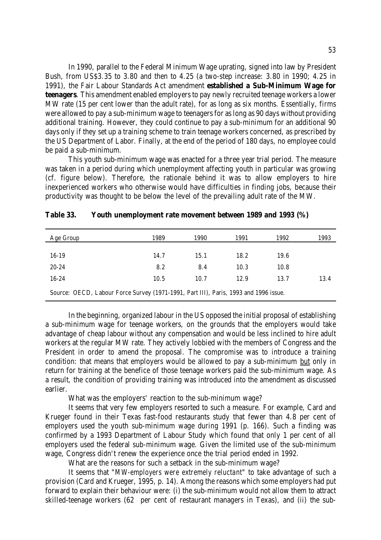In 1990, parallel to the Federal Minimum Wage uprating, signed into law by President Bush, from US\$3.35 to 3.80 and then to 4.25 (a two-step increase: 3.80 in 1990; 4.25 in 1991), the Fair Labour Standards Act amendment **established a Sub-Minimum Wage for teenagers**. This amendment enabled employers to pay newly recruited teenage workers a lower MW rate (15 per cent lower than the adult rate), for as long as six months. Essentially, firms were allowed to pay a sub-minimum wage to teenagers for as long as 90 days without providing additional training. However, they could continue to pay a sub-minimum for an additional 90 days only if they set up a training scheme to train teenage workers concerned, as prescribed by the US Department of Labor. Finally, at the end of the period of 180 days, no employee could be paid a sub-minimum.

This youth sub-minimum wage was enacted for a three year trial period. The measure was taken in a period during which unemployment affecting youth in particular was growing (cf. figure below). Therefore, the rationale behind it was to allow employers to hire inexperienced workers who otherwise would have difficulties in finding jobs, because their productivity was thought to be below the level of the prevailing adult rate of the MW.

| Age Group                                                                            | 1989 | 1990 | 1991 | 1992 | 1993 |
|--------------------------------------------------------------------------------------|------|------|------|------|------|
| $16-19$                                                                              | 14.7 | 15.1 | 18.2 | 19.6 |      |
| $20 - 24$                                                                            | 8.2  | 8.4  | 10.3 | 10.8 |      |
| $16 - 24$                                                                            | 10.5 | 10.7 | 12.9 | 13.7 | 13.4 |
| Source: OECD, Labour Force Survey (1971-1991, Part III), Paris, 1993 and 1996 issue. |      |      |      |      |      |

| Table 33. |  | Youth unemployment rate movement between 1989 and 1993 (%) |  |  |  |  |
|-----------|--|------------------------------------------------------------|--|--|--|--|
|-----------|--|------------------------------------------------------------|--|--|--|--|

In the beginning, organized labour in the US opposed the initial proposal of establishing a sub-minimum wage for teenage workers, on the grounds that the employers would take advantage of cheap labour without any compensation and would be less inclined to hire adult workers at the regular MW rate. They actively lobbied with the members of Congress and the President in order to amend the proposal. The compromise was to introduce a training condition: that means that employers would be allowed to pay a sub-minimum but only in return for training at the benefice of those teenage workers paid the sub-minimum wage. As a result, the condition of providing training was introduced into the amendment as discussed earlier.

What was the employers' reaction to the sub-minimum wage?

It seems that very few employers resorted to such a measure. For example, Card and Krueger found in their Texas fast-food restaurants study that fewer than 4.8 per cent of employers used the youth sub-minimum wage during 1991 (p. 166). Such a finding was confirmed by a 1993 Department of Labour Study which found that only 1 per cent of all employers used the federal sub-minimum wage. Given the limited use of the sub-minimum wage, Congress didn't renew the experience once the trial period ended in 1992.

What are the reasons for such a setback in the sub-minimum wage?

It seems that "*MW-employers were extremely reluctant*" to take advantage of such a provision (Card and Krueger, 1995, p. 14). Among the reasons which some employers had put forward to explain their behaviour were: (i) the sub-minimum would not allow them to attract skilled-teenage workers (62 per cent of restaurant managers in Texas), and (ii) the sub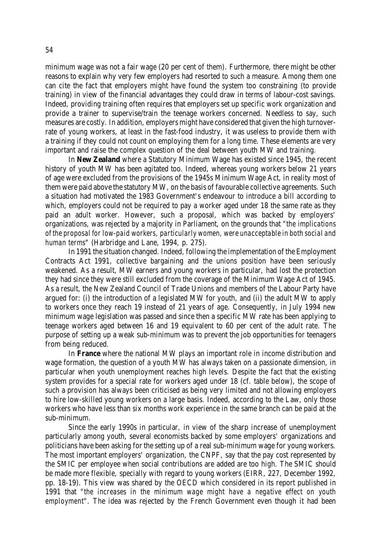minimum wage was not a fair wage (20 per cent of them). Furthermore, there might be other reasons to explain why very few employers had resorted to such a measure. Among them one can cite the fact that employers might have found the system too constraining (to provide training) in view of the financial advantages they could draw in terms of labour-cost savings. Indeed, providing training often requires that employers set up specific work organization and provide a trainer to supervise/train the teenage workers concerned. Needless to say, such measures are costly. In addition, employers might have considered that given the high turnoverrate of young workers, at least in the fast-food industry, it was useless to provide them with a training if they could not count on employing them for a long time. These elements are very important and raise the complex question of the deal between youth MW and training.

In **New Zealand** where a Statutory Minimum Wage has existed since 1945, the recent history of youth MW has been agitated too. Indeed, whereas young workers below 21 years of age were excluded from the provisions of the 1945s Minimum Wage Act, in reality most of them were paid above the statutory MW, on the basis of favourable collective agreements. Such a situation had motivated the 1983 Government's endeavour to introduce a bill according to which, employers could not be required to pay a worker aged under 18 the same rate as they paid an adult worker. However, such a proposal, which was backed by employers' organizations, was rejected by a majority in Parliament, on the grounds that "*the implications of the proposal for low-paid workers, particularly women, were unacceptable in both social and human terms*" (Harbridge and Lane, 1994, p. 275).

In 1991 the situation changed. Indeed, following the implementation of the Employment Contracts Act 1991, collective bargaining and the unions position have been seriously weakened. As a result, MW earners and young workers in particular, had lost the protection they had since they were still excluded from the coverage of the Minimum Wage Act of 1945. As a result, the New Zealand Council of Trade Unions and members of the Labour Party have argued for: (i) the introduction of a legislated MW for youth, and (ii) the adult MW to apply to workers once they reach 19 instead of 21 years of age. Consequently, in July 1994 new minimum wage legislation was passed and since then a specific MW rate has been applying to teenage workers aged between 16 and 19 equivalent to 60 per cent of the adult rate. The purpose of setting up a weak sub-minimum was to prevent the job opportunities for teenagers from being reduced.

In **France** where the national MW plays an important role in income distribution and wage formation, the question of a youth MW has always taken on a passionate dimension, in particular when youth unemployment reaches high levels. Despite the fact that the existing system provides for a special rate for workers aged under 18 (cf. table below), the scope of such a provision has always been criticised as being very limited and not allowing employers to hire low-skilled young workers on a large basis. Indeed, according to the Law, only those workers who have less than six months work experience in the same branch can be paid at the sub-minimum.

Since the early 1990s in particular, in view of the sharp increase of unemployment particularly among youth, several economists backed by some employers' organizations and politicians have been asking for the setting up of a real sub-minimum wage for young workers. The most important employers' organization, the CNPF, say that the pay cost represented by the SMIC per employee when social contributions are added are too high. The SMIC should be made more flexible, specially with regard to young workers (EIRR, 227, December 1992, pp. 18-19). This view was shared by the OECD which considered in its report published in 1991 that "*the increases in the minimum wage might have a negative effect on youth employment*". The idea was rejected by the French Government even though it had been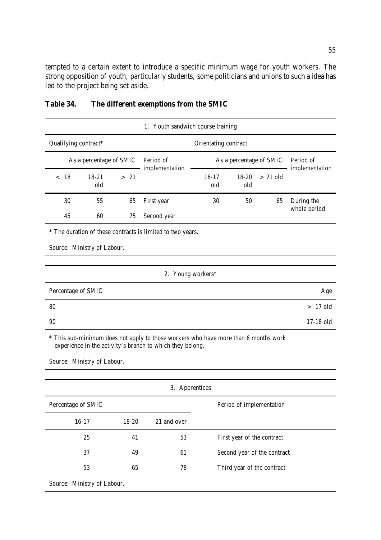tempted to a certain extent to introduce a specific minimum wage for youth workers. The strong opposition of youth, particularly students, some politicians and unions to such a idea has led to the project being set aside.

| 1. Youth sandwich course training |                                                            |      |                                                                                                                                                  |                |                |                         |                             |  |  |  |  |
|-----------------------------------|------------------------------------------------------------|------|--------------------------------------------------------------------------------------------------------------------------------------------------|----------------|----------------|-------------------------|-----------------------------|--|--|--|--|
| Qualifying contract*              |                                                            |      |                                                                                                                                                  |                |                |                         |                             |  |  |  |  |
| As a percentage of SMIC           |                                                            |      | Period of<br>implementation                                                                                                                      |                |                | As a percentage of SMIC | Period of<br>implementation |  |  |  |  |
| < 18                              | $18 - 21$<br>old                                           | > 21 |                                                                                                                                                  | $16-17$<br>old | $18-20$<br>old | $> 21$ old              |                             |  |  |  |  |
| 30                                | 55                                                         | 65   | First year                                                                                                                                       | 30             | 50             | 65                      | During the                  |  |  |  |  |
| 45                                | 60                                                         | 75   | Second year                                                                                                                                      |                |                |                         | whole period                |  |  |  |  |
|                                   | * The duration of these contracts is limited to two years. |      |                                                                                                                                                  |                |                |                         |                             |  |  |  |  |
|                                   | Source: Ministry of Labour.                                |      |                                                                                                                                                  |                |                |                         |                             |  |  |  |  |
|                                   |                                                            |      |                                                                                                                                                  |                |                |                         |                             |  |  |  |  |
|                                   |                                                            |      | 2. Young workers*                                                                                                                                |                |                |                         |                             |  |  |  |  |
| Percentage of SMIC                |                                                            |      |                                                                                                                                                  |                |                |                         | Age                         |  |  |  |  |
| 80                                |                                                            |      |                                                                                                                                                  |                |                |                         | $>17$ old                   |  |  |  |  |
| 90                                |                                                            |      |                                                                                                                                                  |                |                |                         | 17-18 old                   |  |  |  |  |
|                                   |                                                            |      | * This sub-minimum does not apply to those workers who have more than 6 months work<br>experience in the activity's branch to which they belong. |                |                |                         |                             |  |  |  |  |

# **Table 34. The different exemptions from the SMIC**

Source: Ministry of Labour.

| 3. Apprentices              |           |             |                             |  |  |  |  |  |  |  |
|-----------------------------|-----------|-------------|-----------------------------|--|--|--|--|--|--|--|
| Percentage of SMIC          |           |             | Period of implementation    |  |  |  |  |  |  |  |
| $16-17$                     | $18 - 20$ | 21 and over |                             |  |  |  |  |  |  |  |
| 25                          | 41        | 53          | First year of the contract  |  |  |  |  |  |  |  |
| 37                          | 49        | 61          | Second year of the contract |  |  |  |  |  |  |  |
| 53                          | 65        | 78          | Third year of the contract  |  |  |  |  |  |  |  |
| Source: Ministry of Labour. |           |             |                             |  |  |  |  |  |  |  |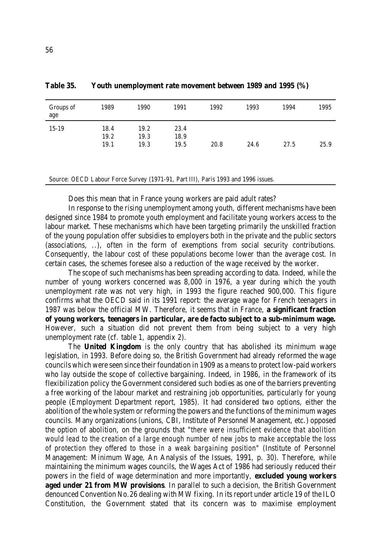| Groups of<br>age | 1989         | 1990         | 1991         | 1992 | 1993 | 1994 | 1995 |
|------------------|--------------|--------------|--------------|------|------|------|------|
| $15 - 19$        | 18.4<br>19.2 | 19.2<br>19.3 | 23.4<br>18.9 |      |      |      |      |
|                  | 19.1         | 19.3         | 19.5         | 20.8 | 24.6 | 27.5 | 25.9 |
|                  |              |              |              |      |      |      |      |

**Table 35. Youth unemployment rate movement between 1989 and 1995 (%)**

Source: OECD Labour Force Survey (1971-91, Part III), Paris 1993 and 1996 issues.

Does this mean that in France young workers are paid adult rates?

In response to the rising unemployment among youth, different mechanisms have been designed since 1984 to promote youth employment and facilitate young workers access to the labour market. These mechanisms which have been targeting primarily the unskilled fraction of the young population offer subsidies to employers both in the private and the public sectors (associations, ..), often in the form of exemptions from social security contributions. Consequently, the labour cost of these populations become lower than the average cost. In certain cases, the schemes foresee also a reduction of the wage received by the worker.

The scope of such mechanisms has been spreading according to data. Indeed, while the number of young workers concerned was 8,000 in 1976, a year during which the youth unemployment rate was not very high, in 1993 the figure reached 900,000. This figure confirms what the OECD said in its 1991 report: the average wage for French teenagers in 1987 was below the official MW. Therefore, it seems that in France, **a significant fraction of young workers, teenagers in particular, are de facto subject to a sub-minimum wage.** However, such a situation did not prevent them from being subject to a very high unemployment rate (cf. table 1, appendix 2).

The **United Kingdom** is the only country that has abolished its minimum wage legislation, in 1993. Before doing so, the British Government had already reformed the wage councils which were seen since their foundation in 1909 as a means to protect low-paid workers who lay outside the scope of collective bargaining. Indeed, in 1986, in the framework of its flexibilization policy the Government considered such bodies as one of the barriers preventing a free working of the labour market and restraining job opportunities, particularly for young people (Employment Department report, 1985). It had considered two options, either the abolition of the whole system or reforming the powers and the functions of the minimum wages councils. Many organizations (unions, CBI, Institute of Personnel Management, etc.) opposed the option of abolition, on the grounds that "*there were insufficient evidence that abolition would lead to the creation of a large enough number of new jobs to make acceptable the loss of protection they offered to those in a weak bargaining position*" (Institute of Personnel Management: Minimum Wage, An Analysis of the Issues, 1991, p. 30). Therefore, while maintaining the minimum wages councils, the Wages Act of 1986 had seriously reduced their powers in the field of wage determination and more importantly, **excluded young workers aged under 21 from MW provisions**. In parallel to such a decision, the British Government denounced Convention No.26 dealing with MW fixing. In its report under article 19 of the ILO Constitution, the Government stated that its concern was to maximise employment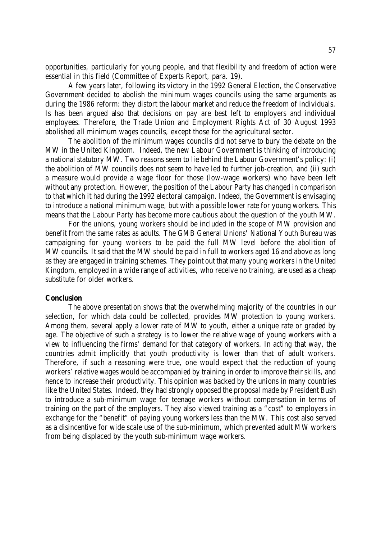opportunities, particularly for young people, and that flexibility and freedom of action were essential in this field (Committee of Experts Report, para. 19).

A few years later, following its victory in the 1992 General Election, the Conservative Government decided to abolish the minimum wages councils using the same arguments as during the 1986 reform: they distort the labour market and reduce the freedom of individuals. Is has been argued also that decisions on pay are best left to employers and individual employees. Therefore, the Trade Union and Employment Rights Act of 30 August 1993 abolished all minimum wages councils, except those for the agricultural sector.

The abolition of the minimum wages councils did not serve to bury the debate on the MW in the United Kingdom. Indeed, the new Labour Government is thinking of introducing a national statutory MW. Two reasons seem to lie behind the Labour Government's policy: (i) the abolition of MW councils does not seem to have led to further job-creation, and (ii) such a measure would provide a wage floor for those (low-wage workers) who have been left without any protection. However, the position of the Labour Party has changed in comparison to that which it had during the 1992 electoral campaign. Indeed, the Government is envisaging to introduce a national minimum wage, but with a possible lower rate for young workers. This means that the Labour Party has become more cautious about the question of the youth MW.

For the unions, young workers should be included in the scope of MW provision and benefit from the same rates as adults. The GMB General Unions' National Youth Bureau was campaigning for young workers to be paid the full MW level before the abolition of MW councils. It said that the MW should be paid in full to workers aged 16 and above as long as they are engaged in training schemes. They point out that many young workers in the United Kingdom, employed in a wide range of activities, who receive no training, are used as a cheap substitute for older workers.

#### **Conclusion**

The above presentation shows that the overwhelming majority of the countries in our selection, for which data could be collected, provides MW protection to young workers. Among them, several apply a lower rate of MW to youth, either a unique rate or graded by age. The objective of such a strategy is to lower the relative wage of young workers with a view to influencing the firms' demand for that category of workers. In acting that way, the countries admit implicitly that youth productivity is lower than that of adult workers. Therefore, if such a reasoning were true, one would expect that the reduction of young workers' relative wages would be accompanied by training in order to improve their skills, and hence to increase their productivity. This opinion was backed by the unions in many countries like the United States. Indeed, they had strongly opposed the proposal made by President Bush to introduce a sub-minimum wage for teenage workers without compensation in terms of training on the part of the employers. They also viewed training as a "cost" to employers in exchange for the "benefit" of paying young workers less than the MW. This cost also served as a disincentive for wide scale use of the sub-minimum, which prevented adult MW workers from being displaced by the youth sub-minimum wage workers.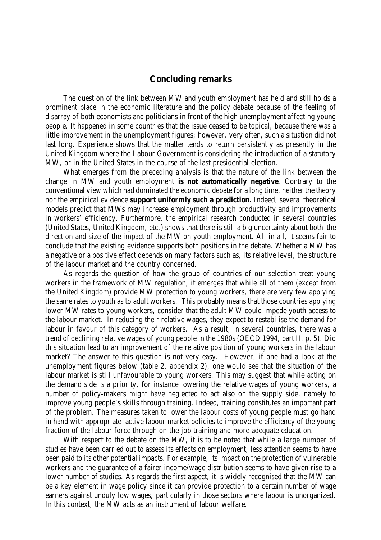# **Concluding remarks**

The question of the link between MW and youth employment has held and still holds a prominent place in the economic literature and the policy debate because of the feeling of disarray of both economists and politicians in front of the high unemployment affecting young people. It happened in some countries that the issue ceased to be topical, because there was a little improvement in the unemployment figures; however, very often, such a situation did not last long. Experience shows that the matter tends to return persistently as presently in the United Kingdom where the Labour Government is considering the introduction of a statutory MW, or in the United States in the course of the last presidential election.

What emerges from the preceding analysis is that the nature of the link between the change in MW and youth employment **is not automatically negative**. Contrary to the conventional view which had dominated the economic debate for a long time, neither the theory nor the empirical evidence **support uniformly such a prediction.** Indeed, several theoretical models predict that MWs may increase employment through productivity and improvements in workers' efficiency. Furthermore, the empirical research conducted in several countries (United States, United Kingdom, etc.) shows that there is still a big uncertainty about both the direction and size of the impact of the MW on youth employment. All in all, it seems fair to conclude that the existing evidence supports both positions in the debate. Whether a MW has a negative or a positive effect depends on many factors such as, its relative level, the structure of the labour market and the country concerned.

As regards the question of how the group of countries of our selection treat young workers in the framework of MW regulation, it emerges that while all of them (except from the United Kingdom) provide MW protection to young workers, there are very few applying the same rates to youth as to adult workers. This probably means that those countries applying lower MW rates to young workers, consider that the adult MW could impede youth access to the labour market. In reducing their relative wages, they expect to restabilise the demand for labour in favour of this category of workers. As a result, in several countries, there was a trend of declining relative wages of young people in the 1980s (OECD 1994, part II. p. 5). Did this situation lead to an improvement of the relative position of young workers in the labour market? The answer to this question is not very easy. However, if one had a look at the unemployment figures below (table 2, appendix 2), one would see that the situation of the labour market is still unfavourable to young workers. This may suggest that while acting on the demand side is a priority, for instance lowering the relative wages of young workers, a number of policy-makers might have neglected to act also on the supply side, namely to improve young people's skills through training. Indeed, training constitutes an important part of the problem. The measures taken to lower the labour costs of young people must go hand in hand with appropriate active labour market policies to improve the efficiency of the young fraction of the labour force through on-the-job training and more adequate education.

With respect to the debate on the MW, it is to be noted that while a large number of studies have been carried out to assess its effects on employment, less attention seems to have been paid to its other potential impacts. For example, its impact on the protection of vulnerable workers and the guarantee of a fairer income/wage distribution seems to have given rise to a lower number of studies. As regards the first aspect, it is widely recognised that the MW can be a key element in wage policy since it can provide protection to a certain number of wage earners against unduly low wages, particularly in those sectors where labour is unorganized. In this context, the MW acts as an instrument of labour welfare.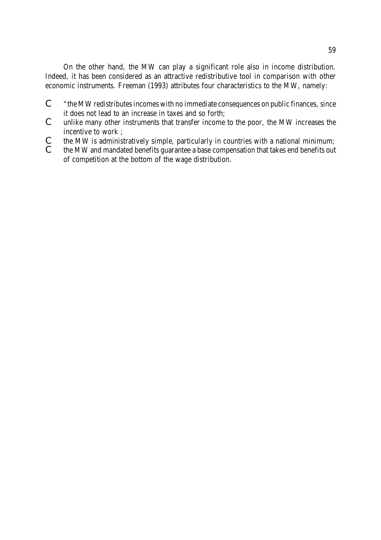On the other hand, the MW can play a significant role also in income distribution. Indeed, it has been considered as an attractive redistributive tool in comparison with other economic instruments. Freeman (1993) attributes four characteristics to the MW, namely:

- C "the MW redistributesincomes with no immediate consequences on public finances, since it does not lead to an increase in taxes and so forth;
- C unlike many other instruments that transfer income to the poor, the MW increases the incentive to work ;
- $\mathcal{C}$  the MW is administratively simple, particularly in countries with a national minimum;<br> $\mathcal{C}$  the MW and mandated benefits guarantee a base compensation that takes end benefits out
- the MW and mandated benefits guarantee a base compensation that takes end benefits out of competition at the bottom of the wage distribution.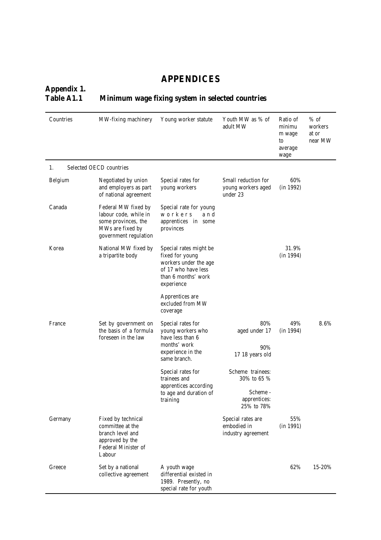# **APPENDICES**

# **Appendix 1. Table A1.1 Minimum wage fixing system in selected countries**

| Countries | MW-fixing machinery                                                                                              | Youth MW as % of<br>Young worker statute<br>adult MW                                                                           |                                                        | Ratio of<br>minimu<br>m wage<br>to<br>average<br>wage | $%$ of<br>workers<br>at or<br>near MW |  |
|-----------|------------------------------------------------------------------------------------------------------------------|--------------------------------------------------------------------------------------------------------------------------------|--------------------------------------------------------|-------------------------------------------------------|---------------------------------------|--|
| 1.        | Selected OECD countries                                                                                          |                                                                                                                                |                                                        |                                                       |                                       |  |
| Belgium   | Negotiated by union<br>and employers as part<br>of national agreement                                            | Special rates for<br>young workers                                                                                             | Small reduction for<br>young workers aged<br>under 23  | 60%<br>(in 1992)                                      |                                       |  |
| Canada    | Federal MW fixed by<br>labour code, while in<br>some provinces, the<br>MWs are fixed by<br>government regulation | Special rate for young<br>workers<br>and<br>apprentices in some<br>provinces                                                   |                                                        |                                                       |                                       |  |
| Korea     | National MW fixed by<br>a tripartite body                                                                        | Special rates might be<br>fixed for young<br>workers under the age<br>of 17 who have less<br>than 6 months' work<br>experience |                                                        | 31.9%<br>(in 1994)                                    |                                       |  |
|           |                                                                                                                  | Apprentices are<br>excluded from MW<br>coverage                                                                                |                                                        |                                                       |                                       |  |
| France    | Set by government on<br>the basis of a formula<br>foreseen in the law                                            | Special rates for<br>young workers who<br>have less than 6                                                                     | 80%<br>aged under 17                                   | 49%<br>(in 1994)                                      | 8.6%                                  |  |
|           |                                                                                                                  | months' work<br>experience in the<br>same branch.                                                                              | 90%<br>17 18 years old                                 |                                                       |                                       |  |
|           |                                                                                                                  | Special rates for<br>trainees and<br>apprentices according                                                                     | Scheme trainees:<br>30% to 65 %                        |                                                       |                                       |  |
|           |                                                                                                                  | to age and duration of<br>training                                                                                             | Scheme -<br>apprentices:<br>25% to 78%                 |                                                       |                                       |  |
| Germany   | Fixed by technical<br>committee at the<br>branch level and<br>approved by the<br>Federal Minister of<br>Labour   |                                                                                                                                | Special rates are<br>embodied in<br>industry agreement | 55%<br>(in 1991)                                      |                                       |  |
| Greece    | Set by a national<br>collective agreement                                                                        | A youth wage<br>differential existed in<br>1989. Presently, no<br>special rate for youth                                       |                                                        | 62%                                                   | 15-20%                                |  |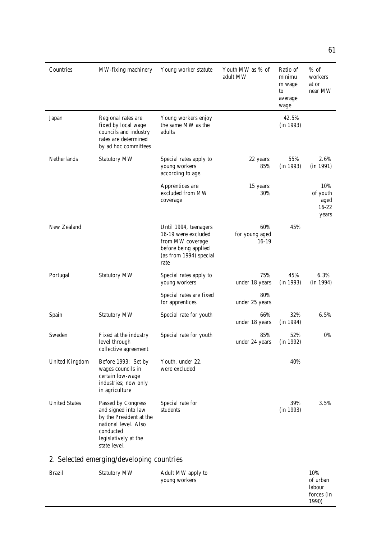| Countries             | MW-fixing machinery                                                                                                                               | Young worker statute                                                                                                       | Youth MW as % of<br>adult MW     | Ratio of<br>minimu<br>m wage<br>to<br>average<br>wage | $%$ of<br>workers<br>at or<br>near MW         |
|-----------------------|---------------------------------------------------------------------------------------------------------------------------------------------------|----------------------------------------------------------------------------------------------------------------------------|----------------------------------|-------------------------------------------------------|-----------------------------------------------|
| Japan                 | Regional rates are<br>fixed by local wage<br>councils and industry<br>rates are determined<br>by ad hoc committees                                | Young workers enjoy<br>the same MW as the<br>adults                                                                        |                                  | 42.5%<br>(in 1993)                                    |                                               |
| Netherlands           | <b>Statutory MW</b>                                                                                                                               | Special rates apply to<br>young workers<br>according to age.                                                               | 22 years:<br>85%                 | 55%<br>(in 1993)                                      | 2.6%<br>(in 1991)                             |
|                       |                                                                                                                                                   | Apprentices are<br>excluded from MW<br>coverage                                                                            | 15 years:<br>30%                 |                                                       | 10%<br>of youth<br>aged<br>$16 - 22$<br>years |
| New Zealand           |                                                                                                                                                   | Until 1994, teenagers<br>16-19 were excluded<br>from MW coverage<br>before being applied<br>(as from 1994) special<br>rate | 60%<br>for young aged<br>$16-19$ | 45%                                                   |                                               |
| Portugal              | <b>Statutory MW</b>                                                                                                                               | Special rates apply to<br>young workers                                                                                    | 75%<br>under 18 years            | 45%<br>(in 1993)                                      | 6.3%<br>(in 1994)                             |
|                       |                                                                                                                                                   | Special rates are fixed<br>for apprentices                                                                                 | 80%<br>under 25 years            |                                                       |                                               |
| Spain                 | <b>Statutory MW</b>                                                                                                                               | Special rate for youth                                                                                                     | 66%<br>under 18 years            | 32%<br>(in 1994)                                      | 6.5%                                          |
| Sweden                | Fixed at the industry<br>level through<br>collective agreement                                                                                    | Special rate for youth                                                                                                     | 85%<br>under 24 years            | 52%<br>(in 1992)                                      | 0%                                            |
| <b>United Kingdom</b> | Before 1993: Set by<br>wages councils in<br>certain low-wage<br>industries; now only<br>in agriculture                                            | Youth, under 22,<br>were excluded                                                                                          |                                  | 40%                                                   |                                               |
| <b>United States</b>  | Passed by Congress<br>and signed into law<br>by the President at the<br>national level. Also<br>conducted<br>legislatively at the<br>state level. | Special rate for<br>students                                                                                               |                                  | 39%<br>(in 1993)                                      | 3.5%                                          |
|                       | 2. Selected emerging/developing countries                                                                                                         |                                                                                                                            |                                  |                                                       |                                               |

| Brazil | <b>Statutory MW</b> | Adult MW apply to | 10%        |
|--------|---------------------|-------------------|------------|
|        |                     | young workers     | of urban   |
|        |                     |                   | labour     |
|        |                     |                   | forces (in |
|        |                     |                   | 1990)      |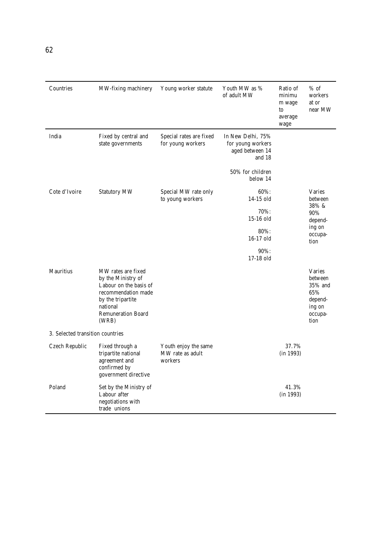| Countries                        | MW-fixing machinery                                                                                                                                              | Young worker statute                                | Youth MW as %<br>of adult MW                                                                        | Ratio of<br>minimu<br>m wage<br>to<br>average<br>wage | $%$ of<br>workers<br>at or<br>near MW                                              |
|----------------------------------|------------------------------------------------------------------------------------------------------------------------------------------------------------------|-----------------------------------------------------|-----------------------------------------------------------------------------------------------------|-------------------------------------------------------|------------------------------------------------------------------------------------|
| India                            | Fixed by central and<br>state governments                                                                                                                        | Special rates are fixed<br>for young workers        | In New Delhi, 75%<br>for young workers<br>aged between 14<br>and 18<br>50% for children<br>below 14 |                                                       |                                                                                    |
| Cote d'Ivoire                    | <b>Statutory MW</b>                                                                                                                                              | Special MW rate only<br>to young workers            | $60\%$ :<br>14-15 old<br>70%:<br>$15-16$ old<br>80%:<br>$16-17$ old<br>90%:<br>17-18 old            |                                                       | <b>Varies</b><br>between<br>38% &<br>90%<br>depend-<br>ing on<br>occupa-<br>tion   |
| <b>Mauritius</b>                 | MW rates are fixed<br>by the Ministry of<br>Labour on the basis of<br>recommendation made<br>by the tripartite<br>national<br><b>Remuneration Board</b><br>(WRB) |                                                     |                                                                                                     |                                                       | <b>Varies</b><br>between<br>35% and<br>65%<br>depend-<br>ing on<br>occupa-<br>tion |
| 3. Selected transition countries |                                                                                                                                                                  |                                                     |                                                                                                     |                                                       |                                                                                    |
| Czech Republic                   | Fixed through a<br>tripartite national<br>agreement and<br>confirmed by<br>government directive                                                                  | Youth enjoy the same<br>MW rate as adult<br>workers |                                                                                                     | 37.7%<br>(in 1993)                                    |                                                                                    |
| Poland                           | Set by the Ministry of<br>Labour after<br>negotiations with<br>trade unions                                                                                      |                                                     |                                                                                                     | 41.3%<br>(in 1993)                                    |                                                                                    |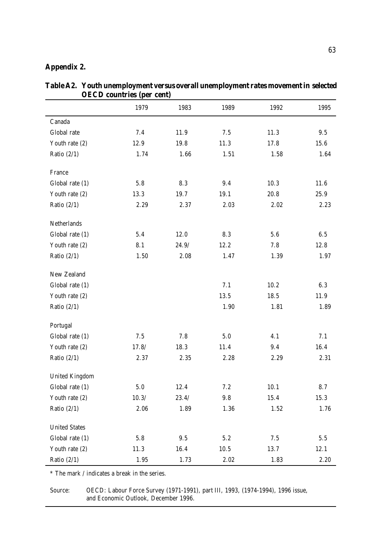# **Appendix 2.**

|                       | 1979    | 1983     | 1989      | 1992 | 1995 |
|-----------------------|---------|----------|-----------|------|------|
| Canada                |         |          |           |      |      |
| Global rate           | 7.4     | 11.9     | 7.5       | 11.3 | 9.5  |
| Youth rate (2)        | 12.9    | 19.8     | 11.3      | 17.8 | 15.6 |
| Ratio $(2/1)$         | 1.74    | 1.66     | 1.51      | 1.58 | 1.64 |
| France                |         |          |           |      |      |
| Global rate (1)       | 5.8     | 8.3      | 9.4       | 10.3 | 11.6 |
| Youth rate (2)        | 13.3    | 19.7     | 19.1      | 20.8 | 25.9 |
| Ratio $(2/1)$         | 2.29    | 2.37     | 2.03      | 2.02 | 2.23 |
| Netherlands           |         |          |           |      |      |
| Global rate (1)       | 5.4     | 12.0     | 8.3       | 5.6  | 6.5  |
| Youth rate (2)        | 8.1     | 24.9/    | 12.2      | 7.8  | 12.8 |
| Ratio $(2/1)$         | 1.50    | $2.08\,$ | 1.47      | 1.39 | 1.97 |
| New Zealand           |         |          |           |      |      |
| Global rate (1)       |         |          | 7.1       | 10.2 | 6.3  |
| Youth rate (2)        |         |          | 13.5      | 18.5 | 11.9 |
| Ratio $(2/1)$         |         |          | 1.90      | 1.81 | 1.89 |
| Portugal              |         |          |           |      |      |
| Global rate (1)       | 7.5     | 7.8      | $5.0\,$   | 4.1  | 7.1  |
| Youth rate (2)        | 17.8/   | 18.3     | 11.4      | 9.4  | 16.4 |
| Ratio $(2/1)$         | 2.37    | 2.35     | 2.28      | 2.29 | 2.31 |
| <b>United Kingdom</b> |         |          |           |      |      |
| Global rate (1)       | $5.0\,$ | 12.4     | $7.2\,$   | 10.1 | 8.7  |
| Youth rate (2)        | 10.3/   | 23.4/    | $\bf 9.8$ | 15.4 | 15.3 |
| Ratio $(2/1)$         | 2.06    | 1.89     | 1.36      | 1.52 | 1.76 |
| <b>United States</b>  |         |          |           |      |      |
| Global rate (1)       | 5.8     | $9.5\,$  | 5.2       | 7.5  | 5.5  |
| Youth rate (2)        | 11.3    | 16.4     | 10.5      | 13.7 | 12.1 |
| Ratio $(2/1)$         | 1.95    | 1.73     | 2.02      | 1.83 | 2.20 |

**Table A2. Youth unemployment versus overall unemployment rates movement in selected OECD countries (per cent)**

\* The mark / indicates a break in the series.

Source: OECD: Labour Force Survey (1971-1991), part III, 1993, (1974-1994), 1996 issue, and Economic Outlook, December 1996.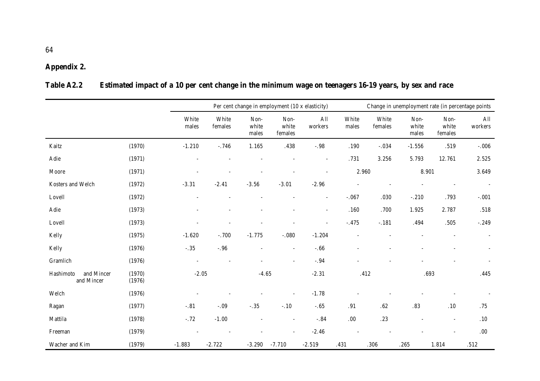# **Appendix 2.**

# **Table A2.2 Estimated impact of a 10 per cent change in the minimum wage on teenagers 16-19 years, by sex and race**

|                                       |                  |                |                  |                          | Per cent change in employment (10 x elasticity) |                          |                | Change in unemployment rate (in percentage points |                        |                          |                |  |  |
|---------------------------------------|------------------|----------------|------------------|--------------------------|-------------------------------------------------|--------------------------|----------------|---------------------------------------------------|------------------------|--------------------------|----------------|--|--|
|                                       |                  | White<br>males | White<br>females | Non-<br>white<br>males   | Non-<br>white<br>females                        | All<br>workers           | White<br>males | White<br>females                                  | Non-<br>white<br>males | Non-<br>white<br>females | All<br>workers |  |  |
| Kaitz                                 | (1970)           | $-1.210$       | $-.746$          | 1.165                    | .438                                            | $-.98$                   | .190           | $-.034$                                           | $-1.556$               | .519                     | $-0.006$       |  |  |
| Adie                                  | (1971)           |                |                  |                          |                                                 | $\overline{\phantom{a}}$ | .731           | 3.256                                             | 5.793                  | 12.761                   | 2.525          |  |  |
| Moore                                 | (1971)           |                |                  |                          |                                                 |                          | 2.960          |                                                   | 8.901                  |                          | 3.649          |  |  |
| Kosters and Welch                     | (1972)           | $-3.31$        | $-2.41$          | $-3.56$                  | $-3.01$                                         | $-2.96$                  |                |                                                   |                        |                          |                |  |  |
| Lovell                                | (1972)           |                |                  |                          |                                                 | $\sim$                   | $-.067$        | .030                                              | $-.210$                | .793                     | $-.001$        |  |  |
| Adie                                  | (1973)           |                |                  |                          |                                                 | $\overline{\phantom{a}}$ | .160           | .700                                              | 1.925                  | 2.787                    | .518           |  |  |
| Lovell                                | (1973)           |                |                  |                          |                                                 |                          | $-.475$        | $-.181$                                           | .494                   | $.505\,$                 | $-.249$        |  |  |
| Kelly                                 | (1975)           | $-1.620$       | $-.700$          | $-1.775$                 | $-.080$                                         | $-1.204$                 | L,             |                                                   |                        |                          |                |  |  |
| Kelly                                 | (1976)           | $-.35$         | $-.96$           | $\overline{\phantom{a}}$ | $\overline{\phantom{a}}$                        | $-.66$                   |                |                                                   |                        |                          |                |  |  |
| Gramlich                              | (1976)           |                |                  |                          | $\sim$                                          | $-.94$                   |                |                                                   |                        |                          |                |  |  |
| Hashimoto<br>and Mincer<br>and Mincer | (1970)<br>(1976) | $-2.05$        |                  | $-4.65$                  |                                                 | $-2.31$                  | .412           |                                                   | .693                   |                          | .445           |  |  |
| Welch                                 | (1976)           |                |                  |                          |                                                 | $-1.78$                  |                |                                                   |                        |                          |                |  |  |
| Ragan                                 | (1977)           | $-.81$         | $-.09$           | $-.35$                   | $-.10$                                          | $-.65$                   | .91            | $.62\,$                                           | $.83\,$                | $.10$                    | .75            |  |  |
| Mattila                               | (1978)           | $-.72$         | $-1.00$          |                          |                                                 | $-.84$                   | .00.           | $.23\,$                                           |                        | $\overline{\phantom{a}}$ | $.10\,$        |  |  |
| Freeman                               | (1979)           |                |                  |                          |                                                 | $-2.46$                  |                |                                                   |                        |                          | $.00\,$        |  |  |
| Wacher and Kim                        | (1979)           | $-1.883$       | $-2.722$         | $-3.290$                 | $-7.710$                                        | $-2.519$                 | .431           | .306                                              | .265                   | 1.814                    | .512           |  |  |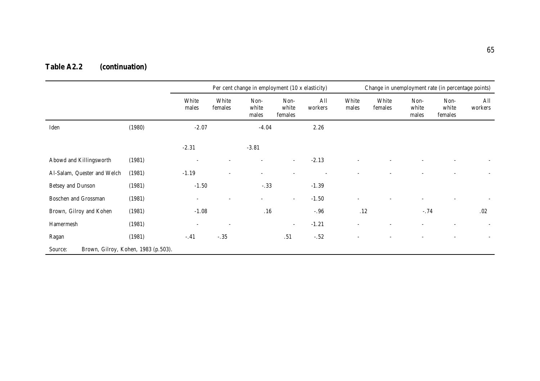# **Table A2.2 (continuation)**

|                                                |        |                          |                          | Per cent change in employment (10 x elasticity) |                          |                | Change in unemployment rate (in percentage points) |                  |                        |                          |                |
|------------------------------------------------|--------|--------------------------|--------------------------|-------------------------------------------------|--------------------------|----------------|----------------------------------------------------|------------------|------------------------|--------------------------|----------------|
|                                                |        | White<br>males           | White<br>females         | Non-<br>white<br>males                          | Non-<br>white<br>females | All<br>workers | White<br>males                                     | White<br>females | Non-<br>white<br>males | Non-<br>white<br>females | All<br>workers |
| Iden                                           | (1980) | $-2.07$                  |                          | $-4.04$                                         |                          | 2.26           |                                                    |                  |                        |                          |                |
|                                                |        | $-2.31$                  |                          | $-3.81$                                         |                          |                |                                                    |                  |                        |                          |                |
| Abowd and Killingsworth                        | (1981) | $\overline{\phantom{a}}$ | ۰                        | $\sim$                                          | ۰                        | $-2.13$        |                                                    |                  |                        |                          |                |
| Al-Salam, Quester and Welch                    | (1981) | $-1.19$                  | $\sim$                   | $\overline{a}$                                  |                          |                |                                                    |                  |                        |                          |                |
| Betsey and Dunson                              | (1981) | $-1.50$                  |                          | $-.33$                                          |                          | $-1.39$        |                                                    |                  |                        |                          |                |
| <b>Boschen and Grossman</b>                    | (1981) | $\overline{\phantom{a}}$ | ۰                        | $\sim$                                          | $\sim$                   | $-1.50$        | $\overline{\phantom{a}}$                           |                  |                        |                          |                |
| Brown, Gilroy and Kohen                        | (1981) | $-1.08$                  |                          | .16                                             |                          | $-.96$         | .12                                                |                  | $-.74$                 |                          | .02            |
| Hamermesh                                      | (1981) | $\overline{\phantom{a}}$ | $\overline{\phantom{a}}$ |                                                 | $\overline{\phantom{a}}$ | $-1.21$        |                                                    |                  |                        |                          |                |
| Ragan                                          | (1981) | $-.41$                   | $-.35$                   |                                                 | .51                      | $-.52$         | $\overline{\phantom{a}}$                           |                  |                        |                          |                |
| Source:<br>Brown, Gilroy, Kohen, 1983 (p.503). |        |                          |                          |                                                 |                          |                |                                                    |                  |                        |                          |                |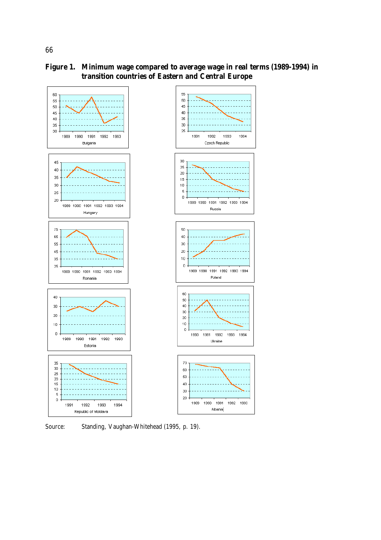



Source: Standing, Vaughan-Whitehead (1995, p. 19).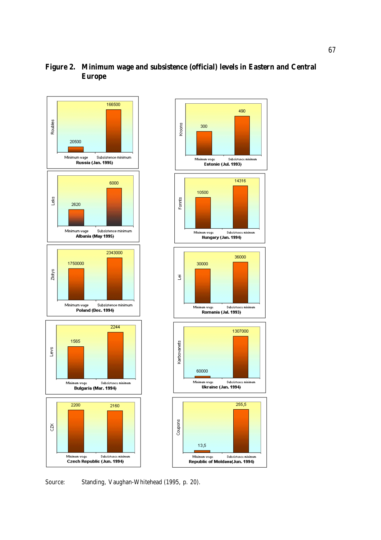





Source: Standing, Vaughan-Whitehead (1995, p. 20).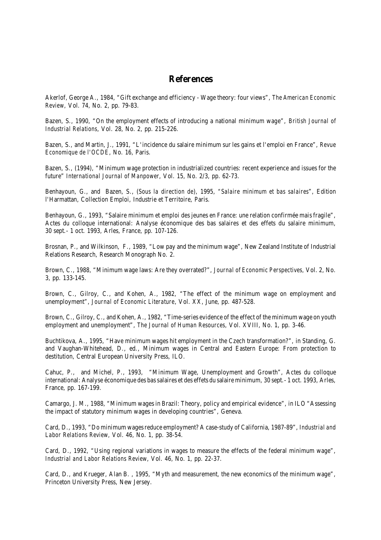## **References**

Akerlof, George A., 1984, "Gift exchange and efficiency - Wage theory: four views", *The American Economic Review,* Vol. 74, No. 2, pp. 79-83.

Bazen, S., 1990, "On the employment effects of introducing a national minimum wage", *British Journal of Industrial Relations*, Vol. 28, No. 2, pp. 215-226.

Bazen, S., and Martin, J., 1991, "L'incidence du salaire minimum sur les gains et l'emploi en France", *Revue Economique de l'OCDE*, No. 16, Paris.

Bazen, S., (1994), "Minimum wage protection in industrialized countries: recent experience and issues for the future" *International Journal of Manpower*, Vol. 15, No. 2/3, pp. 62-73.

Benhayoun, G., and Bazen, S., (*Sous la direction de*), 1995, *"Salaire minimum et bas salaires*", Edition l'Harmattan, Collection Emploi, Industrie et Territoire, Paris.

Benhayoun, G., 1993, "Salaire minimum et emploi des jeunes en France: une relation confirmée mais fragile", Actes du colloque international: Analyse économique des bas salaires et des effets du salaire minimum, 30 sept.- 1 oct. 1993, Arles, France, pp. 107-126.

Brosnan, P., and Wilkinson, F., 1989, "Low pay and the minimum wage", New Zealand Institute of Industrial Relations Research, Research Monograph No. 2.

Brown, C., 1988, "Minimum wage laws: Are they overrated?", *Journal of Economic Perspectives,* Vol. 2, No. 3, pp. 133-145.

Brown, C., Gilroy, C., and Kohen, A., 1982, "The effect of the minimum wage on employment and unemployment", *Journal of Economic Literature*, Vol. XX, June, pp. 487-528.

Brown, C., Gilroy, C., and Kohen, A., 1982, "Time-series evidence of the effect of the minimum wage on youth employment and unemployment", *The Journal of Human Resources,* Vol. XVIII, No. 1, pp. 3-46.

Buchtikova, A., 1995, "Have minimum wages hit employment in the Czech transformation?", in Standing, G. and Vaughan-Whitehead, D., ed., Minimum wages in Central and Eastern Europe: From protection to destitution, Central European University Press, ILO.

Cahuc, P., and Michel, P., 1993, "Minimum Wage, Unemployment and Growth", Actes du colloque international: Analyse économique des bassalaires et des effets du salaire minimum, 30 sept.- 1 oct. 1993, Arles, France, pp. 167-199.

Camargo, J. M., 1988, "Minimum wages in Brazil: Theory, policy and empirical evidence", in ILO "Assessing the impact of statutory minimum wages in developing countries", Geneva.

Card, D., 1993, "Do minimum wagesreduce employment? A case-study of California, 1987-89", *Industrial and Labor Relations Review,* Vol. 46, No. 1, pp. 38-54.

Card, D., 1992, "Using regional variations in wages to measure the effects of the federal minimum wage", *Industrial and Labor Relations Review*, Vol. 46, No. 1, pp. 22-37.

Card, D., and Krueger, Alan B. , 1995, "Myth and measurement, the new economics of the minimum wage", Princeton University Press, New Jersey.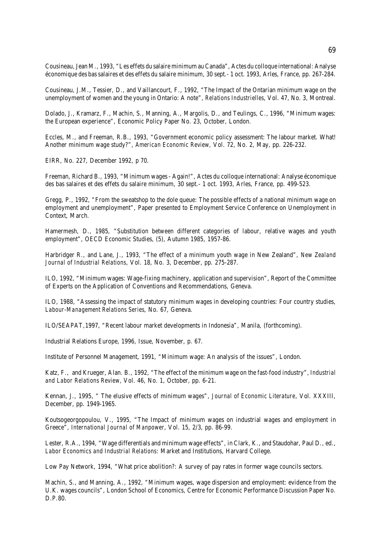Cousineau,Jean M., 1993, "Les effets du salaire minimum au Canada", Actes du colloque international: Analyse économique des bassalaires et des effets du salaire minimum, 30 sept.- 1 oct. 1993, Arles, France, pp. 267-284.

Cousineau, J.M., Tessier, D., and Vaillancourt, F., 1992, "The Impact of the Ontarian minimum wage on the unemployment of women and the young in Ontario: A note", *Relations Industrielles*, Vol. 47, No. 3, Montreal.

Dolado, J., Kramarz, F., Machin, S., Manning, A., Margolis, D., and Teulings, C., 1996, "Minimum wages: the European experience", Economic Policy Paper No. 23, October, London.

Eccles, M., and Freeman, R.B., 1993, "Government economic policy assessment: The labour market. What! Another minimum wage study?", *American Economic Review,* Vol. 72, No. 2, May, pp. 226-232.

EIRR, No. 227, December 1992, p 70.

Freeman, Richard B., 1993, "Minimum wages - Again!", Actes du colloque international: Analyse économique des bas salaires et des effets du salaire minimum, 30 sept.- 1 oct. 1993, Arles, France, pp. 499-523.

Gregg, P., 1992, "From the sweatshop to the dole queue: The possible effects of a national minimum wage on employment and unemployment", Paper presented to Employment Service Conference on Unemployment in Context, March.

Hamermesh, D., 1985, "Substitution between different categories of labour, relative wages and youth employment", OECD Economic Studies, (5), Autumn 1985, 1957-86.

Harbridger R., and Lane, J., 1993, "The effect of a minimum youth wage in New Zealand", *New Zealand Journal of Industrial Relations*, Vol. 18, No. 3, December, pp. 275-287.

ILO, 1992, "Minimum wages: Wage-fixing machinery, application and supervision", Report of the Committee of Experts on the Application of Conventions and Recommendations, Geneva.

ILO, 1988, "Assessing the impact of statutory minimum wages in developing countries: Four country studies, *Labour-Management Relations Series*, No. 67, Geneva.

ILO/SEAPAT,1997, "Recent labour market developments in Indonesia", Manila, (forthcoming).

Industrial Relations Europe, 1996, Issue, November, p. 67.

Institute of Personnel Management, 1991, "Minimum wage: An analysis of the issues", London.

Katz, F., and Krueger, Alan. B., 1992, "The effect of the minimum wage on the fast-food industry", *Industrial and Labor Relations Review,* Vol. 46, No. 1, October, pp. 6-21.

Kennan, J., 1995, " The elusive effects of minimum wages", *Journal of Economic Literature*, Vol. XXXIII, December, pp. 1949-1965.

Koutsogeorgopoulou, V., 1995, "The Impact of minimum wages on industrial wages and employment in Greece", *International Journal of Manpower*, Vol. 15, 2/3, pp. 86-99.

Lester, R.A., 1994, "Wage differentials and minimum wage effects", in Clark, K., and Staudohar, Paul D., ed., *Labor Economics and Industrial Relations*: Market and Institutions, Harvard College.

Low Pay Network, 1994, "What price abolition?: A survey of pay rates in former wage councils sectors.

Machin, S., and Manning, A., 1992, "Minimum wages, wage dispersion and employment: evidence from the U.K. wages councils", London School of Economics, Centre for Economic Performance Discussion Paper No. D.P.80.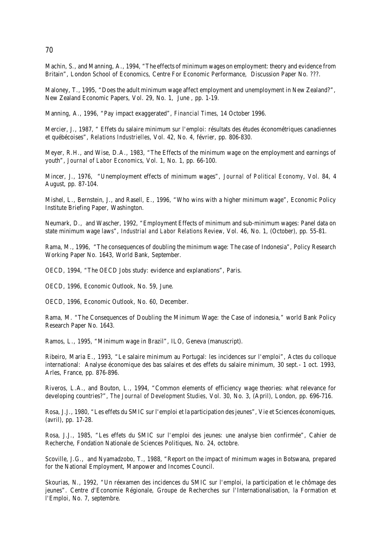70

Machin, S., and Manning, A., 1994, "The effects of minimum wages on employment: theory and evidence from Britain", London School of Economics, Centre For Economic Performance, Discussion Paper No. ???.

Maloney, T., 1995, "Does the adult minimum wage affect employment and unemployment in New Zealand?", New Zealand Economic Papers, Vol. 29, No. 1, June , pp. 1-19.

Manning, A., 1996, "Pay impact exaggerated", *Financial Times*, 14 October 1996.

Mercier, J., 1987, " Effets du salaire minimum sur l'emploi: résultats des études économétriques canadiennes et québécoises", *Relations Industrielles*, Vol. 42, No. 4, février, pp. 806-830.

Meyer, R.H., and Wise, D.A., 1983, "The Effects of the minimum wage on the employment and earnings of youth", *Journal of Labor Economics*, Vol. 1, No. 1, pp. 66-100.

Mincer, J., 1976, "Unemployment effects of minimum wages", *Journal of Political Economy*, Vol. 84, 4 August, pp. 87-104.

Mishel, L., Bernstein, J., and Rasell, E., 1996, "Who wins with a higher minimum wage", Economic Policy Institute Briefing Paper, Washington.

Neumark, D., and Wascher, 1992, "Employment Effects of minimum and sub-minimum wages: Panel data on state minimum wage laws", *Industrial and Labor Relations Review*, Vol. 46, No. 1, (October), pp. 55-81.

Rama, M., 1996, "The consequences of doubling the minimum wage: The case of Indonesia", Policy Research Working Paper No. 1643, World Bank, September.

OECD, 1994, "The OECD Jobs study: evidence and explanations", Paris.

OECD, 1996, Economic Outlook, No. 59, June.

OECD, 1996, Economic Outlook, No. 60, December.

Rama, M. "The Consequences of Doubling the Minimum Wage: the Case of indonesia," world Bank Policy Research Paper No. 1643.

Ramos, L., 1995, "Minimum wage in Brazil", ILO, Geneva (manuscript).

Ribeiro, Maria E., 1993, "Le salaire minimum au Portugal: les incidences sur l'emploi", Actes du colloque international: Analyse économique des bas salaires et des effets du salaire minimum, 30 sept.- 1 oct. 1993, Arles, France, pp. 876-896.

Riveros, L.A., and Bouton, L., 1994, "Common elements of efficiency wage theories: what relevance for developing countries?", *The Journal of Development Studies,* Vol. 30, No. 3, (April), London, pp. 696-716.

Rosa, J.J., 1980, "Les effets du SMIC sur l'emploi et la participation desjeunes", Vie et Sciences économiques, (avril), pp. 17-28.

Rosa, J.J., 1985, "Les effets du SMIC sur l'emploi des jeunes: une analyse bien confirmée", Cahier de Recherche, Fondation Nationale de Sciences Politiques, No. 24, octobre.

Scoville, J.G., and Nyamadzobo, T., 1988, "Report on the impact of minimum wages in Botswana, prepared for the National Employment, Manpower and Incomes Council.

Skourias, N., 1992, "Un réexamen des incidences du SMIC sur l'emploi, la participation et le chômage des jeunes". Centre d'Economie Régionale, Groupe de Recherches sur l'Internationalisation, la Formation et l'Emploi, No. 7, septembre.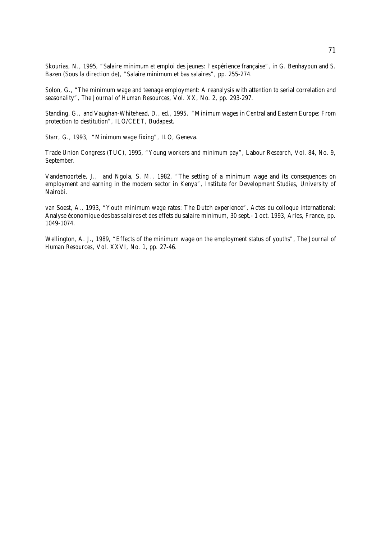Skourias, N., 1995, "Salaire minimum et emploi des jeunes: l'expérience française", in G. Benhayoun and S. Bazen (Sous la direction de), "Salaire minimum et bas salaires", pp. 255-274.

Solon, G., "The minimum wage and teenage employment: A reanalysis with attention to serial correlation and seasonality", *The Journal of Human Resources*, Vol. XX, No. 2, pp. 293-297.

Standing, G., and Vaughan-Whitehead, D., ed., 1995, "Minimum wages in Central and Eastern Europe: From protection to destitution", ILO/CEET, Budapest.

Starr, G., 1993, "Minimum wage fixing", ILO, Geneva.

Trade Union Congress (TUC), 1995, "Young workers and minimum pay", Labour Research, Vol. 84, No. 9, September.

Vandemoortele, J., and Ngola, S. M., 1982, "The setting of a minimum wage and its consequences on employment and earning in the modern sector in Kenya", Institute for Development Studies, University of Nairobi.

van Soest, A., 1993, "Youth minimum wage rates: The Dutch experience", Actes du colloque international: Analyse économique des bas salaires et des effets du salaire minimum, 30 sept.- 1 oct. 1993, Arles, France, pp. 1049-1074.

Wellington, A. J., 1989, "Effects of the minimum wage on the employment status of youths", *The Journal of Human Resources,* Vol. XXVI, No. 1, pp. 27-46.